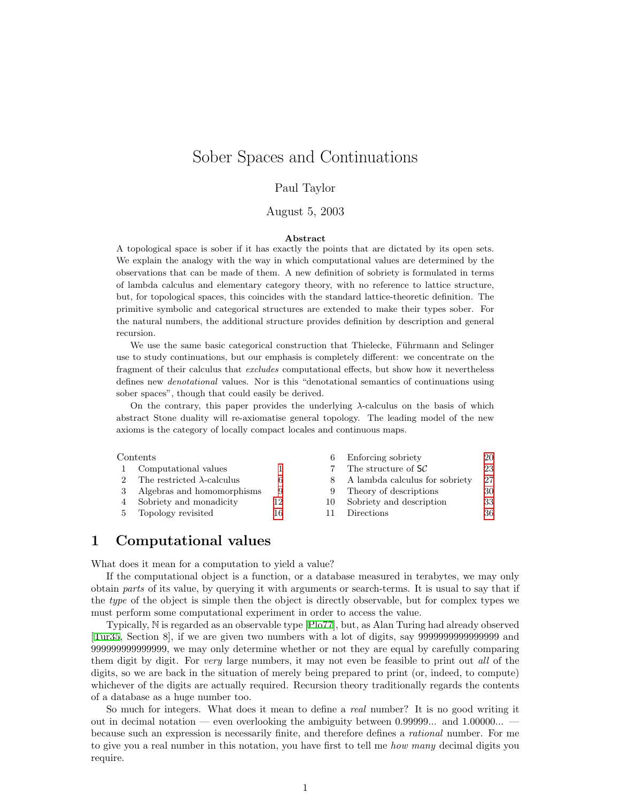# <span id="page-0-0"></span>Sober Spaces and Continuations

#### Paul Taylor

#### August 5, 2003

#### Abstract

A topological space is sober if it has exactly the points that are dictated by its open sets. We explain the analogy with the way in which computational values are determined by the observations that can be made of them. A new definition of sobriety is formulated in terms of lambda calculus and elementary category theory, with no reference to lattice structure, but, for topological spaces, this coincides with the standard lattice-theoretic definition. The primitive symbolic and categorical structures are extended to make their types sober. For the natural numbers, the additional structure provides definition by description and general recursion.

We use the same basic categorical construction that Thielecke, Führmann and Selinger use to study continuations, but our emphasis is completely different: we concentrate on the fragment of their calculus that excludes computational effects, but show how it nevertheless defines new denotational values. Nor is this "denotational semantics of continuations using sober spaces", though that could easily be derived.

On the contrary, this paper provides the underlying  $\lambda$ -calculus on the basis of which abstract Stone duality will re-axiomatise general topology. The leading model of the new axioms is the category of locally compact locales and continuous maps.

#### Contents 6 Enforcing sobriety [20](#page-19-0)

| Сопения |                                    |    | 0 Elliorchig sobriety          | ZU |
|---------|------------------------------------|----|--------------------------------|----|
|         | Computational values               |    | The structure of $SC$          | 23 |
|         | The restricted $\lambda$ -calculus |    | A lambda calculus for sobriety | 27 |
|         | 3 Algebras and homomorphisms       | 9  | Theory of descriptions         | 30 |
|         | 4 Sobriety and monadicity          | 12 | Sobriety and description       | 33 |
|         | 5 Topology revisited               | 16 | Directions                     | 36 |
|         |                                    |    |                                |    |

### <span id="page-0-1"></span>1 Computational values

What does it mean for a computation to yield a value?

If the computational object is a function, or a database measured in terabytes, we may only obtain parts of its value, by querying it with arguments or search-terms. It is usual to say that if the type of the object is simple then the object is directly observable, but for complex types we must perform some computational experiment in order to access the value.

Typically, N is regarded as an observable type [\[Plo77\]](#page-39-0), but, as Alan Turing had already observed [[Tur35,](#page-40-0) Section 8], if we are given two numbers with a lot of digits, say 9999999999999999 and 999999999999999, we may only determine whether or not they are equal by carefully comparing them digit by digit. For very large numbers, it may not even be feasible to print out all of the digits, so we are back in the situation of merely being prepared to print (or, indeed, to compute) whichever of the digits are actually required. Recursion theory traditionally regards the contents of a database as a huge number too.

So much for integers. What does it mean to define a real number? It is no good writing it out in decimal notation — even overlooking the ambiguity between 0.99999... and 1.00000... because such an expression is necessarily finite, and therefore defines a rational number. For me to give you a real number in this notation, you have first to tell me how many decimal digits you require.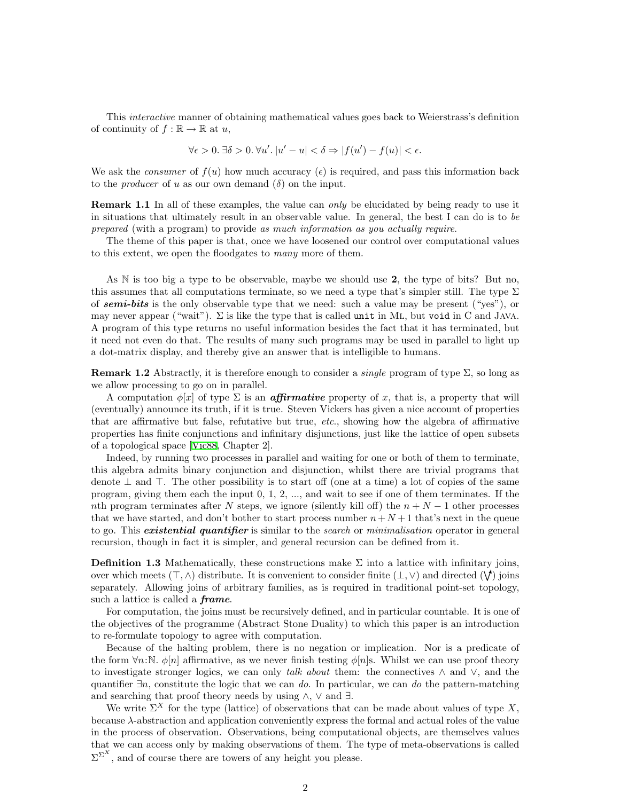This interactive manner of obtaining mathematical values goes back to Weierstrass's definition of continuity of  $f : \mathbb{R} \to \mathbb{R}$  at  $u$ ,

$$
\forall \epsilon > 0. \ \exists \delta > 0. \ \forall u'. \ |u' - u| < \delta \Rightarrow |f(u') - f(u)| < \epsilon.
$$

We ask the *consumer* of  $f(u)$  how much accuracy  $(\epsilon)$  is required, and pass this information back to the *producer* of u as our own demand  $(\delta)$  on the input.

**Remark 1.1** In all of these examples, the value can only be elucidated by being ready to use it in situations that ultimately result in an observable value. In general, the best I can do is to be prepared (with a program) to provide as much information as you actually require.

The theme of this paper is that, once we have loosened our control over computational values to this extent, we open the floodgates to many more of them.

As N is too big a type to be observable, maybe we should use 2, the type of bits? But no, this assumes that all computations terminate, so we need a type that's simpler still. The type  $\Sigma$ of **semi-bits** is the only observable type that we need: such a value may be present ("yes"), or may never appear ("wait").  $\Sigma$  is like the type that is called unit in ML, but void in C and JAVA. A program of this type returns no useful information besides the fact that it has terminated, but it need not even do that. The results of many such programs may be used in parallel to light up a dot-matrix display, and thereby give an answer that is intelligible to humans.

<span id="page-1-0"></span>**Remark 1.2** Abstractly, it is therefore enough to consider a *single* program of type  $\Sigma$ , so long as we allow processing to go on in parallel.

A computation  $\phi[x]$  of type  $\Sigma$  is an *affirmative* property of x, that is, a property that will (eventually) announce its truth, if it is true. Steven Vickers has given a nice account of properties that are affirmative but false, refutative but true, etc., showing how the algebra of affirmative properties has finite conjunctions and infinitary disjunctions, just like the lattice of open subsets of a topological space[[Vic88](#page-40-1), Chapter 2].

Indeed, by running two processes in parallel and waiting for one or both of them to terminate, this algebra admits binary conjunction and disjunction, whilst there are trivial programs that denote  $\perp$  and  $\perp$ . The other possibility is to start off (one at a time) a lot of copies of the same program, giving them each the input 0, 1, 2, ..., and wait to see if one of them terminates. If the nth program terminates after N steps, we ignore (silently kill off) the  $n + N - 1$  other processes that we have started, and don't bother to start process number  $n + N + 1$  that's next in the queue to go. This **existential quantifier** is similar to the *search* or *minimalisation* operator in general recursion, though in fact it is simpler, and general recursion can be defined from it.

<span id="page-1-1"></span>**Definition 1.3** Mathematically, these constructions make  $\Sigma$  into a lattice with infinitary joins, over which meets  $(\top, \wedge)$  distribute. It is convenient to consider finite  $(\bot, \vee)$  and directed  $(\bigvee)$  joins separately. Allowing joins of arbitrary families, as is required in traditional point-set topology, such a lattice is called a *frame*.

For computation, the joins must be recursively defined, and in particular countable. It is one of the objectives of the programme (Abstract Stone Duality) to which this paper is an introduction to re-formulate topology to agree with computation.

Because of the halting problem, there is no negation or implication. Nor is a predicate of the form  $\forall n:\mathbb{N}$ .  $\phi[n]$  affirmative, as we never finish testing  $\phi[n]$ s. Whilst we can use proof theory to investigate stronger logics, we can only talk about them: the connectives  $\wedge$  and  $\vee$ , and the quantifier  $\exists n$ , constitute the logic that we can do. In particular, we can do the pattern-matching and searching that proof theory needs by using  $\land$ ,  $\lor$  and  $\exists$ .

We write  $\Sigma^X$  for the type (lattice) of observations that can be made about values of type X, because λ-abstraction and application conveniently express the formal and actual roles of the value in the process of observation. Observations, being computational objects, are themselves values that we can access only by making observations of them. The type of meta-observations is called  $\Sigma^{\Sigma^{X}}$ , and of course there are towers of any height you please.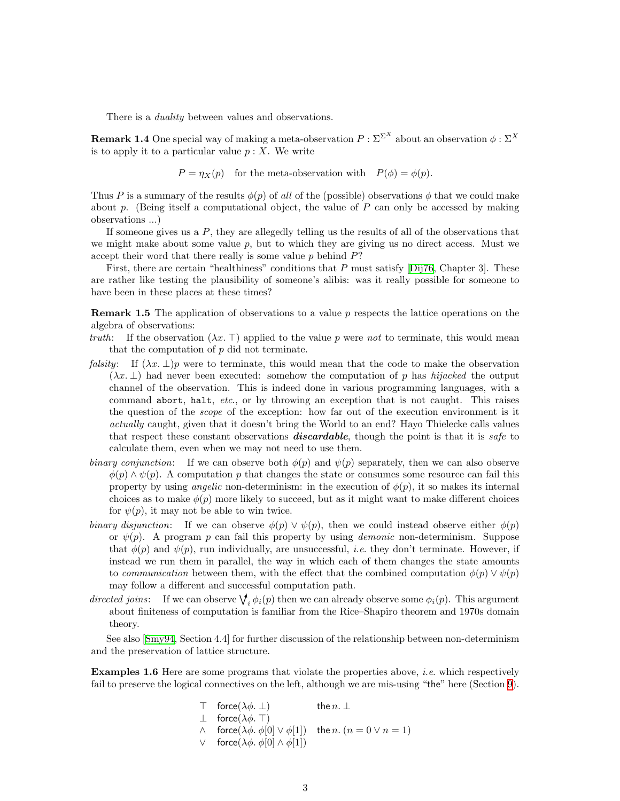There is a *duality* between values and observations.

<span id="page-2-1"></span>**Remark 1.4** One special way of making a meta-observation  $P : \Sigma^{\Sigma^X}$  about an observation  $\phi : \Sigma^X$ is to apply it to a particular value  $p: X$ . We write

$$
P = \eta_X(p)
$$
 for the meta-observation with  $P(\phi) = \phi(p)$ .

Thus P is a summary of the results  $\phi(p)$  of all of the (possible) observations  $\phi$  that we could make about p. (Being itself a computational object, the value of P can only be accessed by making observations ...)

If someone gives us a  $P$ , they are allegedly telling us the results of all of the observations that we might make about some value  $p$ , but to which they are giving us no direct access. Must we accept their word that there really is some value  $p$  behind  $P$ ?

First,there are certain "healthiness" conditions that  $P$  must satisfy [[Dij76](#page-38-0), Chapter 3]. These are rather like testing the plausibility of someone's alibis: was it really possible for someone to have been in these places at these times?

<span id="page-2-0"></span>**Remark 1.5** The application of observations to a value p respects the lattice operations on the algebra of observations:

- truth: If the observation  $(\lambda x.\top)$  applied to the value p were not to terminate, this would mean that the computation of  $p$  did not terminate.
- falsity: If  $(\lambda x. \perp)$  were to terminate, this would mean that the code to make the observation  $(\lambda x.\perp)$  had never been executed: somehow the computation of p has hijacked the output channel of the observation. This is indeed done in various programming languages, with a command abort, halt, etc., or by throwing an exception that is not caught. This raises the question of the scope of the exception: how far out of the execution environment is it actually caught, given that it doesn't bring the World to an end? Hayo Thielecke calls values that respect these constant observations **discardable**, though the point is that it is safe to calculate them, even when we may not need to use them.
- binary conjunction: If we can observe both  $\phi(p)$  and  $\psi(p)$  separately, then we can also observe  $\phi(p) \wedge \psi(p)$ . A computation p that changes the state or consumes some resource can fail this property by using *angelic* non-determinism: in the execution of  $\phi(p)$ , it so makes its internal choices as to make  $\phi(p)$  more likely to succeed, but as it might want to make different choices for  $\psi(p)$ , it may not be able to win twice.
- binary disjunction: If we can observe  $\phi(p) \vee \psi(p)$ , then we could instead observe either  $\phi(p)$ or  $\psi(p)$ . A program p can fail this property by using *demonic* non-determinism. Suppose that  $\phi(p)$  and  $\psi(p)$ , run individually, are unsuccessful, *i.e.* they don't terminate. However, if instead we run them in parallel, the way in which each of them changes the state amounts to communication between them, with the effect that the combined computation  $\phi(p) \vee \psi(p)$ may follow a different and successful computation path.
- directed joins: If we can observe  $\bigvee_i \phi_i(p)$  then we can already observe some  $\phi_i(p)$ . This argument about finiteness of computation is familiar from the Rice–Shapiro theorem and 1970s domain theory.

See also[[Smy94](#page-39-1), Section 4.4] for further discussion of the relationship between non-determinism and the preservation of lattice structure.

Examples 1.6 Here are some programs that violate the properties above, *i.e.* which respectively fail to preserve the logical connectives on the left, although we are mis-using "the" here (Section [9](#page-29-1)).

> $\top$  force $(\lambda \phi. \perp)$  the  $n. \perp$  $\perp$  force( $\lambda \phi$ . T)  $\wedge$  force( $\lambda \phi$ .  $\phi[0] \vee \phi[1]$ ) the n.  $(n = 0 \vee n = 1)$  $∨$  force( $λφ$ .  $φ[0] ∧ φ[1])$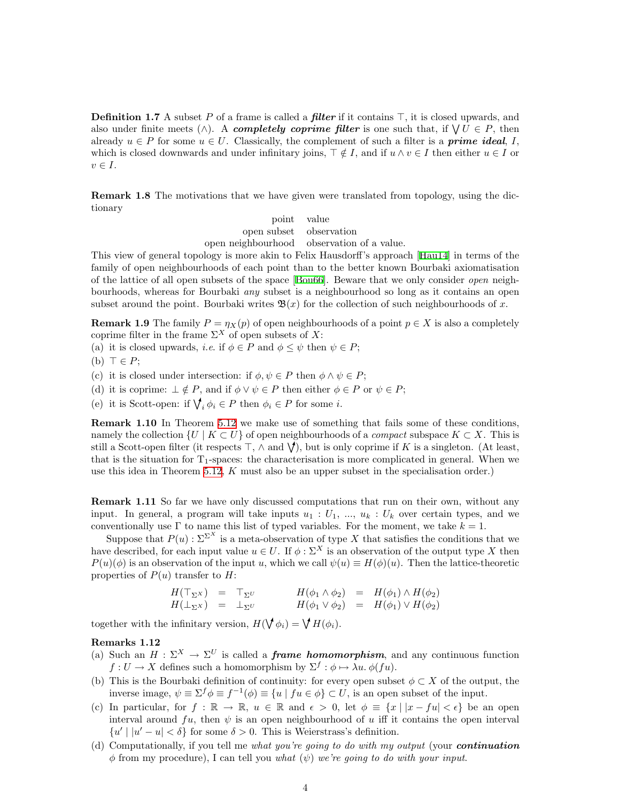<span id="page-3-0"></span>**Definition 1.7** A subset P of a frame is called a *filter* if it contains  $\top$ , it is closed upwards, and also under finite meets ( $\wedge$ ). A completely coprime filter is one such that, if  $\forall U \in P$ , then already  $u \in P$  for some  $u \in U$ . Classically, the complement of such a filter is a **prime ideal**, I, which is closed downwards and under infinitary joins,  $\top \notin I$ , and if  $u \wedge v \in I$  then either  $u \in I$  or  $v \in I$ .

<span id="page-3-2"></span>Remark 1.8 The motivations that we have given were translated from topology, using the dictionary

> point value open subset observation open neighbourhood observation of a value.

This view of general topology is more akin to Felix Hausdorff's approach [\[Hau14](#page-38-1)] in terms of the family of open neighbourhoods of each point than to the better known Bourbaki axiomatisation of the lattice of all open subsets of the space[[Bou66](#page-38-2)]. Beware that we only consider open neighbourhoods, whereas for Bourbaki any subset is a neighbourhood so long as it contains an open subset around the point. Bourbaki writes  $\mathfrak{B}(x)$  for the collection of such neighbourhoods of x.

**Remark 1.9** The family  $P = \eta_X(p)$  of open neighbourhoods of a point  $p \in X$  is also a completely coprime filter in the frame  $\Sigma^X$  of open subsets of X:

(a) it is closed upwards, *i.e.* if  $\phi \in P$  and  $\phi \leq \psi$  then  $\psi \in P$ ;

(b)  $\top \in P$ ;

(c) it is closed under intersection: if  $\phi, \psi \in P$  then  $\phi \wedge \psi \in P$ ;

(d) it is coprime:  $\perp \notin P$ , and if  $\phi \vee \psi \in P$  then either  $\phi \in P$  or  $\psi \in P$ ;

(e) it is Scott-open: if  $\bigvee_i \phi_i \in P$  then  $\phi_i \in P$  for some *i*.

<span id="page-3-3"></span>Remark 1.10 In Theorem [5.12](#page-18-0) we make use of something that fails some of these conditions, namely the collection  $\{U \mid K \subset U\}$  of open neighbourhoods of a *compact* subspace  $K \subset X$ . This is still a Scott-open filter (it respects  $\top$ ,  $\wedge$  and  $\forall$ ), but is only coprime if K is a singleton. (At least, that is the situation for  $T_1$ -spaces: the characterisation is more complicated in general. When we use this idea in Theorem [5.12](#page-18-0), K must also be an upper subset in the specialisation order.)

<span id="page-3-1"></span>**Remark 1.11** So far we have only discussed computations that run on their own, without any input. In general, a program will take inputs  $u_1 : U_1, ..., u_k : U_k$  over certain types, and we conventionally use  $\Gamma$  to name this list of typed variables. For the moment, we take  $k = 1$ .

Suppose that  $P(u): \Sigma^{\Sigma^{X}}$  is a meta-observation of type X that satisfies the conditions that we have described, for each input value  $u \in U$ . If  $\phi : \Sigma^X$  is an observation of the output type X then  $P(u)(\phi)$  is an observation of the input u, which we call  $\psi(u) \equiv H(\phi)(u)$ . Then the lattice-theoretic properties of  $P(u)$  transfer to H:

$$
H(\top_{\Sigma} x) = \top_{\Sigma} v
$$
  
\n
$$
H(\phi_1 \wedge \phi_2) = H(\phi_1) \wedge H(\phi_2)
$$
  
\n
$$
H(\bot_{\Sigma} x) = \bot_{\Sigma} v
$$
  
\n
$$
H(\phi_1 \vee \phi_2) = H(\phi_1) \vee H(\phi_2)
$$

together with the infinitary version,  $H(\mathbf{\nabla} \phi_i) = \mathbf{\nabla} H(\phi_i)$ .

#### Remarks 1.12

- (a) Such an  $H : \Sigma^X \to \Sigma^U$  is called a *frame homomorphism*, and any continuous function  $f: U \to X$  defines such a homomorphism by  $\Sigma^f: \phi \mapsto \lambda u$ .  $\phi(fu)$ .
- (b) This is the Bourbaki definition of continuity: for every open subset  $\phi \subset X$  of the output, the inverse image,  $\psi \equiv \Sigma^f \phi \equiv f^{-1}(\phi) \equiv \{u \mid fu \in \phi\} \subset U$ , is an open subset of the input.
- (c) In particular, for  $f : \mathbb{R} \to \mathbb{R}$ ,  $u \in \mathbb{R}$  and  $\epsilon > 0$ , let  $\phi \equiv \{x \mid |x fu| < \epsilon\}$  be an open interval around  $fu$ , then  $\psi$  is an open neighbourhood of u iff it contains the open interval  $\{u' \mid |u'-u| < \delta\}$  for some  $\delta > 0$ . This is Weierstrass's definition.
- (d) Computationally, if you tell me what you're going to do with my output (your **continuation**  $\phi$  from my procedure), I can tell you what  $(\psi)$  we're going to do with your input.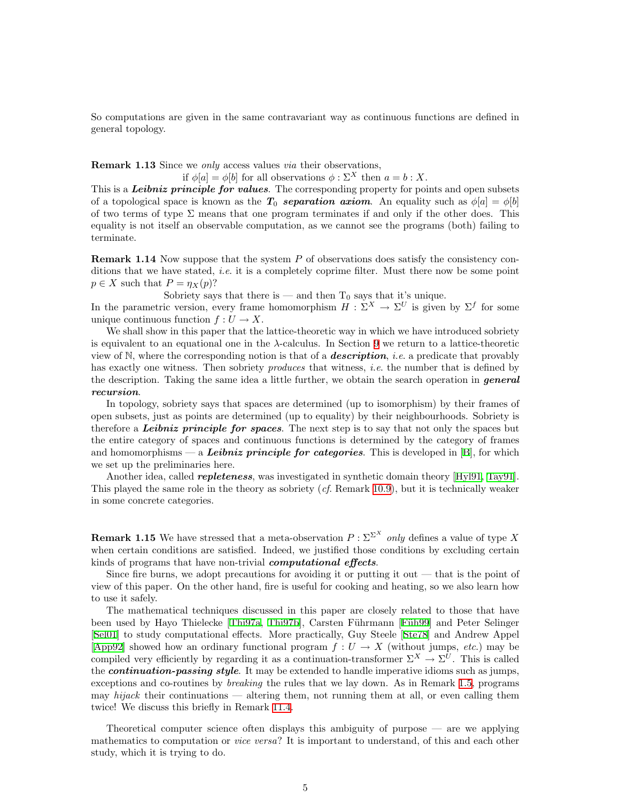So computations are given in the same contravariant way as continuous functions are defined in general topology.

<span id="page-4-0"></span>**Remark 1.13** Since we *only* access values *via* their observations,

if  $\phi[a] = \phi[b]$  for all observations  $\phi : \Sigma^X$  then  $a = b : X$ .

This is a *Leibniz principle for values*. The corresponding property for points and open subsets of a topological space is known as the  $T_0$  separation axiom. An equality such as  $\phi[a] = \phi[b]$ of two terms of type  $\Sigma$  means that one program terminates if and only if the other does. This equality is not itself an observable computation, as we cannot see the programs (both) failing to terminate.

**Remark 1.14** Now suppose that the system  $P$  of observations does satisfy the consistency conditions that we have stated, *i.e.* it is a completely coprime filter. Must there now be some point  $p \in X$  such that  $P = \eta_X(p)$ ?

Sobriety says that there is — and then  $T_0$  says that it's unique.

In the parametric version, every frame homomorphism  $H : \Sigma^X \to \Sigma^U$  is given by  $\Sigma^f$  for some unique continuous function  $f: U \to X$ .

We shall show in this paper that the lattice-theoretic way in which we have introduced sobriety is equivalent to an equational one in the  $\lambda$ -calculus. In Section [9](#page-29-1) we return to a lattice-theoretic view of  $\mathbb{N}$ , where the corresponding notion is that of a **description**, *i.e.* a predicate that provably has exactly one witness. Then sobriety *produces* that witness, *i.e.* the number that is defined by the description. Taking the same idea a little further, we obtain the search operation in *general* recursion.

In topology, sobriety says that spaces are determined (up to isomorphism) by their frames of open subsets, just as points are determined (up to equality) by their neighbourhoods. Sobriety is therefore a Leibniz principle for spaces. The next step is to say that not only the spaces but the entire category of spaces and continuous functions is determined by the category of frames and homomorphisms — a Leibniz principle for categories. This is developed in  $[B]$ , for which we set up the preliminaries here.

Another idea, called *repleteness*, was investigated in synthetic domain theory [\[Hyl91,](#page-39-2) [Tay91](#page-40-3)]. This played the same role in the theory as sobriety  $(cf.$  Remark [10.9](#page-34-0)), but it is technically weaker in some concrete categories.

**Remark 1.15** We have stressed that a meta-observation  $P : \Sigma^{\Sigma^X}$  only defines a value of type X when certain conditions are satisfied. Indeed, we justified those conditions by excluding certain kinds of programs that have non-trivial *computational effects*.

Since fire burns, we adopt precautions for avoiding it or putting it out  $-$  that is the point of view of this paper. On the other hand, fire is useful for cooking and heating, so we also learn how to use it safely.

The mathematical techniques discussed in this paper are closely related to those that have beenused by Hayo Thielecke [[Thi97a](#page-40-4), [Thi97b](#page-40-5)], Carsten Führmann [Füh99] and Peter Selinger [[Sel01](#page-39-3)] to study computational effects. More practically, Guy Steele [\[Ste78](#page-40-6)] and Andrew Appel [[App92](#page-38-4)] showed how an ordinary functional program  $f: U \to X$  (without jumps, etc.) may be compiled very efficiently by regarding it as a continuation-transformer  $\Sigma^X \to \Sigma^U$ . This is called the **continuation-passing style**. It may be extended to handle imperative idioms such as jumps, exceptions and co-routines by *breaking* the rules that we lay down. As in Remark [1.5](#page-2-0), programs may  $hijack$  their continuations — altering them, not running them at all, or even calling them twice! We discuss this briefly in Remark [11.4](#page-37-0).

Theoretical computer science often displays this ambiguity of purpose — are we applying mathematics to computation or *vice versa*? It is important to understand, of this and each other study, which it is trying to do.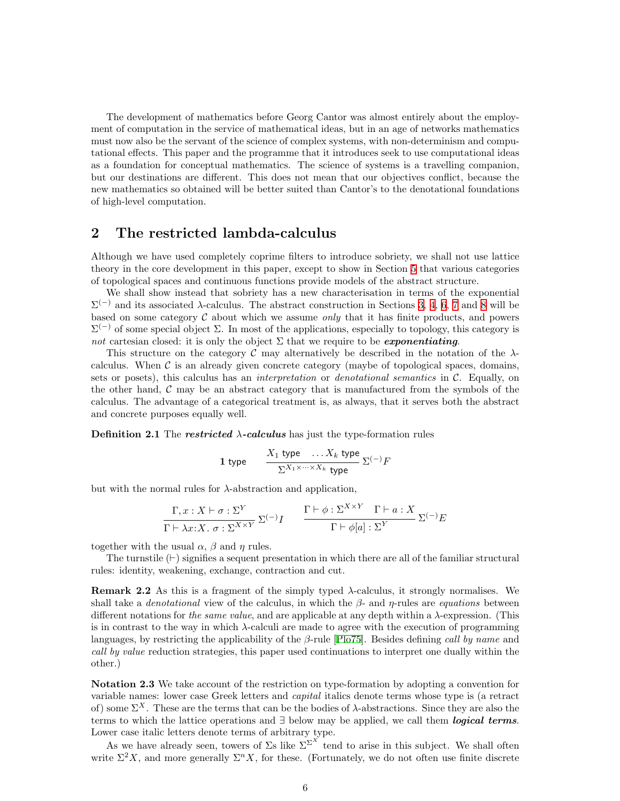<span id="page-5-0"></span>The development of mathematics before Georg Cantor was almost entirely about the employment of computation in the service of mathematical ideas, but in an age of networks mathematics must now also be the servant of the science of complex systems, with non-determinism and computational effects. This paper and the programme that it introduces seek to use computational ideas as a foundation for conceptual mathematics. The science of systems is a travelling companion, but our destinations are different. This does not mean that our objectives conflict, because the new mathematics so obtained will be better suited than Cantor's to the denotational foundations of high-level computation.

# <span id="page-5-3"></span>2 The restricted lambda-calculus

Although we have used completely coprime filters to introduce sobriety, we shall not use lattice theory in the core development in this paper, except to show in Section [5](#page-15-1) that various categories of topological spaces and continuous functions provide models of the abstract structure.

We shall show instead that sobriety has a new characterisation in terms of the exponential  $\Sigma^{(-)}$  and its associated λ-calculus. The abstract construction in Sections [3,](#page-8-1) [4,](#page-11-1) [6](#page-19-1), [7](#page-22-1) and [8](#page-26-1) will be based on some category  $\mathcal C$  about which we assume *only* that it has finite products, and powers  $\Sigma^{(-)}$  of some special object Σ. In most of the applications, especially to topology, this category is not cartesian closed: it is only the object  $\Sigma$  that we require to be *exponentiating*.

This structure on the category C may alternatively be described in the notation of the  $\lambda$ calculus. When  $\mathcal C$  is an already given concrete category (maybe of topological spaces, domains, sets or posets), this calculus has an *interpretation* or *denotational semantics* in  $C$ . Equally, on the other hand,  $\mathcal C$  may be an abstract category that is manufactured from the symbols of the calculus. The advantage of a categorical treatment is, as always, that it serves both the abstract and concrete purposes equally well.

<span id="page-5-1"></span>**Definition 2.1** The **restricted**  $\lambda$ -calculus has just the type-formation rules

1 type 
$$
\frac{X_1 \text{ type } \dots X_k \text{ type}}{\sum_{X_1 \times \dots \times X_k} \text{ type }} \sum_{i=1}^{N} F_i
$$

but with the normal rules for  $\lambda$ -abstraction and application,

$$
\frac{\Gamma, x: X \vdash \sigma : \Sigma^{Y}}{\Gamma \vdash \lambda x: X. \ \sigma : \Sigma^{X \times Y}} \Sigma^{(-)}I \qquad \frac{\Gamma \vdash \phi : \Sigma^{X \times Y} \quad \Gamma \vdash a: X}{\Gamma \vdash \phi[a] : \Sigma^{Y}} \Sigma^{(-)}E
$$

together with the usual  $\alpha$ ,  $\beta$  and  $\eta$  rules.

The turnstile  $(\vdash)$  signifies a sequent presentation in which there are all of the familiar structural rules: identity, weakening, exchange, contraction and cut.

**Remark 2.2** As this is a fragment of the simply typed  $\lambda$ -calculus, it strongly normalises. We shall take a *denotational* view of the calculus, in which the  $\beta$ - and  $\eta$ -rules are *equations* between different notations for the same value, and are applicable at any depth within a  $\lambda$ -expression. (This is in contrast to the way in which λ-calculi are made to agree with the execution of programming languages, by restricting the applicability of the  $\beta$ -rule [\[Plo75\]](#page-39-4). Besides defining call by name and call by value reduction strategies, this paper used continuations to interpret one dually within the other.)

<span id="page-5-2"></span>Notation 2.3 We take account of the restriction on type-formation by adopting a convention for variable names: lower case Greek letters and capital italics denote terms whose type is (a retract of) some  $\Sigma^X$ . These are the terms that can be the bodies of  $\lambda$ -abstractions. Since they are also the terms to which the lattice operations and  $\exists$  below may be applied, we call them **logical terms**. Lower case italic letters denote terms of arbitrary type.

As we have already seen, towers of  $\Sigma$ s like  $\Sigma^{\Sigma^{X}}$  tend to arise in this subject. We shall often write  $\Sigma^2 X$ , and more generally  $\Sigma^n X$ , for these. (Fortunately, we do not often use finite discrete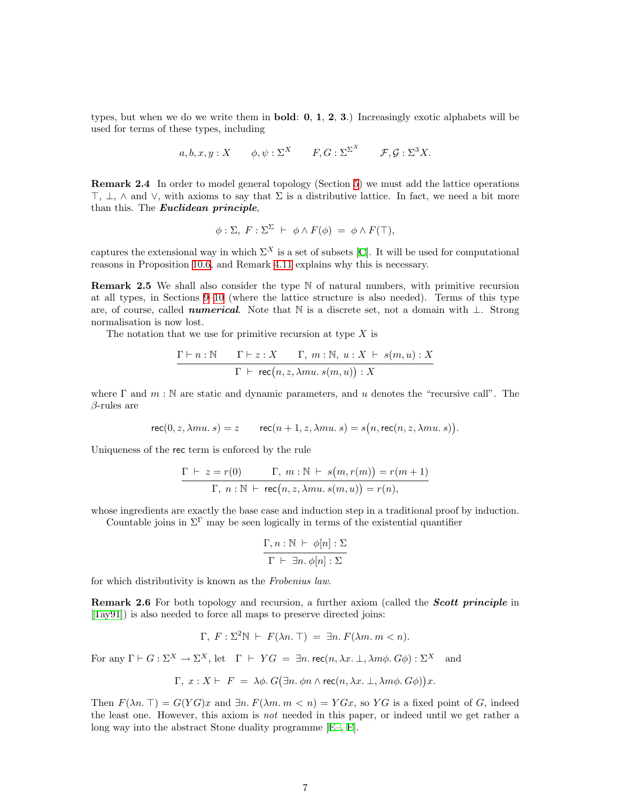types, but when we do we write them in **bold:**  $0, 1, 2, 3$ .) Increasingly exotic alphabets will be used for terms of these types, including

$$
a, b, x, y: X
$$
  $\phi, \psi: \Sigma^X$   $F, G: \Sigma^{\Sigma^X}$   $F, \mathcal{G}: \Sigma^3 X$ .

<span id="page-6-0"></span>Remark 2.4 In order to model general topology (Section [5](#page-15-1)) we must add the lattice operations  $\top$ ,  $\bot$ ,  $\wedge$  and  $\vee$ , with axioms to say that  $\Sigma$  is a distributive lattice. In fact, we need a bit more than this. The *Euclidean principle*,

$$
\phi: \Sigma, F: \Sigma^{\Sigma} \vdash \phi \wedge F(\phi) = \phi \wedge F(\top),
$$

captures the extensional way in which  $\Sigma^X$  is a set of subsets [\[C\]](#page-40-7). It will be used for computational reasons in Proposition [10.6,](#page-33-0) and Remark [4.11](#page-14-0) explains why this is necessary.

<span id="page-6-3"></span>**Remark 2.5** We shall also consider the type  $\mathbb N$  of natural numbers, with primitive recursion at all types, in Sections [9](#page-29-1)[–10](#page-32-1) (where the lattice structure is also needed). Terms of this type are, of course, called *numerical*. Note that N is a discrete set, not a domain with  $\perp$ . Strong normalisation is now lost.

The notation that we use for primitive recursion at type  $X$  is

$$
\frac{\Gamma\vdash n:\mathbb{N}\qquad \Gamma\vdash z:X\qquad \Gamma,\ m:\mathbb{N},\ u:X\ \vdash\ s(m,u):X}{\Gamma\ \vdash\ \mathsf{rec}\big(n,z,\lambda mu.\ s(m,u)\big):X}
$$

where  $\Gamma$  and  $m : \mathbb{N}$  are static and dynamic parameters, and u denotes the "recursive call". The  $\beta$ -rules are

$$
\mathsf{rec}(0, z, \lambda mu, s) = z \qquad \mathsf{rec}(n+1, z, \lambda mu, s) = s(n, \mathsf{rec}(n, z, \lambda mu, s)).
$$

Uniqueness of the rec term is enforced by the rule

$$
\frac{\Gamma \vdash z = r(0)}{\Gamma, n : \mathbb{N} \vdash \mathsf{rec}(n, z, \lambda m u. s(m, u)) = r(m + 1)}{\Gamma, n : \mathbb{N} \vdash \mathsf{rec}(n, z, \lambda m u. s(m, u)) = r(n),}
$$

whose ingredients are exactly the base case and induction step in a traditional proof by induction.

Countable joins in  $\Sigma^{\Gamma}$  may be seen logically in terms of the existential quantifier

$$
\frac{\Gamma, n : \mathbb{N} \vdash \phi[n] : \Sigma}{\Gamma \vdash \exists n. \phi[n] : \Sigma}
$$

<span id="page-6-1"></span>for which distributivity is known as the Frobenius law.

**Remark 2.6** For both topology and recursion, a further axiom (called the **Scott principle** in [[Tay91](#page-40-3)]) is also needed to force all maps to preserve directed joins:

$$
\Gamma, F: \Sigma^2 \mathbb{N} \vdash F(\lambda n. \top) = \exists n. F(\lambda m. m < n).
$$

For any  $\Gamma \vdash G : \Sigma^X \to \Sigma^X$ , let  $\Gamma \vdash YG = \exists n.\text{rec}(n, \lambda x. \bot, \lambda m\phi. G\phi) : \Sigma^X$  and

$$
\Gamma, x: X \vdash F = \lambda \phi. G(\exists n. \phi n \land \text{rec}(n, \lambda x. \bot, \lambda m \phi. G\phi))x.
$$

<span id="page-6-2"></span>Then  $F(\lambda n. \top) = G(YG)x$  and  $\exists n. F(\lambda m. m < n) = YGx$ , so YG is a fixed point of G, indeed the least one. However, this axiom is not needed in this paper, or indeed until we get rather a long way into the abstract Stone duality programme[[E–,](#page-40-8) [F](#page-40-9)].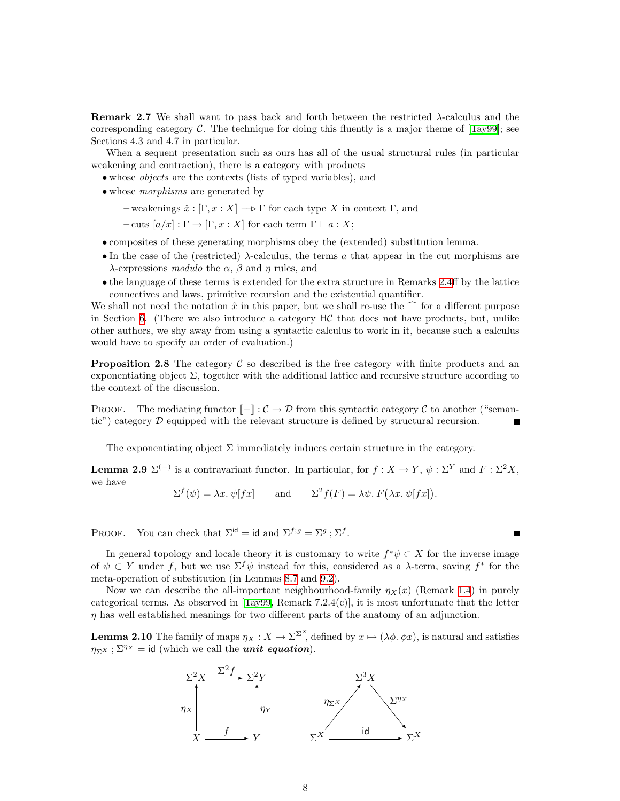Remark 2.7 We shall want to pass back and forth between the restricted  $\lambda$ -calculus and the correspondingcategory  $\mathcal C$ . The technique for doing this fluently is a major theme of  $[Tay99]$  $[Tay99]$  $[Tay99]$ ; see Sections 4.3 and 4.7 in particular.

When a sequent presentation such as ours has all of the usual structural rules (in particular weakening and contraction), there is a category with products

- whose *objects* are the contexts (lists of typed variables), and
- whose *morphisms* are generated by
	- $-$  weakenings  $\hat{x}$  :  $[\Gamma, x : X] \longrightarrow \Gamma$  for each type X in context  $\Gamma$ , and
	- $-{\rm cuts}~[a/x]:\Gamma\to [\Gamma, x:X]$  for each term  $\Gamma\vdash a:X;$
- composites of these generating morphisms obey the (extended) substitution lemma.
- In the case of the (restricted)  $\lambda$ -calculus, the terms a that appear in the cut morphisms are λ-expressions modulo the  $\alpha$ ,  $\beta$  and  $\eta$  rules, and
- the language of these terms is extended for the extra structure in Remarks [2.4ff](#page-6-0) by the lattice connectives and laws, primitive recursion and the existential quantifier.

We shall not need the notation  $\hat{x}$  in this paper, but we shall re-use the  $\hat{c}$  for a different purpose in Section [6.](#page-19-1) (There we also introduce a category  $H\mathcal{C}$  that does not have products, but, unlike other authors, we shy away from using a syntactic calculus to work in it, because such a calculus would have to specify an order of evaluation.)

<span id="page-7-1"></span>**Proposition 2.8** The category  $\mathcal{C}$  so described is the free category with finite products and an exponentiating object  $\Sigma$ , together with the additional lattice and recursive structure according to the context of the discussion.

PROOF. The mediating functor  $\llbracket - \rrbracket : C \to \mathcal{D}$  from this syntactic category C to another ("semantic") category  $\mathcal D$  equipped with the relevant structure is defined by structural recursion.

The exponentiating object  $\Sigma$  immediately induces certain structure in the category.

**Lemma 2.9**  $\Sigma^{(-)}$  is a contravariant functor. In particular, for  $f: X \to Y$ ,  $\psi: \Sigma^{Y}$  and  $F: \Sigma^{2} X$ , we have

$$
\Sigma^{f}(\psi) = \lambda x.\ \psi[fx] \qquad \text{and} \qquad \Sigma^{2}f(F) = \lambda \psi.\ F(\lambda x.\ \psi[fx]).
$$

PROOF. You can check that  $\Sigma^{\text{id}} = \text{id}$  and  $\Sigma^{f,g} = \Sigma^g$ ;  $\Sigma^f$ .

In general topology and locale theory it is customary to write  $f^*\psi \subset X$  for the inverse image of  $\psi \subset Y$  under f, but we use  $\Sigma^f \psi$  instead for this, considered as a  $\lambda$ -term, saving  $f^*$  for the meta-operation of substitution (in Lemmas [8.7](#page-27-0) and [9.2](#page-29-2)).

 $\blacksquare$ 

Now we can describe the all-important neighbourhood-family  $\eta_X(x)$  (Remark [1.4](#page-2-1)) in purely categorical terms. As observed in  $[Tay99,$  Remark 7.2.4(c), it is most unfortunate that the letter  $\eta$  has well established meanings for two different parts of the anatomy of an adjunction.

<span id="page-7-0"></span>**Lemma 2.10** The family of maps  $\eta_X : X \to \Sigma^{\Sigma^X}$ , defined by  $x \mapsto (\lambda \phi, \phi x)$ , is natural and satisfies  $\eta_{\Sigma X}$ ;  $\Sigma^{\eta_X}$  = id (which we call the *unit equation*).

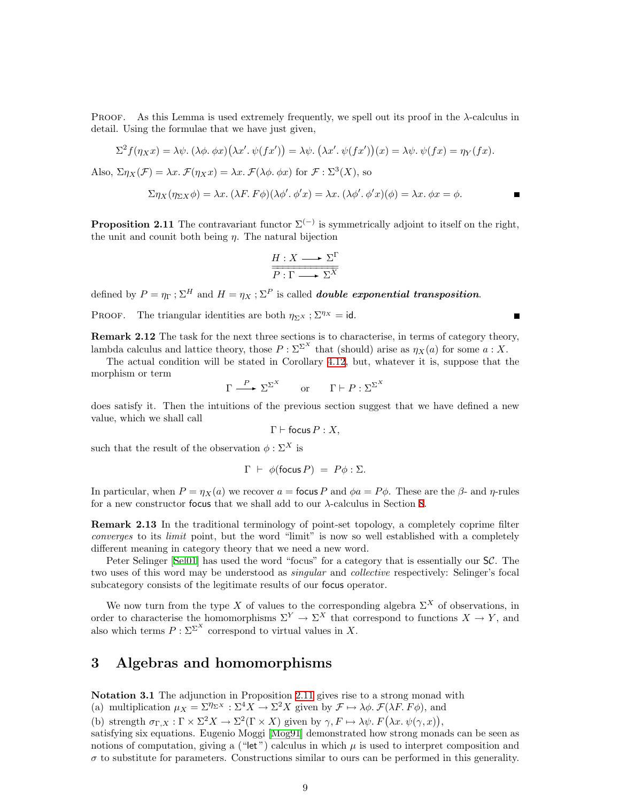<span id="page-8-0"></span>PROOF. As this Lemma is used extremely frequently, we spell out its proof in the  $\lambda$ -calculus in detail. Using the formulae that we have just given,

$$
\Sigma^2 f(\eta_X x) = \lambda \psi. \ (\lambda \phi. \ \phi x) (\lambda x'. \ \psi(fx')) = \lambda \psi. \ (\lambda x'. \ \psi(fx'))(x) = \lambda \psi. \ \psi(fx) = \eta_Y(fx).
$$
  
Also,  $\Sigma \eta_X(\mathcal{F}) = \lambda x. \ \mathcal{F}(\eta_X x) = \lambda x. \ \mathcal{F}(\lambda \phi. \ \phi x)$  for  $\mathcal{F} : \Sigma^3(X)$ , so

$$
\Sigma \eta_X(\eta_{\Sigma X} \phi) = \lambda x. \ (\lambda F. \ F\phi)(\lambda \phi'. \ \phi' x) = \lambda x. \ (\lambda \phi'. \ \phi' x)(\phi) = \lambda x. \ \phi x = \phi.
$$

<span id="page-8-2"></span>**Proposition 2.11** The contravariant functor  $\Sigma^{(-)}$  is symmetrically adjoint to itself on the right, the unit and counit both being  $\eta$ . The natural bijection

$$
\frac{H:X\longrightarrow\Sigma^{\Gamma}}{P:\Gamma\longrightarrow\Sigma^{\overline{X}}}
$$

defined by  $P = \eta_{\Gamma}$ ;  $\Sigma^H$  and  $H = \eta_X$ ;  $\Sigma^P$  is called *double exponential transposition.* 

<span id="page-8-3"></span>PROOF. The triangular identities are both  $\eta_{\Sigma} x$ ;  $\Sigma^{\eta x} = id$ .

Remark 2.12 The task for the next three sections is to characterise, in terms of category theory, lambda calculus and lattice theory, those  $P : \Sigma^{\Sigma^X}$  that (should) arise as  $\eta_X(a)$  for some  $a : X$ .

The actual condition will be stated in Corollary [4.12](#page-14-1), but, whatever it is, suppose that the morphism or term

$$
\Gamma \xrightarrow{P} \Sigma^{\Sigma^X} \qquad \text{or} \qquad \Gamma \vdash P : \Sigma^{\Sigma^X}
$$

does satisfy it. Then the intuitions of the previous section suggest that we have defined a new value, which we shall call

$$
\Gamma \vdash \mathsf{focus}\, P : X,
$$

such that the result of the observation  $\phi : \Sigma^X$  is

$$
\Gamma \ \vdash \ \phi(\text{focus } P) \ = \ P\phi : \Sigma.
$$

In particular, when  $P = \eta_X(a)$  we recover  $a =$  focus P and  $\phi a = P\phi$ . These are the  $\beta$ - and  $\eta$ -rules for a new constructor focus that we shall add to our λ-calculus in Section [8.](#page-26-1)

Remark 2.13 In the traditional terminology of point-set topology, a completely coprime filter converges to its limit point, but the word "limit" is now so well established with a completely different meaning in category theory that we need a new word.

PeterSelinger [[Sel01](#page-39-3)] has used the word "focus" for a category that is essentially our SC. The two uses of this word may be understood as *singular* and *collective* respectively: Selinger's focal subcategory consists of the legitimate results of our focus operator.

We now turn from the type X of values to the corresponding algebra  $\Sigma^X$  of observations, in order to characterise the homomorphisms  $\Sigma^Y \to \Sigma^X$  that correspond to functions  $X \to Y$ , and also which terms  $P : \Sigma^{\Sigma^X}$  correspond to virtual values in X.

# <span id="page-8-1"></span>3 Algebras and homomorphisms

Notation 3.1 The adjunction in Proposition [2.11](#page-8-2) gives rise to a strong monad with

(a) multiplication  $\mu_X = \Sigma^{\eta_{\Sigma^X}} : \Sigma^4 X \to \Sigma^2 X$  given by  $\mathcal{F} \mapsto \lambda \phi$ .  $\mathcal{F}(\lambda F. F \phi)$ , and

(b) strength  $\sigma_{\Gamma,X} : \Gamma \times \Sigma^2 X \to \Sigma^2(\Gamma \times X)$  given by  $\gamma, F \mapsto \lambda \psi \cdot F(\lambda x. \psi(\gamma, x)),$ 

satisfying six equations. Eugenio Moggi[[Mog91\]](#page-39-5) demonstrated how strong monads can be seen as notions of computation, giving a ("let") calculus in which  $\mu$  is used to interpret composition and  $\sigma$  to substitute for parameters. Constructions similar to ours can be performed in this generality.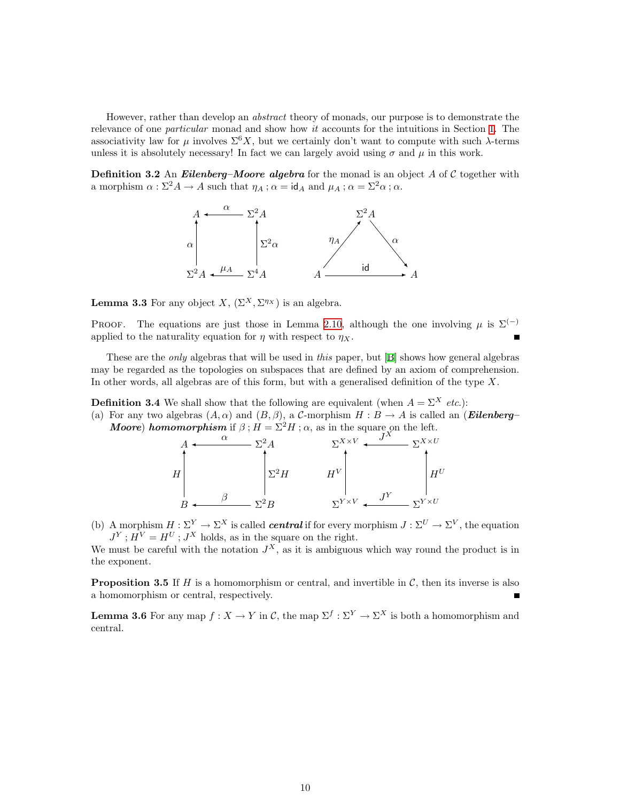However, rather than develop an abstract theory of monads, our purpose is to demonstrate the relevance of one *particular* monad and show how *it* accounts for the intuitions in Section [1](#page-0-1). The associativity law for  $\mu$  involves  $\Sigma^6 X$ , but we certainly don't want to compute with such  $\lambda$ -terms unless it is absolutely necessary! In fact we can largely avoid using  $\sigma$  and  $\mu$  in this work.

<span id="page-9-5"></span>**Definition 3.2** An *Eilenberg–Moore algebra* for the monad is an object A of C together with a morphism  $\alpha : \Sigma^2 A \to A$  such that  $\eta_A$ ;  $\alpha = id_A$  and  $\mu_A$ ;  $\alpha = \Sigma^2 \alpha$ ;  $\alpha$ .



<span id="page-9-0"></span>**Lemma 3.3** For any object X,  $(\Sigma^X, \Sigma^{\eta_X})$  is an algebra.

PROOF. The equations are just those in Lemma [2.10,](#page-7-0) although the one involving  $\mu$  is  $\Sigma^{(-)}$ applied to the naturality equation for  $\eta$  with respect to  $\eta_X$ .

These are the *only* algebras that will be used in *this* paper, but [\[B\]](#page-40-2) shows how general algebras may be regarded as the topologies on subspaces that are defined by an axiom of comprehension. In other words, all algebras are of this form, but with a generalised definition of the type  $X$ .

<span id="page-9-4"></span>**Definition 3.4** We shall show that the following are equivalent (when  $A = \sum^{X} etc.$ ):

<span id="page-9-2"></span>(a) For any two algebras  $(A, \alpha)$  and  $(B, \beta)$ , a C-morphism  $H : B \to A$  is called an (**Eilenberg– Moore)** homomorphism if  $\beta$ ;  $H = \Sigma^2 H$ ;  $\alpha$ , as in the square on the left.



<span id="page-9-3"></span>(b) A morphism  $H : \Sigma^Y \to \Sigma^X$  is called *central* if for every morphism  $J : \Sigma^U \to \Sigma^V$ , the equation  $J^Y$ ;  $H^V = H^U$ ;  $J^X$  holds, as in the square on the right.

We must be careful with the notation  $J^X$ , as it is ambiguous which way round the product is in the exponent.

<span id="page-9-6"></span>**Proposition 3.5** If  $H$  is a homomorphism or central, and invertible in  $C$ , then its inverse is also a homomorphism or central, respectively.

<span id="page-9-1"></span>**Lemma 3.6** For any map  $f: X \to Y$  in C, the map  $\Sigma^f: \Sigma^Y \to \Sigma^X$  is both a homomorphism and central.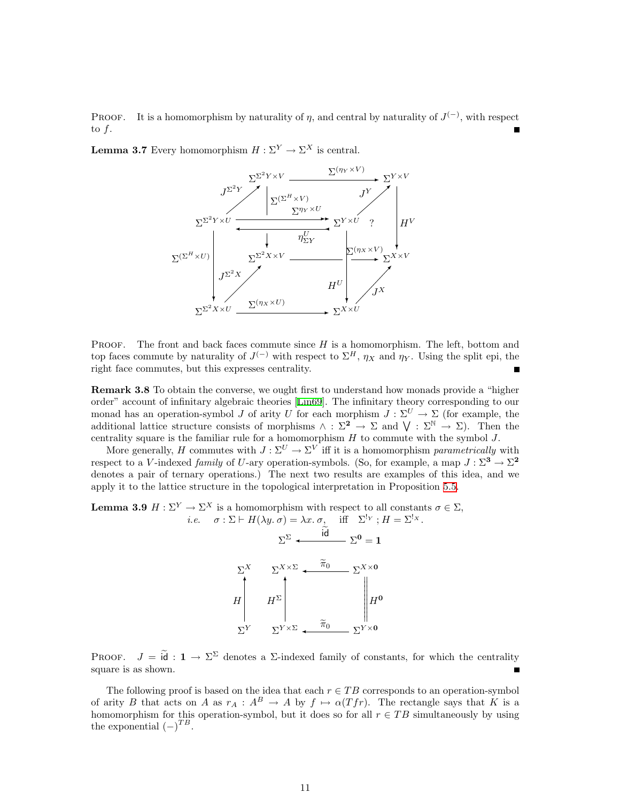**PROOF.** It is a homomorphism by naturality of  $\eta$ , and central by naturality of  $J^{(-)}$ , with respect to  $f$ .

<span id="page-10-0"></span>**Lemma 3.7** Every homomorphism  $H : \Sigma^Y \to \Sigma^X$  is central.



**PROOF.** The front and back faces commute since  $H$  is a homomorphism. The left, bottom and top faces commute by naturality of  $J^{(-)}$  with respect to  $\Sigma^H$ ,  $\eta_X$  and  $\eta_Y$ . Using the split epi, the right face commutes, but this expresses centrality.

**Remark 3.8** To obtain the converse, we ought first to understand how monads provide a "higher" order" account of infinitary algebraic theories[[Lin69](#page-39-6)]. The infinitary theory corresponding to our monad has an operation-symbol J of arity U for each morphism  $J : \Sigma^U \to \Sigma$  (for example, the additional lattice structure consists of morphisms  $\wedge$  :  $\Sigma^2 \to \Sigma$  and  $\bigvee$  :  $\Sigma^{\mathbb{N}} \to \Sigma$ ). Then the centrality square is the familiar rule for a homomorphism  $H$  to commute with the symbol  $J$ .

More generally, H commutes with  $J: \Sigma^U \to \Sigma^V$  iff it is a homomorphism parametrically with respect to a V-indexed family of U-ary operation-symbols. (So, for example, a map  $J : \Sigma^3 \to \Sigma^2$ denotes a pair of ternary operations.) The next two results are examples of this idea, and we apply it to the lattice structure in the topological interpretation in Proposition [5.5.](#page-16-0)

<span id="page-10-1"></span>**Lemma 3.9**  $H : \Sigma^Y \to \Sigma^X$  is a homomorphism with respect to all constants  $\sigma \in \Sigma$ , *i.e.*  $\sigma : \Sigma \vdash H(\lambda y. \sigma) = \lambda x. \sigma$ , iff  $\Sigma^{!_{Y}}$ ;  $H = \Sigma^{!_{X}}$ .



PROOF.  $J = \tilde{d} : 1 \to \Sigma^{\Sigma}$  denotes a  $\Sigma$ -indexed family of constants, for which the centrality square is as shown.

The following proof is based on the idea that each  $r \in TB$  corresponds to an operation-symbol of arity B that acts on A as  $r_A : A^B \to A$  by  $f \mapsto \alpha(Tfr)$ . The rectangle says that K is a homomorphism for this operation-symbol, but it does so for all  $r \in TB$  simultaneously by using the exponential  $(-)^{TB}$ .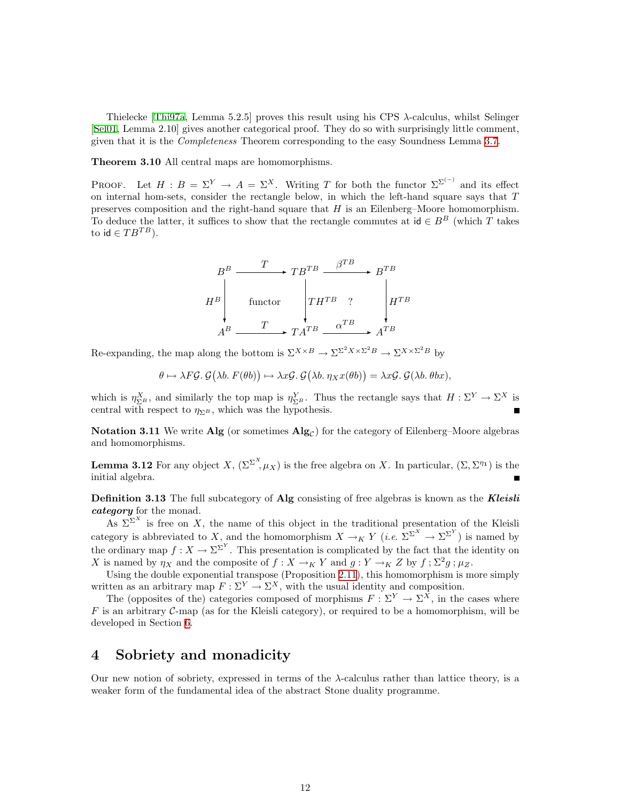<span id="page-11-0"></span>Thielecke [\[Thi97a,](#page-40-4) Lemma 5.2.5] proves this result using his CPS λ-calculus, whilst Selinger [[Sel01](#page-39-3), Lemma 2.10] gives another categorical proof. They do so with surprisingly little comment, given that it is the Completeness Theorem corresponding to the easy Soundness Lemma [3.7.](#page-10-0)

<span id="page-11-4"></span>Theorem 3.10 All central maps are homomorphisms.

PROOF. Let  $H : B = \Sigma^Y \to A = \Sigma^X$ . Writing T for both the functor  $\Sigma^{\Sigma^{(-)}}$  and its effect on internal hom-sets, consider the rectangle below, in which the left-hand square says that  $T$ preserves composition and the right-hand square that  $H$  is an Eilenberg–Moore homomorphism. To deduce the latter, it suffices to show that the rectangle commutes at  $id \in B^B$  (which T takes to id  $\in TB^{TB}$ ).

$$
H^{B} \xrightarrow{T} T B^{TB} \xrightarrow{\beta^{TB}} B^{TB}
$$
  
\n
$$
H^{B} \xrightarrow{\text{functor}} T H^{TB} ? \xrightarrow{\beta^{TB}} H^{TB}
$$
  
\n
$$
A^{B} \xrightarrow{T} T A^{TB} \xrightarrow{\alpha^{TB}} A^{TB}
$$

Re-expanding, the map along the bottom is  $\Sigma^{X \times B} \to \Sigma^{S^2 X \times \Sigma^2 B} \to \Sigma^{X \times \Sigma^2 B}$  by

$$
\theta \mapsto \lambda F\mathcal{G}. \mathcal{G}(\lambda b. F(\theta b)) \mapsto \lambda x \mathcal{G}. \mathcal{G}(\lambda b. \eta_X x(\theta b)) = \lambda x \mathcal{G}. \mathcal{G}(\lambda b. \theta bx),
$$

which is  $\eta_{\Sigma^B}^X$ , and similarly the top map is  $\eta_{\Sigma^B}^Y$ . Thus the rectangle says that  $H : \Sigma^Y \to \Sigma^X$  is central with respect to  $\eta_{\Sigma^B}$ , which was the hypothesis.

**Notation 3.11** We write Alg (or sometimes  $\text{Alg}_{\mathcal{C}}$ ) for the category of Eilenberg–Moore algebras and homomorphisms.

<span id="page-11-5"></span>**Lemma 3.12** For any object  $X$ ,  $(\Sigma^{\Sigma^X}, \mu_X)$  is the free algebra on X. In particular,  $(\Sigma, \Sigma^{\eta_1})$  is the initial algebra.

<span id="page-11-3"></span>**Definition 3.13** The full subcategory of Alg consisting of free algebras is known as the **Kleisli** category for the monad.

As  $\Sigma^{\Sigma^{X}}$  is free on X, the name of this object in the traditional presentation of the Kleisli category is abbreviated to X, and the homomorphism  $X \to_K Y$  (*i.e.*  $\Sigma^{\Sigma^X} \to \Sigma^{\Sigma^Y}$ ) is named by the ordinary map  $f: X \to \Sigma^{\Sigma^Y}$ . This presentation is complicated by the fact that the identity on X is named by  $\eta_X$  and the composite of  $f: X \to_K Y$  and  $g: Y \to_K Z$  by  $f: \Sigma^2 g: \mu_Z$ .

Using the double exponential transpose (Proposition [2.11](#page-8-2)), this homomorphism is more simply written as an arbitrary map  $F: \Sigma^Y \to \Sigma^X$ , with the usual identity and composition.

The (opposites of the) categories composed of morphisms  $F: \Sigma^Y \to \Sigma^{\overline{X}}$ , in the cases where  $F$  is an arbitrary  $C$ -map (as for the Kleisli category), or required to be a homomorphism, will be developed in Section [6.](#page-19-1)

#### <span id="page-11-1"></span>4 Sobriety and monadicity

<span id="page-11-2"></span>Our new notion of sobriety, expressed in terms of the  $\lambda$ -calculus rather than lattice theory, is a weaker form of the fundamental idea of the abstract Stone duality programme.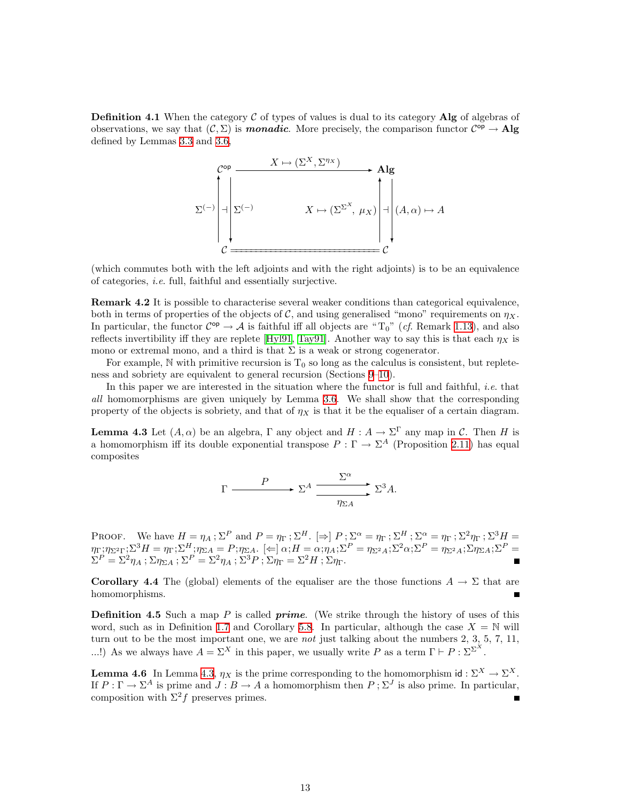**Definition 4.1** When the category  $\mathcal{C}$  of types of values is dual to its category Alg of algebras of observations, we say that  $(C, \Sigma)$  is **monadic**. More precisely, the comparison functor  $C^{op} \to \mathbf{Alg}$ defined by Lemmas [3.3](#page-9-0) and [3.6,](#page-9-1)



(which commutes both with the left adjoints and with the right adjoints) is to be an equivalence of categories, i.e. full, faithful and essentially surjective.

<span id="page-12-1"></span>Remark 4.2 It is possible to characterise several weaker conditions than categorical equivalence, both in terms of properties of the objects of C, and using generalised "mono" requirements on  $\eta_X$ . In particular, the functor  $C^{op} \to \mathcal{A}$  is faithful iff all objects are "T<sub>0</sub>" (*cf.* Remark [1.13\)](#page-4-0), and also reflectsinvertibility iff they are replete [[Hyl91](#page-39-2), [Tay91\]](#page-40-3). Another way to say this is that each  $\eta_X$  is mono or extremal mono, and a third is that  $\Sigma$  is a weak or strong cogenerator.

For example, N with primitive recursion is  $T_0$  so long as the calculus is consistent, but repleteness and sobriety are equivalent to general recursion (Sections [9](#page-29-1)[–10](#page-32-1)).

In this paper we are interested in the situation where the functor is full and faithful, *i.e.* that all homomorphisms are given uniquely by Lemma [3.6](#page-9-1). We shall show that the corresponding property of the objects is sobriety, and that of  $\eta_X$  is that it be the equaliser of a certain diagram.

<span id="page-12-0"></span>**Lemma 4.3** Let  $(A, \alpha)$  be an algebra,  $\Gamma$  any object and  $H : A \to \Sigma^{\Gamma}$  any map in C. Then H is a homomorphism iff its double exponential transpose  $P : \Gamma \to \Sigma^A$  (Proposition [2.11\)](#page-8-2) has equal composites

$$
\Gamma \xrightarrow{\qquad P} \Sigma^A \xrightarrow{\sum^{\alpha}} \Sigma^3 A.
$$

PROOF. We have  $H = \eta_A$ ;  $\Sigma^P$  and  $P = \eta_\Gamma$ ;  $\Sigma^H$ .  $[\Rightarrow]$   $P$ ;  $\Sigma^\alpha = \eta_\Gamma$ ;  $\Sigma^H$ ;  $\Sigma^\alpha = \eta_\Gamma$ ;  $\Sigma^2 \eta_\Gamma$ ;  $\Sigma^3 H =$  $\eta_{\Gamma};\eta_{\Sigma^2\Gamma};\Sigma^3H=\eta_{\Gamma};\Sigma^H;\eta_{\Sigma A}=P;\eta_{\Sigma A}.\ \ [\Leftarrow]\ \alpha;H=\alpha;\eta_A;\Sigma^P=\eta_{\Sigma^2A};\Sigma^2\alpha;\Sigma^P=\eta_{\Sigma^2A};\Sigma\eta_{\Sigma A};\Sigma^P=P)$  $\Sigma^P = \Sigma^2 \eta_A$ ;  $\Sigma \eta_{\Sigma A}$ ;  $\Sigma^P = \Sigma^2 \eta_A$ ;  $\Sigma^3 P$ ;  $\Sigma \eta_{\Gamma} = \Sigma^2 H$ ;  $\Sigma \eta_{\Gamma}$ .

**Corollary 4.4** The (global) elements of the equaliser are the those functions  $A \to \Sigma$  that are homomorphisms.

**Definition 4.5** Such a map P is called *prime.* (We strike through the history of uses of this word, such as in Definition [1.7](#page-3-0) and Corollary [5.8.](#page-17-0) In particular, although the case  $X = \mathbb{N}$  will turn out to be the most important one, we are not just talking about the numbers 2, 3, 5, 7, 11, ...!) As we always have  $A = \Sigma^X$  in this paper, we usually write P as a term  $\Gamma \vdash P : \Sigma^{\Sigma^X}$ .

<span id="page-12-3"></span><span id="page-12-2"></span>**Lemma 4.6** In Lemma [4.3](#page-12-0),  $\eta_X$  is the prime corresponding to the homomorphism id:  $\Sigma^X \to \Sigma^X$ . If  $P: \Gamma \to \Sigma^A$  is prime and  $J: B \to A$  a homomorphism then  $P: \Sigma^J$  is also prime. In particular, composition with  $\Sigma^2 f$  preserves primes.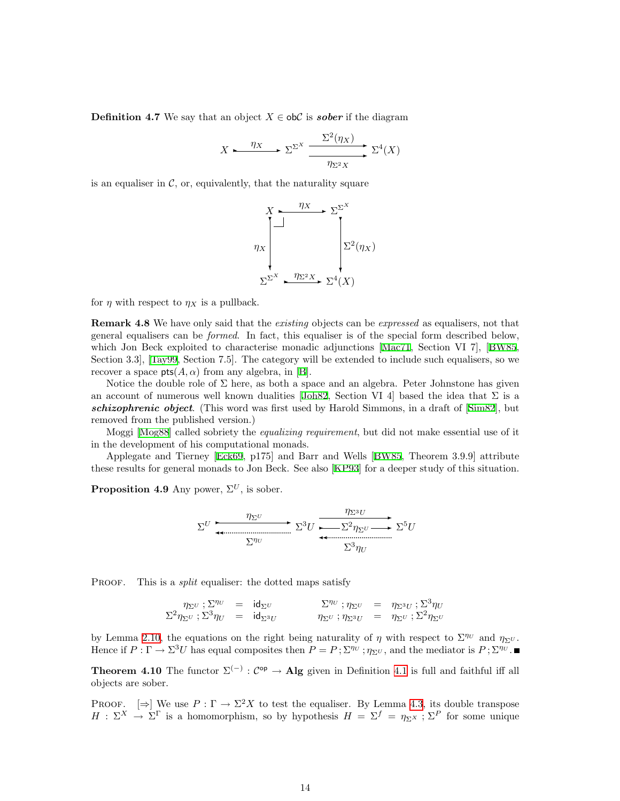**Definition 4.7** We say that an object  $X \in ob\mathcal{C}$  is **sober** if the diagram

$$
X \xrightarrow{\eta_X} \Sigma^{\Sigma^X} \xrightarrow{\Sigma^2(\eta_X)} \Sigma^4(X)
$$

is an equaliser in  $\mathcal{C}$ , or, equivalently, that the naturality square



<span id="page-13-2"></span>for  $\eta$  with respect to  $\eta_X$  is a pullback.

**Remark 4.8** We have only said that the *existing* objects can be *expressed* as equalisers, not that general equalisers can be formed. In fact, this equaliser is of the special form described below, which Jon Beck exploited to characterise monadic adjunctions [\[Mac71,](#page-39-7) Section VI 7],[[BW85](#page-38-5), Section 3.3],[[Tay99](#page-40-10), Section 7.5]. The category will be extended to include such equalisers, so we recover a space  $pts(A, \alpha)$  from any algebra, in [\[B](#page-40-2)].

Notice the double role of  $\Sigma$  here, as both a space and an algebra. Peter Johnstone has given an account of numerous well known dualities  $J\ddot{\rho}$  Section VI 4 based the idea that  $\Sigma$  is a schizophrenicobject. (This word was first used by Harold Simmons, in a draft of [[Sim82](#page-39-9)], but removed from the published version.)

Moggi[[Mog88\]](#page-39-10) called sobriety the equalizing requirement, but did not make essential use of it in the development of his computational monads.

Applegate and Tierney[[Eck69](#page-38-6), p175] and Barr and Wells [\[BW85,](#page-38-5) Theorem 3.9.9] attribute these results for general monads to Jon Beck. See also [\[KP93\]](#page-39-11) for a deeper study of this situation.

<span id="page-13-0"></span>**Proposition 4.9** Any power,  $\Sigma^{U}$ , is sober.

$$
\Sigma^{U} \xrightarrow{\eta_{\Sigma^{U}}} \Sigma^{3}U \xrightarrow{\eta_{\Sigma^{3}U}} \Sigma^{5}U
$$

PROOF. This is a *split* equaliser: the dotted maps satisfy

$$
\begin{array}{rclclcl} \eta_{\Sigma^U}\ ;\Sigma^{\eta_U}&=&\mathrm{id}_{\Sigma^U}&\qquad&\Sigma^{\eta_U}\ ;\eta_{\Sigma^U}&=&\eta_{\Sigma^3 U}\ ;\Sigma^3\eta_U\\ \Sigma^2\eta_{\Sigma^U}\ ;\Sigma^3\eta_U&=&\mathrm{id}_{\Sigma^3 U}&\qquad&\eta_{\Sigma^U}\ ;\eta_{\Sigma^3 U}&=&\eta_{\Sigma^U}\ ;\Sigma^2\eta_{\Sigma^U}\end{array}
$$

by Lemma [2.10](#page-7-0), the equations on the right being naturality of  $\eta$  with respect to  $\Sigma^{\eta\upsilon}$  and  $\eta_{\Sigma}\upsilon$ . Hence if  $P: \Gamma \to \Sigma^3 U$  has equal composites then  $P = P$ ;  $\Sigma^{\eta_U}$ ;  $\eta_{\Sigma^U}$ , and the mediator is  $P$ ;  $\Sigma^{\eta_U}$ .

<span id="page-13-1"></span>**Theorem [4.1](#page-11-2)0** The functor  $\Sigma^{(-)}$ :  $C^{op} \to \textbf{Alg}$  given in Definition 4.1 is full and faithful iff all objects are sober.

PROOF.  $\Rightarrow$  We use  $P : \Gamma \to \Sigma^2 X$  to test the equaliser. By Lemma [4.3,](#page-12-0) its double transpose  $H : \Sigma^X \to \Sigma^{\Gamma}$  is a homomorphism, so by hypothesis  $H = \Sigma^f = \eta_{\Sigma^X}$ ;  $\Sigma^P$  for some unique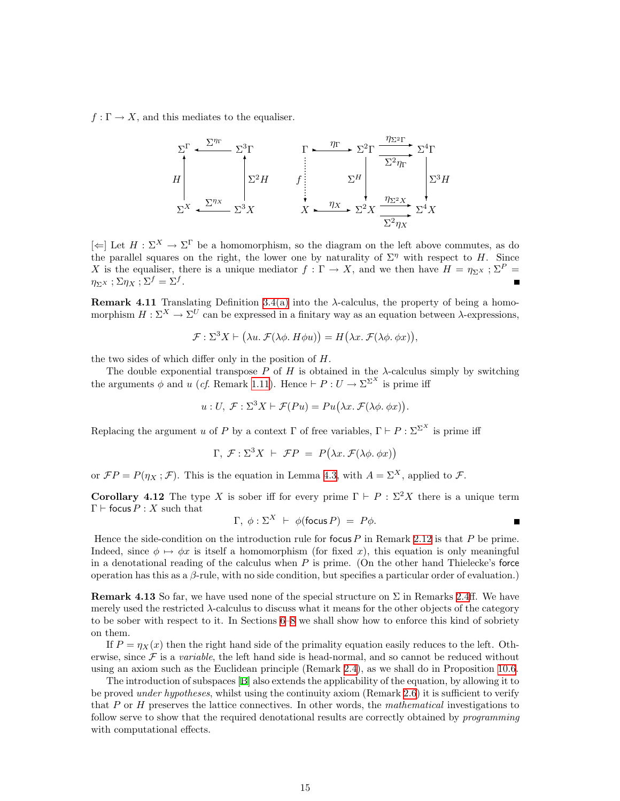$f: \Gamma \to X$ , and this mediates to the equaliser.

$$
\Sigma^{\Gamma} \xleftarrow{\Sigma^{\eta_{\Gamma}}} \Sigma^{\frac{3}{\Gamma}} \qquad \Gamma \xrightarrow{\eta_{\Gamma}} \Sigma^2 \Gamma \xrightarrow{\frac{\eta_{\Sigma^2 \Gamma}}{\Sigma^2 \eta_{\Gamma}}} \Sigma^4 \Gamma
$$
\n
$$
\Sigma^X \xleftarrow{\Sigma^{\eta_X}} \Sigma^3 X \qquad X \xrightarrow{\eta_X} \Sigma^2 X \xrightarrow{\frac{\eta_{\Sigma^2 X}}{\Sigma^2 \eta_X}} \Sigma^4 X
$$

 $[\Leftarrow]$  Let  $H : \Sigma^X \to \Sigma^{\Gamma}$  be a homomorphism, so the diagram on the left above commutes, as do the parallel squares on the right, the lower one by naturality of  $\Sigma^{\eta}$  with respect to H. Since X is the equaliser, there is a unique mediator  $f : \Gamma \to X$ , and we then have  $H = \eta_{\Sigma^X} : \Sigma^P =$  $\eta_{\Sigma^X}$ ;  $\Sigma \eta_X$ ;  $\Sigma^f = \Sigma^f$ .  $\blacksquare$ 

<span id="page-14-0"></span>**Remark 4.11** Translating Definition [3.4\(a\)](#page-9-2) into the  $\lambda$ -calculus, the property of being a homomorphism  $H : \Sigma^X \to \Sigma^U$  can be expressed in a finitary way as an equation between  $\lambda$ -expressions,

$$
\mathcal{F}: \Sigma^3 X \vdash (\lambda u. \mathcal{F}(\lambda \phi. H \phi u)) = H(\lambda x. \mathcal{F}(\lambda \phi. \phi x)),
$$

the two sides of which differ only in the position of H.

The double exponential transpose  $P$  of  $H$  is obtained in the  $\lambda$ -calculus simply by switching the arguments  $\phi$  and u (cf. Remark [1.11](#page-3-1)). Hence  $\vdash P : U \to \Sigma^{\Sigma^X}$  is prime iff

$$
u: U, \mathcal{F}: \Sigma^3 X \vdash \mathcal{F}(Pu) = Pu(\lambda x. \mathcal{F}(\lambda \phi. \phi x)).
$$

Replacing the argument u of P by a context  $\Gamma$  of free variables,  $\Gamma \vdash P : \Sigma^{\Sigma^X}$  is prime iff

$$
\Gamma, \mathcal{F}: \Sigma^3 X \vdash \mathcal{F}P = P(\lambda x. \mathcal{F}(\lambda \phi. \phi x))
$$

or  $\mathcal{F}P = P(\eta_X; \mathcal{F})$ . This is the equation in Lemma [4.3,](#page-12-0) with  $A = \Sigma^X$ , applied to  $\mathcal{F}$ .

<span id="page-14-1"></span>Corollary 4.12 The type X is sober iff for every prime  $\Gamma \vdash P : \Sigma^2 X$  there is a unique term  $\Gamma \vdash$  focus  $P : X$  such that

$$
\Gamma, \phi: \Sigma^X \vdash \phi(\text{focus } P) = P\phi.
$$

Hence the side-condition on the introduction rule for focus  $P$  in Remark [2.12](#page-8-3) is that  $P$  be prime. Indeed, since  $\phi \mapsto \phi x$  is itself a homomorphism (for fixed x), this equation is only meaningful in a denotational reading of the calculus when  $P$  is prime. (On the other hand Thielecke's force operation has this as a β-rule, with no side condition, but specifies a particular order of evaluation.)

**Remark 4.13** So far, we have used none of the special structure on  $\Sigma$  in Remarks [2.4ff](#page-6-0). We have merely used the restricted  $\lambda$ -calculus to discuss what it means for the other objects of the category to be sober with respect to it. In Sections [6–](#page-19-1)[8](#page-26-1) we shall show how to enforce this kind of sobriety on them.

If  $P = \eta_X(x)$  then the right hand side of the primality equation easily reduces to the left. Otherwise, since  $\mathcal F$  is a *variable*, the left hand side is head-normal, and so cannot be reduced without using an axiom such as the Euclidean principle (Remark [2.4\)](#page-6-0), as we shall do in Proposition [10.6.](#page-33-0)

The introduction of subspaces[[B\]](#page-40-2) also extends the applicability of the equation, by allowing it to be proved *under hypotheses*, whilst using the continuity axiom (Remark [2.6](#page-6-1)) it is sufficient to verify that  $P$  or  $H$  preserves the lattice connectives. In other words, the *mathematical* investigations to follow serve to show that the required denotational results are correctly obtained by *programming* with computational effects.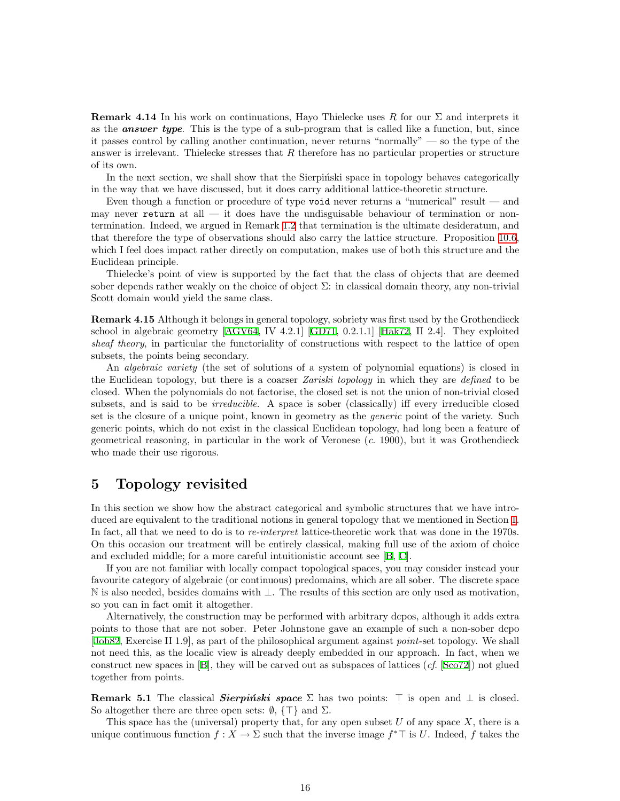<span id="page-15-0"></span>**Remark 4.14** In his work on continuations, Hayo Thielecke uses R for our  $\Sigma$  and interprets it as the **answer type**. This is the type of a sub-program that is called like a function, but, since it passes control by calling another continuation, never returns "normally" — so the type of the answer is irrelevant. Thielecke stresses that  $R$  therefore has no particular properties or structure of its own.

In the next section, we shall show that the Sierpinski space in topology behaves categorically in the way that we have discussed, but it does carry additional lattice-theoretic structure.

Even though a function or procedure of type void never returns a "numerical" result — and may never return at all — it does have the undisguisable behaviour of termination or nontermination. Indeed, we argued in Remark [1.2](#page-1-0) that termination is the ultimate desideratum, and that therefore the type of observations should also carry the lattice structure. Proposition [10.6](#page-33-0), which I feel does impact rather directly on computation, makes use of both this structure and the Euclidean principle.

Thielecke's point of view is supported by the fact that the class of objects that are deemed sober depends rather weakly on the choice of object  $\Sigma$ : in classical domain theory, any non-trivial Scott domain would yield the same class.

Remark 4.15 Although it belongs in general topology, sobriety was first used by the Grothendieck school in algebraic geometry [\[AGV64,](#page-38-7) IV 4.2.1][[GD71](#page-38-8), 0.2.1.1][[Hak72](#page-38-9), II 2.4]. They exploited sheaf theory, in particular the functoriality of constructions with respect to the lattice of open subsets, the points being secondary.

An algebraic variety (the set of solutions of a system of polynomial equations) is closed in the Euclidean topology, but there is a coarser *Zariski topology* in which they are *defined* to be closed. When the polynomials do not factorise, the closed set is not the union of non-trivial closed subsets, and is said to be *irreducible*. A space is sober (classically) iff every irreducible closed set is the closure of a unique point, known in geometry as the *generic* point of the variety. Such generic points, which do not exist in the classical Euclidean topology, had long been a feature of geometrical reasoning, in particular in the work of Veronese  $(c. 1900)$ , but it was Grothendieck who made their use rigorous.

### <span id="page-15-1"></span>5 Topology revisited

In this section we show how the abstract categorical and symbolic structures that we have introduced are equivalent to the traditional notions in general topology that we mentioned in Section [1](#page-0-1). In fact, all that we need to do is to re-interpret lattice-theoretic work that was done in the 1970s. On this occasion our treatment will be entirely classical, making full use of the axiom of choice and excluded middle; for a more careful intuitionistic account see [\[B](#page-40-2), [C](#page-40-7)].

If you are not familiar with locally compact topological spaces, you may consider instead your favourite category of algebraic (or continuous) predomains, which are all sober. The discrete space N is also needed, besides domains with ⊥. The results of this section are only used as motivation, so you can in fact omit it altogether.

Alternatively, the construction may be performed with arbitrary dcpos, although it adds extra points to those that are not sober. Peter Johnstone gave an example of such a non-sober dcpo [[Joh82](#page-39-8), Exercise II 1.9], as part of the philosophical argument against point-set topology. We shall not need this, as the localic view is already deeply embedded in our approach. In fact, when we constructnew spaces in  $[B]$  $[B]$ , they will be carved out as subspaces of lattices  $(cf. [Sco72])$  $(cf. [Sco72])$  $(cf. [Sco72])$  not glued together from points.

**Remark 5.1** The classical **Sierpinski space**  $\Sigma$  has two points:  $\top$  is open and  $\bot$  is closed. So altogether there are three open sets:  $\emptyset$ ,  $\{\top\}$  and  $\Sigma$ .

This space has the (universal) property that, for any open subset  $U$  of any space  $X$ , there is a unique continuous function  $f: X \to \Sigma$  such that the inverse image  $f^* \top$  is U. Indeed, f takes the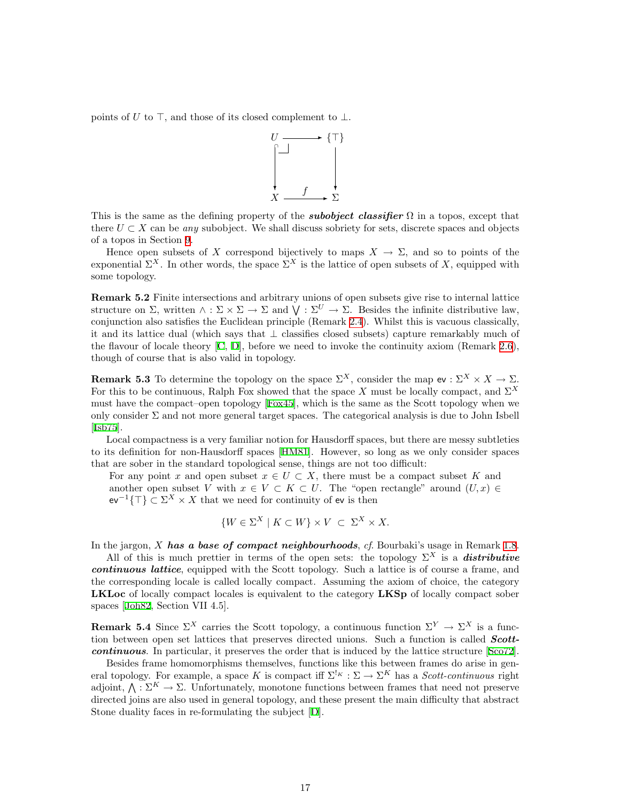points of U to  $\top$ , and those of its closed complement to  $\bot$ .



This is the same as the defining property of the **subobject classifier**  $\Omega$  in a topos, except that there  $U \subset X$  can be any subobject. We shall discuss sobriety for sets, discrete spaces and objects of a topos in Section [9](#page-29-1).

Hence open subsets of X correspond bijectively to maps  $X \to \Sigma$ , and so to points of the exponential  $\Sigma^X$ . In other words, the space  $\Sigma^X$  is the lattice of open subsets of X, equipped with some topology.

Remark 5.2 Finite intersections and arbitrary unions of open subsets give rise to internal lattice structure on  $\Sigma$ , written  $\wedge : \Sigma \times \Sigma \to \Sigma$  and  $\bigvee : \Sigma^U \to \Sigma$ . Besides the infinite distributive law, conjunction also satisfies the Euclidean principle (Remark [2.4](#page-6-0)). Whilst this is vacuous classically, it and its lattice dual (which says that ⊥ classifies closed subsets) capture remarkably much of the flavour of locale theory[[C](#page-40-7), [D](#page-40-11)], before we need to invoke the continuity axiom (Remark [2.6](#page-6-1)), though of course that is also valid in topology.

**Remark 5.3** To determine the topology on the space  $\Sigma^X$ , consider the map ev :  $\Sigma^X \times X \to \Sigma$ . For this to be continuous, Ralph Fox showed that the space X must be locally compact, and  $\Sigma^X$ must have the compact–open topology [\[Fox45\]](#page-38-10), which is the same as the Scott topology when we only consider  $\Sigma$  and not more general target spaces. The categorical analysis is due to John Isbell [[Isb75\]](#page-39-13).

Local compactness is a very familiar notion for Hausdorff spaces, but there are messy subtleties to its definition for non-Hausdorff spaces[[HM81](#page-38-11)]. However, so long as we only consider spaces that are sober in the standard topological sense, things are not too difficult:

For any point x and open subset  $x \in U \subset X$ , there must be a compact subset K and another open subset V with  $x \in V \subset K \subset U$ . The "open rectangle" around  $(U, x) \in$  $ev^{-1}\{\top\} \subset \Sigma^X \times X$  that we need for continuity of ev is then

$$
\{W \in \Sigma^X \mid K \subset W\} \times V \ \subset \ \Sigma^X \times X.
$$

In the jargon,  $X$  has a base of compact neighbourhoods, cf. Bourbaki's usage in Remark [1.8](#page-3-2).

All of this is much prettier in terms of the open sets: the topology  $\Sigma^X$  is a **distributive** continuous lattice, equipped with the Scott topology. Such a lattice is of course a frame, and the corresponding locale is called locally compact. Assuming the axiom of choice, the category LKLoc of locally compact locales is equivalent to the category LKSp of locally compact sober spaces [\[Joh82,](#page-39-8) Section VII 4.5].

**Remark 5.4** Since  $\Sigma^X$  carries the Scott topology, a continuous function  $\Sigma^Y \to \Sigma^X$  is a function between open set lattices that preserves directed unions. Such a function is called **Scott**continuous. In particular, it preserves the order that is induced by the lattice structure[[Sco72](#page-39-12)].

<span id="page-16-0"></span>Besides frame homomorphisms themselves, functions like this between frames do arise in general topology. For example, a space K is compact iff  $\Sigma^{k} \to \Sigma^K$  has a *Scott-continuous* right adjoint,  $\bigwedge : \Sigma^K \to \Sigma$ . Unfortunately, monotone functions between frames that need not preserve directed joins are also used in general topology, and these present the main difficulty that abstract Stone duality faces in re-formulating the subject [\[D\]](#page-40-11).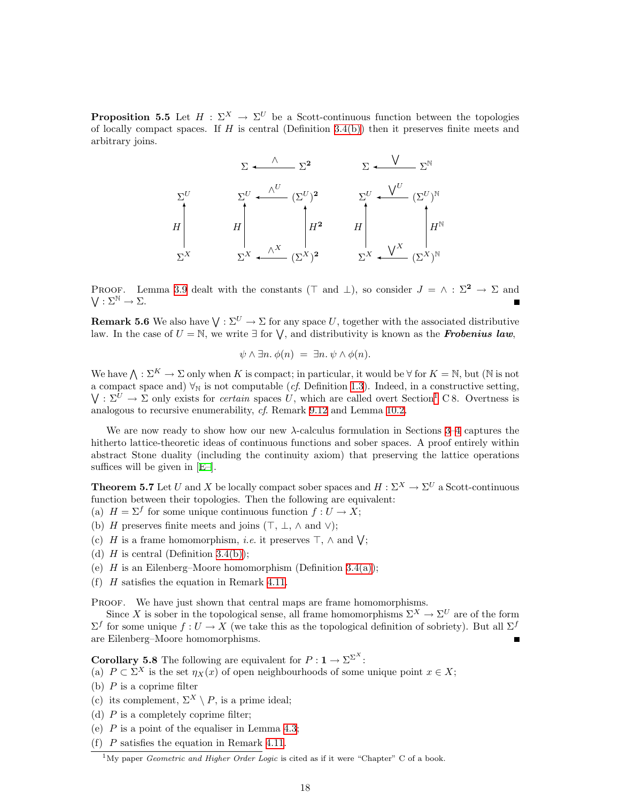**Proposition 5.5** Let  $H : \Sigma^X \to \Sigma^U$  be a Scott-continuous function between the topologies of locally compact spaces. If  $H$  is central (Definition [3.4\(b\)](#page-9-3)) then it preserves finite meets and arbitrary joins.

|            | $\nabla^2$<br>$\nabla$                                                              | $\nabla^{\mathbb{N}}$                                     |
|------------|-------------------------------------------------------------------------------------|-----------------------------------------------------------|
| $\Sigma^U$ | $\Sigma^U \leftarrow \stackrel{\wedge^U}{\longrightarrow} (\Sigma^U)^2$             | $\Sigma^U$ + $\frac{V^U}{V}$<br>$(\Sigma^U)^{\mathbb{N}}$ |
| Η          | $H^2$<br>$\boldsymbol{H}$                                                           | $H^{\mathbb{N}}$<br>H                                     |
| $\Sigma^X$ | $\Sigma^X$ $\longleftarrow$ $\stackrel{\wedge^X}{\longleftarrow}$<br>$(\Sigma^X)^2$ | $(\Sigma^X)^{\mathbb{N}}$<br>$\Sigma^{X}$ .               |

PROOF. Lemma [3.9](#page-10-1) dealt with the constants ( $\top$  and  $\bot$ ), so consider  $J = \wedge : \Sigma^2 \to \Sigma$  and  $V: \Sigma^{\mathbb{N}} \to \Sigma.$ 

**Remark 5.6** We also have  $\bigvee : \Sigma^U \to \Sigma$  for any space U, together with the associated distributive law. In the case of  $U = \mathbb{N}$ , we write  $\exists$  for  $\bigvee$ , and distributivity is known as the **Frobenius law**,

$$
\psi \wedge \exists n. \ \phi(n) = \exists n. \ \psi \wedge \phi(n).
$$

We have  $\bigwedge : \Sigma^K \to \Sigma$  only when K is compact; in particular, it would be  $\forall$  for  $K = \mathbb{N}$ , but ( $\mathbb N$  is not a compact space and)  $\forall_N$  is not computable (*cf.* Definition [1.3](#page-1-1)). Indeed, in a constructive setting,  $\bigvee : \Sigma^U \to \Sigma$  only exists for *certain* spaces U, which are called overt Section<sup>[1](#page-17-1)</sup> C 8. Overtness is analogous to recursive enumerability, cf. Remark [9.12](#page-31-0) and Lemma [10.2.](#page-32-2)

We are now ready to show how our new  $\lambda$ -calculus formulation in Sections [3–](#page-8-1)[4](#page-11-1) captures the hitherto lattice-theoretic ideas of continuous functions and sober spaces. A proof entirely within abstract Stone duality (including the continuity axiom) that preserving the lattice operations suffices will be given in[[E–](#page-40-8)].

<span id="page-17-2"></span>**Theorem 5.7** Let U and X be locally compact sober spaces and  $H : \Sigma^X \to \Sigma^U$  a Scott-continuous function between their topologies. Then the following are equivalent:

(a)  $H = \Sigma^f$  for some unique continuous function  $f: U \to X$ ;

- (b) H preserves finite meets and joins  $(\top, \bot, \wedge \text{ and } \vee);$
- (c) H is a frame homomorphism, *i.e.* it preserves  $\top$ ,  $\wedge$  and  $\vee$ ;
- (d) H is central (Definition [3.4\(b\)\)](#page-9-3);
- (e)  $H$  is an Eilenberg–Moore homomorphism (Definition [3.4\(a\)](#page-9-2));
- (f) H satisfies the equation in Remark [4.11.](#page-14-0)

PROOF. We have just shown that central maps are frame homomorphisms.

Since X is sober in the topological sense, all frame homomorphisms  $\Sigma^X \to \Sigma^U$  are of the form  $\Sigma^f$  for some unique  $f: U \to X$  (we take this as the topological definition of sobriety). But all  $\Sigma^f$ are Eilenberg–Moore homomorphisms. Г

<span id="page-17-0"></span>**Corollary 5.8** The following are equivalent for  $P: \mathbf{1} \to \Sigma^{\Sigma^X}$ :

(a)  $P \subset \Sigma^X$  is the set  $\eta_X(x)$  of open neighbourhoods of some unique point  $x \in X$ ;

- (b)  $P$  is a coprime filter
- (c) its complement,  $\Sigma^X \setminus P$ , is a prime ideal;
- (d)  $P$  is a completely coprime filter;
- (e)  $P$  is a point of the equaliser in Lemma [4.3](#page-12-0);
- (f) P satisfies the equation in Remark [4.11](#page-14-0).

<span id="page-17-1"></span> $1<sup>1</sup>$ My paper *Geometric and Higher Order Logic* is cited as if it were "Chapter" C of a book.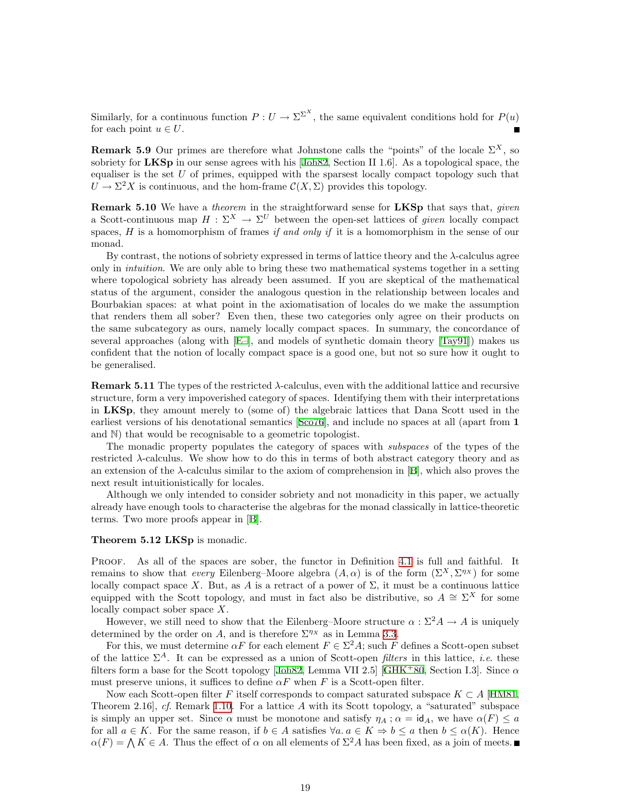Similarly, for a continuous function  $P: U \to \Sigma^{\Sigma^X}$ , the same equivalent conditions hold for  $P(u)$ for each point  $u \in U$ .

**Remark 5.9** Our primes are therefore what Johnstone calls the "points" of the locale  $\Sigma^X$ , so sobriety for LKSp in our sense agrees with his [\[Joh82,](#page-39-8) Section II 1.6]. As a topological space, the equaliser is the set  $U$  of primes, equipped with the sparsest locally compact topology such that  $U \to \Sigma^2 X$  is continuous, and the hom-frame  $\mathcal{C}(X,\Sigma)$  provides this topology.

**Remark 5.10** We have a *theorem* in the straightforward sense for LKSp that says that, *given* a Scott-continuous map  $H : \Sigma^X \to \Sigma^U$  between the open-set lattices of given locally compact spaces,  $H$  is a homomorphism of frames if and only if it is a homomorphism in the sense of our monad.

By contrast, the notions of sobriety expressed in terms of lattice theory and the  $\lambda$ -calculus agree only in intuition. We are only able to bring these two mathematical systems together in a setting where topological sobriety has already been assumed. If you are skeptical of the mathematical status of the argument, consider the analogous question in the relationship between locales and Bourbakian spaces: at what point in the axiomatisation of locales do we make the assumption that renders them all sober? Even then, these two categories only agree on their products on the same subcategory as ours, namely locally compact spaces. In summary, the concordance of several approaches (along with [\[E–\]](#page-40-8), and models of synthetic domain theory[[Tay91](#page-40-3)]) makes us confident that the notion of locally compact space is a good one, but not so sure how it ought to be generalised.

**Remark 5.11** The types of the restricted  $\lambda$ -calculus, even with the additional lattice and recursive structure, form a very impoverished category of spaces. Identifying them with their interpretations in LKSp, they amount merely to (some of) the algebraic lattices that Dana Scott used in the earliest versions of his denotational semantics[[Sco76\]](#page-39-14), and include no spaces at all (apart from 1 and N) that would be recognisable to a geometric topologist.

The monadic property populates the category of spaces with subspaces of the types of the restricted λ-calculus. We show how to do this in terms of both abstract category theory and as anextension of the  $\lambda$ -calculus similar to the axiom of comprehension in [[B](#page-40-2)], which also proves the next result intuitionistically for locales.

Although we only intended to consider sobriety and not monadicity in this paper, we actually already have enough tools to characterise the algebras for the monad classically in lattice-theoretic terms. Two more proofs appear in [\[B](#page-40-2)].

#### <span id="page-18-0"></span>Theorem 5.12 LKSp is monadic.

PROOF. As all of the spaces are sober, the functor in Definition [4.1](#page-11-2) is full and faithful. It remains to show that every Eilenberg–Moore algebra  $(A, \alpha)$  is of the form  $(\Sigma^X, \Sigma^{\eta_X})$  for some locally compact space X. But, as A is a retract of a power of  $\Sigma$ , it must be a continuous lattice equipped with the Scott topology, and must in fact also be distributive, so  $A \cong \Sigma^X$  for some equipped locally compact sober space X.

However, we still need to show that the Eilenberg–Moore structure  $\alpha : \Sigma^2 A \to A$  is uniquely determined by the order on A, and is therefore  $\Sigma^{\eta_X}$  as in Lemma [3.3](#page-9-0).

For this, we must determine  $\alpha F$  for each element  $F \in \Sigma^2 A$ ; such F defines a Scott-open subset of the lattice  $\Sigma^A$ . It can be expressed as a union of Scott-open *filters* in this lattice, *i.e.* these filtersform a base for the Scott topology [[Joh82](#page-39-8), Lemma VII 2.5] [\[GHK](#page-38-12)+80, Section I.3]. Since  $\alpha$ must preserve unions, it suffices to define  $\alpha F$  when F is a Scott-open filter.

Now each Scott-open filter F itself corresponds to compact saturated subspace  $K \subset A$  [[HM81](#page-38-11), Theorem 2.16], cf. Remark [1.10.](#page-3-3) For a lattice A with its Scott topology, a "saturated" subspace is simply an upper set. Since  $\alpha$  must be monotone and satisfy  $\eta_A$ ;  $\alpha = id_A$ , we have  $\alpha(F) \leq a$ for all  $a \in K$ . For the same reason, if  $b \in A$  satisfies  $\forall a \ldotp a \in K \Rightarrow b \leq a$  then  $b \leq \alpha(K)$ . Hence  $\alpha(F) = \bigwedge K \in A$ . Thus the effect of  $\alpha$  on all elements of  $\Sigma^2 A$  has been fixed, as a join of meets.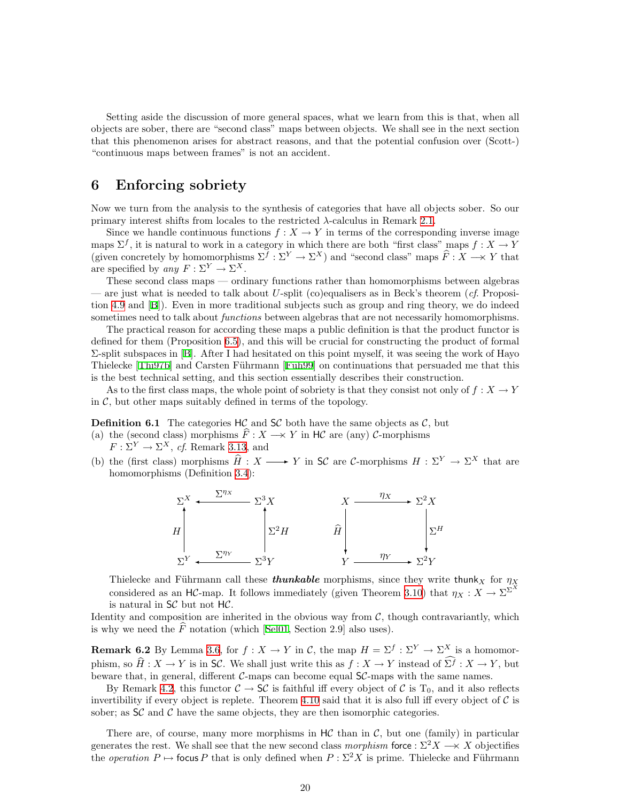<span id="page-19-0"></span>Setting aside the discussion of more general spaces, what we learn from this is that, when all objects are sober, there are "second class" maps between objects. We shall see in the next section that this phenomenon arises for abstract reasons, and that the potential confusion over (Scott-) "continuous maps between frames" is not an accident.

## <span id="page-19-1"></span>6 Enforcing sobriety

Now we turn from the analysis to the synthesis of categories that have all objects sober. So our primary interest shifts from locales to the restricted  $\lambda$ -calculus in Remark [2.1](#page-5-1).

Since we handle continuous functions  $f: X \to Y$  in terms of the corresponding inverse image maps  $\Sigma^f$ , it is natural to work in a category in which there are both "first class" maps  $f: X \to Y$ (given concretely by homomorphisms  $\Sigma^f : \Sigma^Y \to \Sigma^X$ ) and "second class" maps  $\widehat{F} : X \longrightarrow Y$  that are specified by any  $F: \Sigma^Y \to \Sigma^X$ .

These second class maps — ordinary functions rather than homomorphisms between algebras — are just what is needed to talk about U-split (co)equalisers as in Beck's theorem (cf. Proposition [4.9](#page-13-0) and[[B\]](#page-40-2)). Even in more traditional subjects such as group and ring theory, we do indeed sometimes need to talk about *functions* between algebras that are not necessarily homomorphisms.

The practical reason for according these maps a public definition is that the product functor is defined for them (Proposition [6.5\)](#page-20-0), and this will be crucial for constructing the product of formal Σ-split subspaces in [\[B](#page-40-2)]. After I had hesitated on this point myself, it was seeing the work of Hayo Thielecke[[Thi97b\]](#page-40-5) and Carsten Führmann [Füh99] on continuations that persuaded me that this is the best technical setting, and this section essentially describes their construction.

As to the first class maps, the whole point of sobriety is that they consist not only of  $f: X \to Y$ in  $\mathcal{C}$ , but other maps suitably defined in terms of the topology.

**Definition 6.1** The categories  $H\mathcal{C}$  and  $S\mathcal{C}$  both have the same objects as  $\mathcal{C}$ , but

- (a) the (second class) morphisms  $\widehat{F}: X \longrightarrow Y$  in HC are (any) C-morphisms  $F: \Sigma^Y \to \Sigma^X$ , cf. Remark [3.13](#page-11-3), and
- (b) the (first class) morphisms  $\hat{H} : X \longrightarrow Y$  in SC are C-morphisms  $H : \Sigma^Y \to \Sigma^X$  that are homomorphisms (Definition [3.4](#page-9-4)):



Thielecke and Führmann call these **thunkable** morphisms, since they write thunk<sub>X</sub> for  $\eta_X$ considered as an HC-map. It follows immediately (given Theorem [3.10](#page-11-4)) that  $\eta_X : X \to \Sigma^{\Sigma^X}$ is natural in SC but not HC.

Identity and composition are inherited in the obvious way from  $C$ , though contravariantly, which is why we need the  $\widehat{F}$  notation (which [\[Sel01,](#page-39-3) Section 2.9] also uses).

**Remark 6.2** By Lemma [3.6](#page-9-1), for  $f: X \to Y$  in C, the map  $H = \Sigma^f: \Sigma^Y \to \Sigma^X$  is a homomorphism, so  $\widehat{H}: X \to Y$  is in SC. We shall just write this as  $f : X \to Y$  instead of  $\widehat{\Sigma}^f : X \to Y$ , but beware that, in general, different  $C$ -maps can become equal  $SC$ -maps with the same names.

By Remark [4.2](#page-12-1), this functor  $C \to SC$  is faithful iff every object of C is T<sub>0</sub>, and it also reflects invertibility if every object is replete. Theorem [4.10](#page-13-1) said that it is also full iff every object of  $\mathcal C$  is sober; as  $SC$  and  $C$  have the same objects, they are then isomorphic categories.

There are, of course, many more morphisms in  $H\mathcal{C}$  than in  $\mathcal{C}$ , but one (family) in particular generates the rest. We shall see that the new second class morphism force :  $\Sigma^2 X \to X$  objectifies the *operation*  $P \mapsto$  focus P that is only defined when  $P : \Sigma^2 X$  is prime. Thielecke and Führmann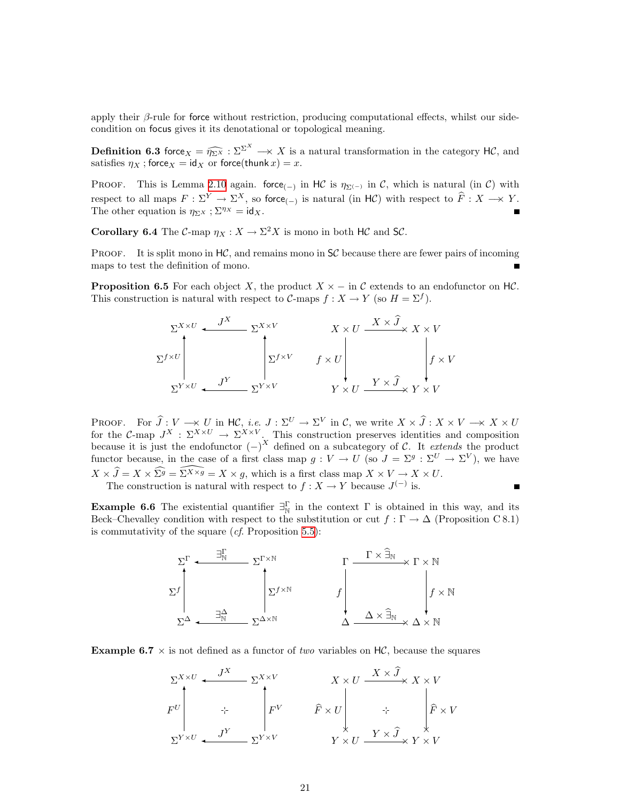apply their  $\beta$ -rule for force without restriction, producing computational effects, whilst our sidecondition on focus gives it its denotational or topological meaning.

**Definition 6.3** force  $X = \widehat{\eta_{\Sigma X}} : \Sigma^{\Sigma^X} \longrightarrow X$  is a natural transformation in the category HC, and estisfies  $\eta_X :$  force  $x = id_X$  or force (thunk  $x$ )  $-x$ satisfies  $\eta_X$  ; force $_X = id_X$  or force(thunk  $x) = x$ .

PROOF. This is Lemma [2.10](#page-7-0) again. force<sub>(-)</sub> in HC is  $\eta_{\Sigma^{(-)}}$  in C, which is natural (in C) with respect to all maps  $F : \Sigma^Y \to \Sigma^X$ , so force<sub>(-)</sub> is natural (in HC) with respect to  $\widehat{F} : X \to Y$ . The other equation is  $\eta_{\Sigma^X}$ ;  $\Sigma^{\eta_X} = id_X$ .

<span id="page-20-1"></span>**Corollary 6.4** The C-map  $\eta_X : X \to \Sigma^2 X$  is mono in both HC and SC.

**PROOF.** It is split mono in  $HC$ , and remains mono in  $SC$  because there are fewer pairs of incoming maps to test the definition of mono.

<span id="page-20-0"></span>**Proposition 6.5** For each object X, the product  $X \times -$  in C extends to an endofunctor on HC. This construction is natural with respect to C-maps  $f: X \to Y$  (so  $H = \Sigma^f$ ).



PROOF. For  $\hat{J}: V \longrightarrow U$  in  $H\mathcal{C}$ , *i.e.*  $J: \Sigma^U \to \Sigma^V$  in  $\mathcal{C}$ , we write  $X \times \hat{J}: X \times V \longrightarrow X \times U$  for the  $\mathcal{C}\text{-map } J^X: \Sigma^{X \times U} \to \Sigma^{X \times V}$ . This construction preserves identities and composition because it is just the endofunctor  $(-)^X$  defined on a subcategory of C. It extends the product functor because, in the case of a first class map  $g: V \to U$  (so  $J = \Sigma^g : \Sigma^U \to \Sigma^V$ ), we have  $X \times \widehat{J} = X \times \widehat{\Sigma^g} = \widehat{\Sigma^{X \times g}} = X \times g$ , which is a first class map  $X \times V \to X \times U$ .<br>The construction is natural with respect to  $f : X \to Y$  because  $J^{(-)}$  is.  $\blacksquare$ 

**Example 6.6** The existential quantifier  $\exists_N^{\Gamma}$  in the context  $\Gamma$  is obtained in this way, and its Beck–Chevalley condition with respect to the substitution or cut  $f : \Gamma \to \Delta$  (Proposition C 8.1) is commutativity of the square  $(cf.$  Proposition [5.5\)](#page-16-0):



**Example 6.7**  $\times$  is not defined as a functor of two variables on HC, because the squares

$$
\Sigma^{X \times U} \leftarrow \begin{array}{c} J^X \\ F^U \\ F^V \\ \Sigma^{Y \times U} \leftarrow \begin{array}{c} J^Y \\ \downarrow^Y \\ J^Y \end{array} \right) \\ \Sigma^{Y \times V} \leftarrow \begin{array}{c} \Sigma^{X \times V} \\ \downarrow^Y \\ \Sigma^{Y \times V} \end{array} \right) \\ \Sigma^{Y \times V} \leftarrow \begin{array}{c} \Sigma^{Y \times V} \\ \downarrow^Y \\ \Sigma^{Y \times V} \end{array} \right) \\ \Sigma^{Y \times V} \leftarrow \begin{array}{c} \Sigma^{Y \times V} \\ \downarrow^Y \\ \Sigma^{Y \times V} \end{array} \right) \\ \Sigma^{Y \times V} \leftarrow \begin{array}{c} \Sigma^{Y \times V} \\ \downarrow^Y \\ \Sigma^{Y \times V} \end{array} \right) \\ \Sigma^{Y \times V} \leftarrow \begin{array}{c} \Sigma^{Y \times V} \\ \downarrow^Y \\ \Sigma^{Y \times V} \end{array} \end{array}
$$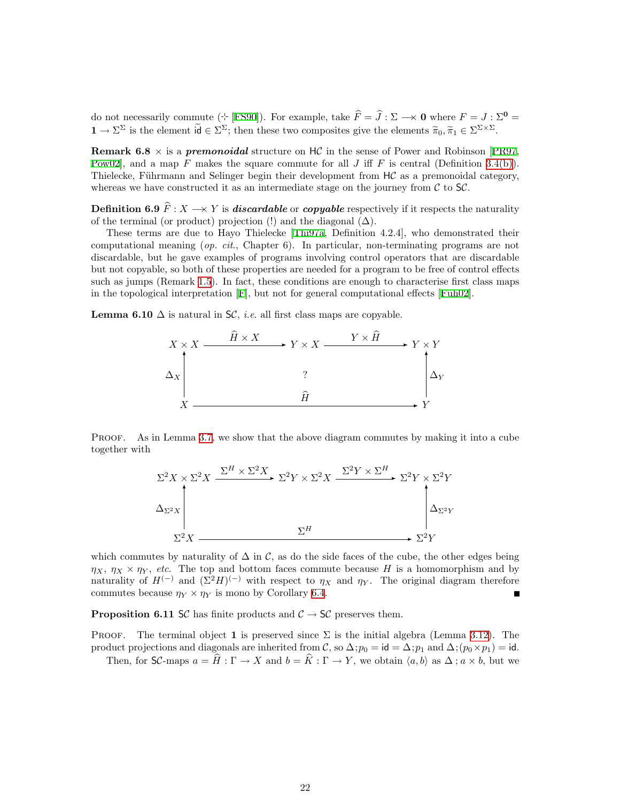do not necessarily commute ( $\div$  [\[FS90](#page-38-13)]). For example, take  $\hat{F} = \hat{J} : \Sigma \longrightarrow 0$  where  $F = J : \Sigma^0 =$  $1 \to \Sigma^{\Sigma}$  is the element  $\tilde{\mathsf{id}} \in \Sigma^{\Sigma}$ ; then these two composites give the elements  $\tilde{\pi}_0, \tilde{\pi}_1 \in \Sigma^{\Sigma \times \Sigma}$ .

**Remark 6.8**  $\times$  is a *premonoidal* structure on HC in the sense of Power and Robinson [\[PR97](#page-39-15), [Pow02](#page-39-16), and a map F makes the square commute for all J iff F is central (Definition [3.4\(b\)](#page-9-3)). Thielecke, Führmann and Selinger begin their development from  $HC$  as a premonoidal category, whereas we have constructed it as an intermediate stage on the journey from  $\mathcal C$  to  $\mathsf{S}\mathcal{C}$ .

**Definition 6.9**  $\widehat{F}: X \longrightarrow Y$  is **discardable** or **copyable** respectively if it respects the naturality of the terminal (or product) projection (!) and the diagonal  $(\Delta)$ .

These terms are due to Hayo Thielecke[[Thi97a](#page-40-4), Definition 4.2.4], who demonstrated their computational meaning (op. cit., Chapter 6). In particular, non-terminating programs are not discardable, but he gave examples of programs involving control operators that are discardable but not copyable, so both of these properties are needed for a program to be free of control effects such as jumps (Remark [1.5\)](#page-2-0). In fact, these conditions are enough to characterise first class maps inthe topological interpretation  $[F]$  $[F]$  $[F]$ , but not for general computational effects  $[F\text{üh}02]$ .

**Lemma 6.10**  $\Delta$  is natural in SC, *i.e.* all first class maps are copyable.



PROOF. As in Lemma [3.7](#page-10-0), we show that the above diagram commutes by making it into a cube together with



which commutes by naturality of  $\Delta$  in C, as do the side faces of the cube, the other edges being  $\eta_X$ ,  $\eta_X \times \eta_Y$ , etc. The top and bottom faces commute because H is a homomorphism and by naturality of  $H^{(-)}$  and  $(\Sigma^2 H)^{(-)}$  with respect to  $\eta_X$  and  $\eta_Y$ . The original diagram therefore commutes because  $\eta_Y \times \eta_Y$  is mono by Corollary [6.4.](#page-20-1)

<span id="page-21-0"></span>**Proposition 6.11 SC** has finite products and  $C \rightarrow SC$  preserves them.

PROOF. The terminal object 1 is preserved since  $\Sigma$  is the initial algebra (Lemma [3.12](#page-11-5)). The product projections and diagonals are inherited from C, so  $\Delta$ ; $p_0 = id = \Delta$ ; $p_1$  and  $\Delta$ ; $(p_0 \times p_1) = id$ .

Then, for SC-maps  $a = \widehat{H} : \Gamma \to X$  and  $b = \widehat{K} : \Gamma \to Y$ , we obtain  $\langle a, b \rangle$  as  $\Delta$ ;  $a \times b$ , but we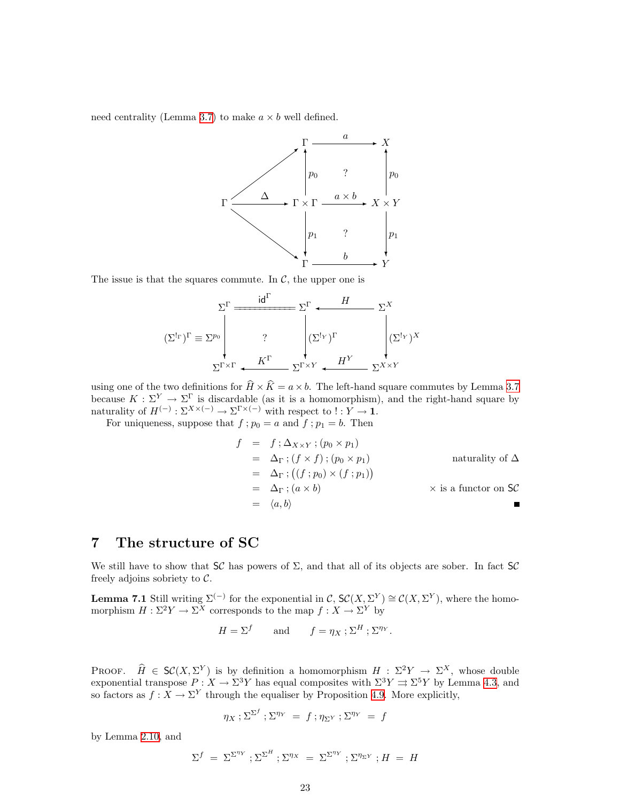<span id="page-22-0"></span>need centrality (Lemma [3.7\)](#page-10-0) to make  $a \times b$  well defined.



The issue is that the squares commute. In  $\mathcal{C}$ , the upper one is

$$
(\Sigma^{\mathrm{lr}})^{\Gamma} \equiv \Sigma^{p_0} \begin{vmatrix} \Sigma^{\Gamma} & H & \Sigma^{X} \\ \Sigma^{\mathrm{lr}} & \Sigma^{p_0} & \Sigma^{\Gamma} \end{vmatrix} (\Sigma^{\mathrm{lr}})^{\Gamma} & \begin{vmatrix} \Sigma^{\mathrm{lr}} & \Sigma^{X} & \Sigma^{X} \end{vmatrix}
$$

$$
\Sigma^{\Gamma \times \Gamma} \leftarrow \frac{K^{\Gamma}}{\Sigma^{\Gamma \times Y}} \leftarrow \frac{H^Y}{\Sigma^{\Gamma \times Y}} \sum_{\Sigma^{X \times Y}} \Sigma^{X \times Y}
$$

using one of the two definitions for  $\widehat{H} \times \widehat{K} = a \times b$ . The left-hand square commutes by Lemma [3.7](#page-10-0) because  $K : \Sigma^Y \to \Sigma^{\Gamma}$  is discardable (as it is a homomorphism), and the right-hand square by naturality of  $H^{(-)}$ :  $\Sigma^{X \times (-)} \to \Sigma^{Y \times (-)}$  with respect to  $! : Y \to 1$ .

For uniqueness, suppose that  $f$ ;  $p_0 = a$  and  $f$ ;  $p_1 = b$ . Then

$$
f = f : \Delta_{X \times Y} ; (p_0 \times p_1)
$$
  
\n
$$
= \Delta_{\Gamma} ; (f \times f) ; (p_0 \times p_1)
$$
 naturally of  $\Delta$   
\n
$$
= \Delta_{\Gamma} ; ((f : p_0) \times (f : p_1))
$$
  
\n
$$
= \Delta_{\Gamma} ; (a \times b)
$$
 x is a functor on  $S\mathcal{C}$   
\n
$$
= \langle a, b \rangle
$$

# <span id="page-22-1"></span>7 The structure of SC

We still have to show that  $SC$  has powers of  $\Sigma$ , and that all of its objects are sober. In fact  $SC$ freely adjoins sobriety to  $C$ .

<span id="page-22-2"></span>**Lemma 7.1** Still writing  $\Sigma^{(-)}$  for the exponential in C,  $\mathcal{SC}(X, \Sigma^Y) \cong \mathcal{C}(X, \Sigma^Y)$ , where the homomorphism  $H : \Sigma^2 Y \to \Sigma^X$  corresponds to the map  $f : X \to \Sigma^Y$  by

$$
H = \Sigma^f \qquad \text{and} \qquad f = \eta_X \; ; \; \Sigma^H \; ; \; \Sigma^{\eta_Y}.
$$

PROOF.  $\hat{H} \in \mathcal{SC}(X, \Sigma^Y)$  is by definition a homomorphism  $H : \Sigma^2 Y \to \Sigma^X$ , whose double exponential transpose  $P: X \to \Sigma^3 Y$  has equal composites with  $\Sigma^3 Y \rightrightarrows \Sigma^5 Y$  by Lemma [4.3,](#page-12-0) and so factors as  $f: X \to \Sigma^Y$  through the equaliser by Proposition [4.9](#page-13-0). More explicitly,

$$
\eta_X : \Sigma^{\Sigma^f} : \Sigma^{\eta_Y} = f : \eta_{\Sigma^Y} : \Sigma^{\eta_Y} = f
$$

by Lemma [2.10](#page-7-0), and

$$
\Sigma^f \ = \ \Sigma^{\Sigma^{\eta_Y}} \ ; \Sigma^{\Sigma^H} \ ; \Sigma^{\eta_X} \ = \ \Sigma^{\Sigma^{\eta_Y}} \ ; \Sigma^{\eta_{\Sigma^Y}} \ ; H \ = \ H
$$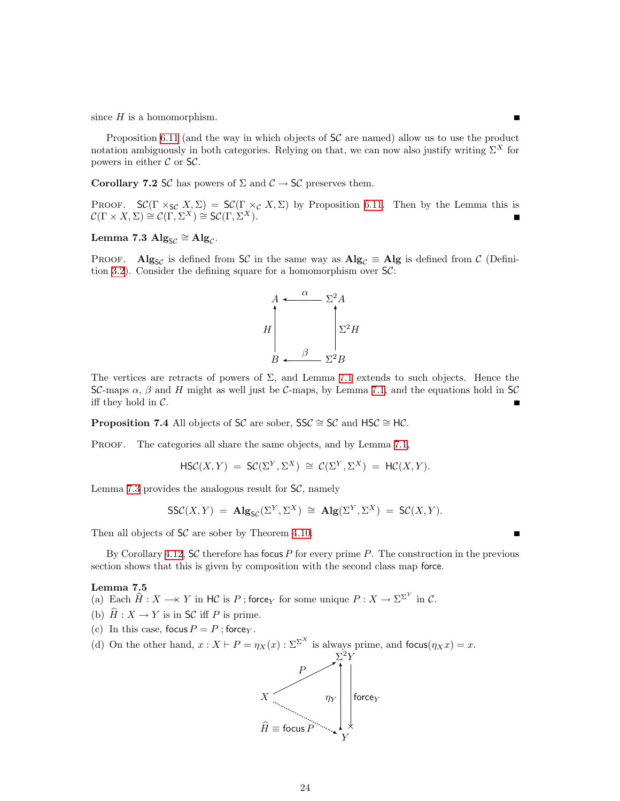since  $H$  is a homomorphism.

Proposition [6.11](#page-21-0) (and the way in which objects of  $SC$  are named) allow us to use the product notation ambiguously in both categories. Relying on that, we can now also justify writing  $\Sigma^X$  for powers in either  $C$  or  $SC$ .

Ē

<span id="page-23-1"></span>Corollary 7.2 SC has powers of  $\Sigma$  and  $\mathcal{C} \to \mathsf{S}\mathcal{C}$  preserves them.

PROOF.  $\mathsf{SC}(\Gamma \times_{\mathsf{SC}} X, \Sigma) = \mathsf{SC}(\Gamma \times_{\mathcal{C}} X, \Sigma)$  by Proposition [6.11.](#page-21-0) Then by the Lemma this is  $\mathcal{C}(\Gamma \times X, \Sigma) \cong \mathcal{C}(\Gamma, \Sigma^X) \cong \mathcal{SC}(\Gamma, \Sigma^X).$ 

# <span id="page-23-0"></span>Lemma 7.3  $\mathrm{Alg}_{\mathcal{SC}} \cong \mathrm{Alg}_{\mathcal{C}}.$

PROOF. Alg<sub>SC</sub> is defined from SC in the same way as  $\text{Alg}_{\mathcal{C}} \equiv \text{Alg}$  is defined from C (Defini-tion [3.2](#page-9-5)). Consider the defining square for a homomorphism over  $\mathcal{SC}$ :



The vertices are retracts of powers of  $\Sigma$ , and Lemma [7.1](#page-22-2) extends to such objects. Hence the SC-maps  $\alpha$ ,  $\beta$  and H might as well just be C-maps, by Lemma [7.1](#page-22-2), and the equations hold in SC iff they hold in  $C$ .

**Proposition 7.4** All objects of SC are sober, SSC  $\cong$  SC and HSC  $\cong$  HC.

PROOF. The categories all share the same objects, and by Lemma [7.1](#page-22-2),

$$
\mathsf{HSC}(X,Y) = \mathsf{SC}(\Sigma^Y, \Sigma^X) \cong \mathcal{C}(\Sigma^Y, \Sigma^X) = \mathsf{HC}(X,Y).
$$

Lemma [7.3](#page-23-0) provides the analogous result for  $\mathsf{S}\mathcal{C}$ , namely

$$
\mathsf{SSC}(X,Y) \ = \ \mathbf{Alg}_{\mathsf{SC}}(\Sigma^Y, \Sigma^X) \ \cong \ \mathbf{Alg}(\Sigma^Y, \Sigma^X) \ = \ \mathsf{SC}(X,Y).
$$

Then all objects of  $SC$  are sober by Theorem [4.10.](#page-13-1)

By Corollary [4.12,](#page-14-1)  $SC$  therefore has focus P for every prime P. The construction in the previous section shows that this is given by composition with the second class map force.

#### <span id="page-23-2"></span>Lemma 7.5

- <span id="page-23-3"></span>(a) Each  $\widehat{H} : X \longrightarrow Y$  in  $H\mathcal{C}$  is P; force<sub>Y</sub> for some unique  $P : X \to \Sigma^{\Sigma^Y}$  in  $\mathcal{C}$ .
- (b)  $\hat{H}: X \to Y$  is in SC iff P is prime.
- (c) In this case, focus  $P = P$ ; force<sub>Y</sub>.
- (d) On the other hand,  $x : X \vdash P = \eta_X(x) : \Sigma^{\Sigma^X}$  is always prime, and focus $(\eta_X x) = x$ .

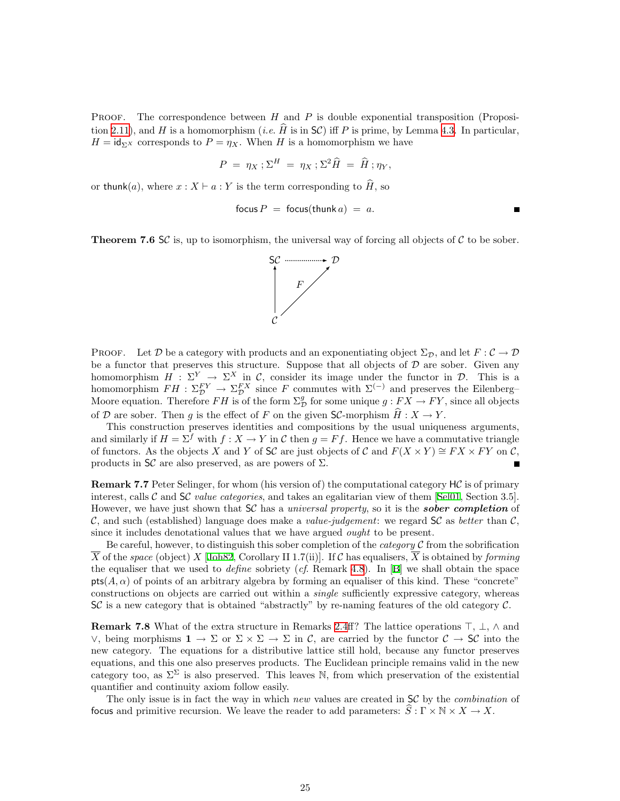**PROOF.** The correspondence between  $H$  and  $P$  is double exponential transposition (Proposi-tion [2.11\)](#page-8-2), and H is a homomorphism (*i.e.*  $\hat{H}$  is in SC) iff P is prime, by Lemma [4.3.](#page-12-0) In particular,  $H = id_{\Sigma}$  corresponds to  $P = \eta_X$ . When H is a homomorphism we have

$$
P = \eta_X \, ; \Sigma^H = \eta_X \, ; \Sigma^2 \widehat{H} = \widehat{H} \, ; \eta_Y,
$$

or thunk(a), where  $x : X \vdash a : Y$  is the term corresponding to  $\hat{H}$ , so

$$
focus P = focus(thunk a) = a.
$$

<span id="page-24-0"></span>**Theorem 7.6 SC** is, up to isomorphism, the universal way of forcing all objects of C to be sober.



**PROOF.** Let D be a category with products and an exponentiating object  $\Sigma_{\mathcal{D}}$ , and let  $F: \mathcal{C} \to \mathcal{D}$ be a functor that preserves this structure. Suppose that all objects of  $D$  are sober. Given any homomorphism  $H : \Sigma^Y \to \Sigma^X$  in C, consider its image under the functor in D. This is a homomorphism  $FH : \Sigma_{\mathcal{D}}^{FY} \to \Sigma_{\mathcal{D}}^{FX}$  since F commutes with  $\Sigma^{(-)}$  and preserves the Eilenberg– Moore equation. Therefore FH is of the form  $\Sigma^g_{\cal D}$  for some unique  $g: FX \to FY$ , since all objects of D are sober. Then g is the effect of F on the given SC-morphism  $H: X \to Y$ .

This construction preserves identities and compositions by the usual uniqueness arguments, and similarly if  $H = \Sigma^f$  with  $f: X \to Y$  in C then  $g = Ff$ . Hence we have a commutative triangle of functors. As the objects X and Y of SC are just objects of C and  $F(X \times Y) \cong FX \times FY$  on C, products in  $\mathsf{S}\mathcal{C}$  are also preserved, as are powers of  $\Sigma$ .

**Remark 7.7** Peter Selinger, for whom (his version of) the computational category  $H\mathcal{C}$  is of primary interest,calls C and  $\mathsf{SC}$  value categories, and takes an egalitarian view of them [[Sel01,](#page-39-3) Section 3.5]. However, we have just shown that  $SC$  has a *universal property*, so it is the **sober completion** of C, and such (established) language does make a value-judgement: we regard  $SC$  as better than C, since it includes denotational values that we have argued *ought* to be present.

Be careful, however, to distinguish this sober completion of the *category*  $\mathcal C$  from the sobrification  $\overline{X}$  of the space (object) X [[Joh82](#page-39-8), Corollary II 1.7(ii)]. If C has equalisers,  $\overline{X}$  is obtained by forming theequaliser that we used to *define* sobriety (*cf.* Remark [4.8\)](#page-13-2). In [[B](#page-40-2)] we shall obtain the space  $pts(A, \alpha)$  of points of an arbitrary algebra by forming an equaliser of this kind. These "concrete" constructions on objects are carried out within a single sufficiently expressive category, whereas SC is a new category that is obtained "abstractly" by re-naming features of the old category C.

**Remark 7.8** What of the extra structure in Remarks [2.4](#page-6-0)ff? The lattice operations  $\top$ ,  $\bot$ ,  $\land$  and  $\lor$ , being morphisms 1 → Σ or Σ  $\times$  Σ → Σ in C, are carried by the functor C → SC into the new category. The equations for a distributive lattice still hold, because any functor preserves equations, and this one also preserves products. The Euclidean principle remains valid in the new category too, as  $\Sigma^{\Sigma}$  is also preserved. This leaves N, from which preservation of the existential quantifier and continuity axiom follow easily.

<span id="page-24-1"></span>The only issue is in fact the way in which new values are created in SC by the *combination* of focus and primitive recursion. We leave the reader to add parameters:  $\hat{S}: \Gamma \times \mathbb{N} \times X \to X$ .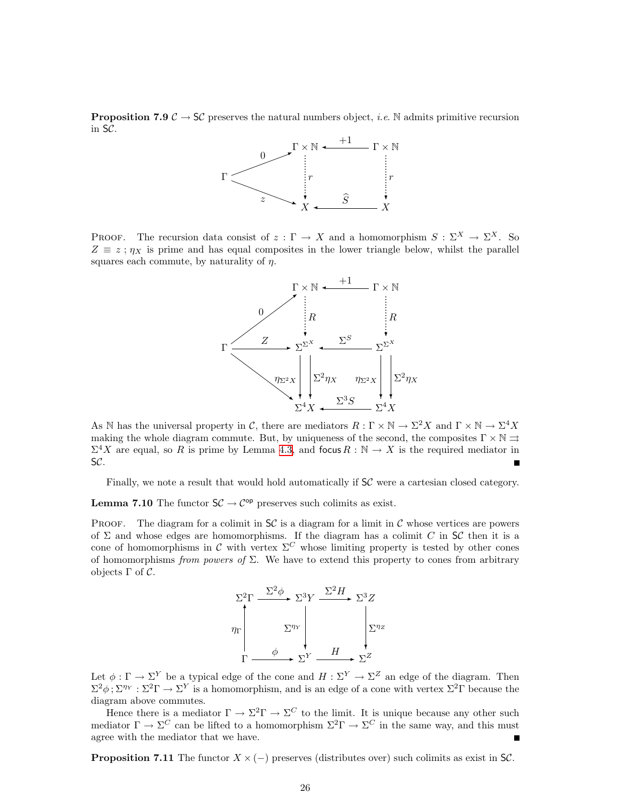**Proposition 7.9**  $\mathcal{C} \to \mathsf{SC}$  preserves the natural numbers object, *i.e.* N admits primitive recursion in SC.



PROOF. The recursion data consist of  $z : \Gamma \to X$  and a homomorphism  $S : \Sigma^X \to \Sigma^X$ . So  $Z \equiv z$ ;  $\eta_X$  is prime and has equal composites in the lower triangle below, whilst the parallel squares each commute, by naturality of  $\eta$ .



As N has the universal property in C, there are mediators  $R: \Gamma \times \mathbb{N} \to \Sigma^2 X$  and  $\Gamma \times \mathbb{N} \to \Sigma^4 X$ making the whole diagram commute. But, by uniqueness of the second, the composites  $\Gamma \times \mathbb{N} \rightrightarrows$  $\Sigma^4 X$  are equal, so R is prime by Lemma [4.3,](#page-12-0) and focus  $R : \mathbb{N} \to X$  is the required mediator in SC.

Finally, we note a result that would hold automatically if  $SC$  were a cartesian closed category.

**Lemma 7.10** The functor  $SC \rightarrow C^{op}$  preserves such colimits as exist.

PROOF. The diagram for a colimit in  $SC$  is a diagram for a limit in C whose vertices are powers of  $\Sigma$  and whose edges are homomorphisms. If the diagram has a colimit C in SC then it is a cone of homomorphisms in C with vertex  $\Sigma^C$  whose limiting property is tested by other cones of homomorphisms from powers of  $\Sigma$ . We have to extend this property to cones from arbitrary objects  $\Gamma$  of  $\mathcal{C}$ .



Let  $\phi : \Gamma \to \Sigma^Y$  be a typical edge of the cone and  $H : \Sigma^Y \to \Sigma^Z$  an edge of the diagram. Then  $\Sigma^2 \phi$ ;  $\Sigma^{\eta_Y} : \Sigma^2 \Gamma \to \Sigma^Y$  is a homomorphism, and is an edge of a cone with vertex  $\Sigma^2 \Gamma$  because the diagram above commutes.

Hence there is a mediator  $\Gamma \to \Sigma^2 \Gamma \to \Sigma^C$  to the limit. It is unique because any other such mediator  $\Gamma \to \Sigma^C$  can be lifted to a homomorphism  $\Sigma^2 \Gamma \to \Sigma^C$  in the same way, and this must agree with the mediator that we have.

**Proposition 7.11** The functor  $X \times (-)$  preserves (distributes over) such colimits as exist in SC.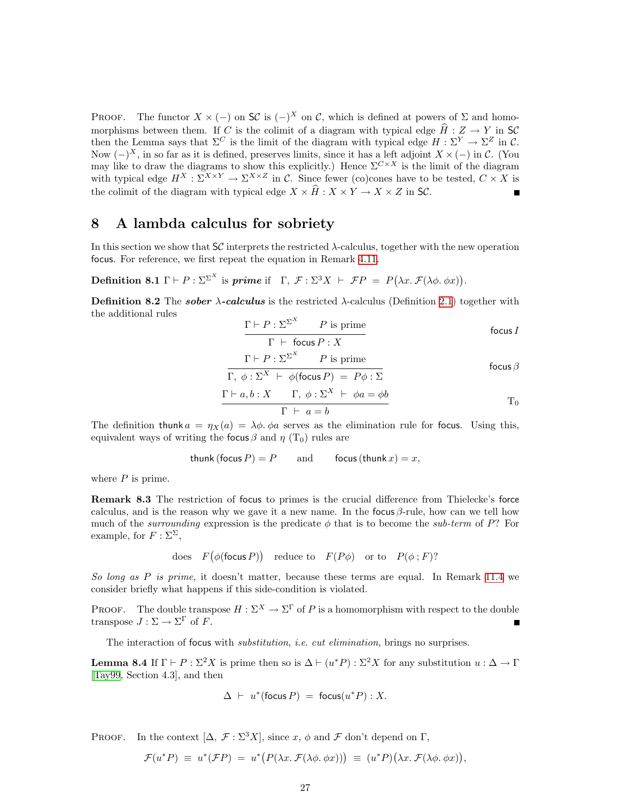<span id="page-26-0"></span>PROOF. The functor  $X \times (-)$  on  $\mathsf{S\!C}$  is  $(-)^X$  on  $\mathcal{C}$ , which is defined at powers of  $\Sigma$  and homomorphisms between them. If C is the colimit of a diagram with typical edge  $\hat{H} : Z \to Y$  in SC then the Lemma says that  $\Sigma^C$  is the limit of the diagram with typical edge  $H : \Sigma^Y \to \Sigma^Z$  in C. Now  $(-)^X$ , in so far as it is defined, preserves limits, since it has a left adjoint  $X \times (-)$  in C. (You may like to draw the diagrams to show this explicitly.) Hence  $\Sigma^{C\times X}$  is the limit of the diagram with typical edge  $H^X : \Sigma^{X \times Y} \to \Sigma^{X \times Z}$  in C. Since fewer (co)cones have to be tested,  $C \times X$  is the colimit of the diagram with typical edge  $X \times \widehat{H} : X \times Y \to X \times Z$  in SC.  $\blacksquare$ 

### <span id="page-26-1"></span>8 A lambda calculus for sobriety

In this section we show that  $S\mathcal{C}$  interprets the restricted  $\lambda$ -calculus, together with the new operation focus. For reference, we first repeat the equation in Remark [4.11](#page-14-0).

<span id="page-26-4"></span>**Definition 8.1**  $\Gamma \vdash P : \Sigma^{\Sigma^X}$  is *prime* if  $\Gamma, \mathcal{F} : \Sigma^3 X \vdash \mathcal{F}P = P(\lambda x. \mathcal{F}(\lambda \phi, \phi x)).$ 

<span id="page-26-3"></span>**Definition 8.2** The *sober*  $\lambda$ -calculus is the restricted  $\lambda$ -calculus (Definition [2.1\)](#page-5-1) together with the additional rules  $\bigcup X$ 

$$
\frac{\Gamma \vdash P : \Sigma^{\Sigma^X} \qquad P \text{ is prime}}{\Gamma \vdash \text{focus } P : X} \qquad \qquad \text{focus } I
$$

$$
\frac{\Gamma \vdash P : \Sigma^{\Sigma^{X}} \qquad P \text{ is prime}}{\Gamma, \phi : \Sigma^{X} \vdash \phi(\text{focus } P) \ = \ P\phi : \Sigma} \qquad \text{focus } \beta
$$

$$
\Gamma \vdash a, b: X \qquad \Gamma, \ \phi: \Sigma^{X} \vdash \ \phi a = \phi b
$$

$$
\Gamma \vdash a = b \qquad \qquad \Gamma
$$

The definition thunk  $a = \eta_X(a) = \lambda \phi$ .  $\phi a$  serves as the elimination rule for focus. Using this, equivalent ways of writing the focus  $\beta$  and  $\eta$  (T<sub>0</sub>) rules are

$$
thunk (focus P) = P \qquad and \qquad focus (thunk x) = x,
$$

<span id="page-26-2"></span>where  $P$  is prime.

Remark 8.3 The restriction of focus to primes is the crucial difference from Thielecke's force calculus, and is the reason why we gave it a new name. In the focus  $\beta$ -rule, how can we tell how much of the *surrounding* expression is the predicate  $\phi$  that is to become the *sub-term* of P? For example, for  $F : \Sigma^{\Sigma}$ ,

does 
$$
F(\phi(\text{focus } P))
$$
 reduce to  $F(P\phi)$  or to  $P(\phi; F)$ ?

So long as P is prime, it doesn't matter, because these terms are equal. In Remark [11.4](#page-37-0) we consider briefly what happens if this side-condition is violated.

PROOF. The double transpose  $H : \Sigma^X \to \Sigma^{\Gamma}$  of P is a homomorphism with respect to the double transpose  $J : \Sigma \to \Sigma^{\Gamma}$  of F.

The interaction of focus with *substitution*, *i.e. cut elimination*, brings no surprises.

**Lemma 8.4** If  $\Gamma \vdash P : \Sigma^2 X$  is prime then so is  $\Delta \vdash (u^*P) : \Sigma^2 X$  for any substitution  $u : \Delta \to \Gamma$ [[Tay99](#page-40-10), Section 4.3], and then

$$
\Delta \;\vdash\; u^*(\mathsf{focus}\, P) \;=\; \mathsf{focus}(u^*P) : X.
$$

PROOF. In the context  $[\Delta, \mathcal{F}: \Sigma^3 X]$ , since x,  $\phi$  and  $\mathcal{F}$  don't depend on  $\Gamma$ ,

$$
\mathcal{F}(u^*P) \equiv u^*(\mathcal{F}P) = u^*\big(P(\lambda x.\,\mathcal{F}(\lambda \phi.\,\phi x))\big) \equiv (u^*P)(\lambda x.\,\mathcal{F}(\lambda \phi.\,\phi x)),
$$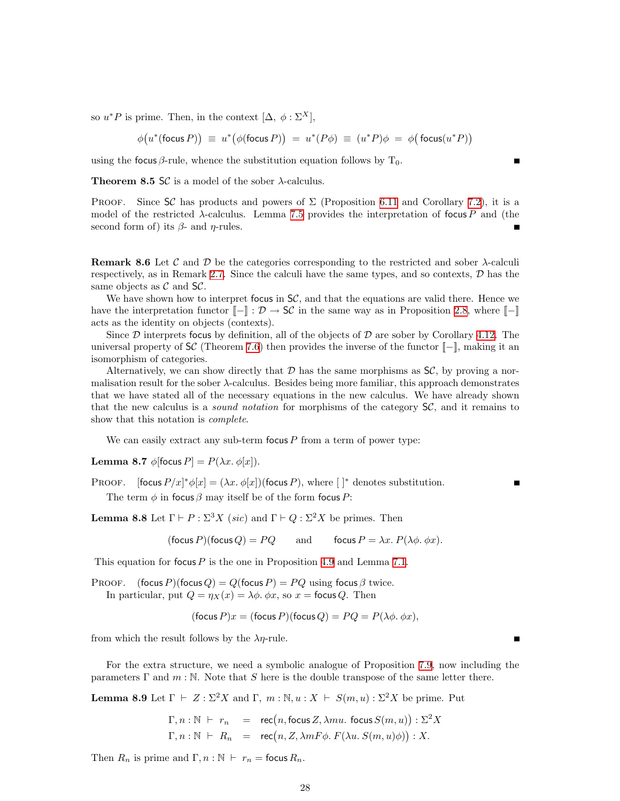so  $u^*P$  is prime. Then, in the context  $[\Delta, \phi : \Sigma^X],$ 

$$
\phi(u^*(\text{focus } P)) \equiv u^*(\phi(\text{focus } P)) = u^*(P\phi) \equiv (u^*P)\phi = \phi(\text{focus}(u^*P))
$$

using the focus  $\beta$ -rule, whence the substitution equation follows by T<sub>0</sub>.

**Theorem 8.5 SC** is a model of the sober  $\lambda$ -calculus.

PROOF. Since SC has products and powers of  $\Sigma$  (Proposition [6.11](#page-21-0) and Corollary [7.2](#page-23-1)), it is a model of the restricted  $\lambda$ -calculus. Lemma [7.5](#page-23-2) provides the interpretation of focus P and (the second form of) its  $\beta$ - and  $\eta$ -rules.

<span id="page-27-3"></span>**Remark 8.6** Let C and D be the categories corresponding to the restricted and sober  $\lambda$ -calculi respectively, as in Remark [2.7](#page-6-2). Since the calculi have the same types, and so contexts,  $\mathcal{D}$  has the same objects as  $\mathcal C$  and  $\mathsf{S}\mathcal C$ .

We have shown how to interpret focus in  $\mathcal{SC}$ , and that the equations are valid there. Hence we have the interpretation functor  $[-] : \mathcal{D} \to \mathsf{SC}$  in the same way as in Proposition [2.8,](#page-7-1) where  $[-]$ acts as the identity on objects (contexts).

Since  $\mathcal D$  interprets focus by definition, all of the objects of  $\mathcal D$  are sober by Corollary [4.12.](#page-14-1) The universal property of  $\mathsf{S}\mathcal{C}$  (Theorem [7.6](#page-24-0)) then provides the inverse of the functor  $\llbracket - \rrbracket$ , making it an isomorphism of categories.

Alternatively, we can show directly that  $\mathcal D$  has the same morphisms as  $\mathcal{S}\mathcal{C}$ , by proving a normalisation result for the sober λ-calculus. Besides being more familiar, this approach demonstrates that we have stated all of the necessary equations in the new calculus. We have already shown that the new calculus is a *sound notation* for morphisms of the category  $S\mathcal{C}$ , and it remains to show that this notation is *complete*.

We can easily extract any sub-term focus  $P$  from a term of power type:

<span id="page-27-0"></span>Lemma 8.7  $\phi$ [focus  $P$ ] =  $P(\lambda x. \phi[x])$ .

PROOF. [focus  $P/x$ ]\* $\phi[x] = (\lambda x. \phi[x])$ (focus P), where []\* denotes substitution. The term  $\phi$  in focus  $\beta$  may itself be of the form focus P:

<span id="page-27-1"></span>**Lemma 8.8** Let  $\Gamma \vdash P : \Sigma^3 X$  (sic) and  $\Gamma \vdash Q : \Sigma^2 X$  be primes. Then

$$
(\text{focus } P)(\text{focus } Q) = PQ \qquad \text{and} \qquad \text{focus } P = \lambda x. \ P(\lambda \phi. \ \phi x).
$$

This equation for focus  $P$  is the one in Proposition [4.9](#page-13-0) and Lemma [7.1.](#page-22-2)

PROOF. (focus P)(focus Q) = Q(focus P) = PQ using focus  $\beta$  twice. In particular, put  $Q = \eta_X(x) = \lambda \phi$ .  $\phi x$ , so  $x =$  focus Q. Then

$$
(\text{focus } P)x = (\text{focus } P)(\text{focus } Q) = PQ = P(\lambda \phi, \phi x),
$$

from which the result follows by the  $\lambda \eta$ -rule.

For the extra structure, we need a symbolic analogue of Proposition [7.9,](#page-24-1) now including the parameters  $\Gamma$  and  $m : \mathbb{N}$ . Note that S here is the double transpose of the same letter there.

<span id="page-27-2"></span>**Lemma 8.9** Let  $\Gamma \vdash Z : \Sigma^2 X$  and  $\Gamma, m : \mathbb{N}, u : X \vdash S(m, u) : \Sigma^2 X$  be prime. Put

$$
\Gamma, n : \mathbb{N} \vdash r_n = \text{rec}(n, \text{focus } Z, \lambda m u. \text{ focus } S(m, u)) : \Sigma^2 X \n\Gamma, n : \mathbb{N} \vdash R_n = \text{rec}(n, Z, \lambda m F \phi. F(\lambda u. S(m, u)\phi)) : X.
$$

Then  $R_n$  is prime and  $\Gamma, n : \mathbb{N} \vdash r_n = \text{focus } R_n$ .

 $\blacksquare$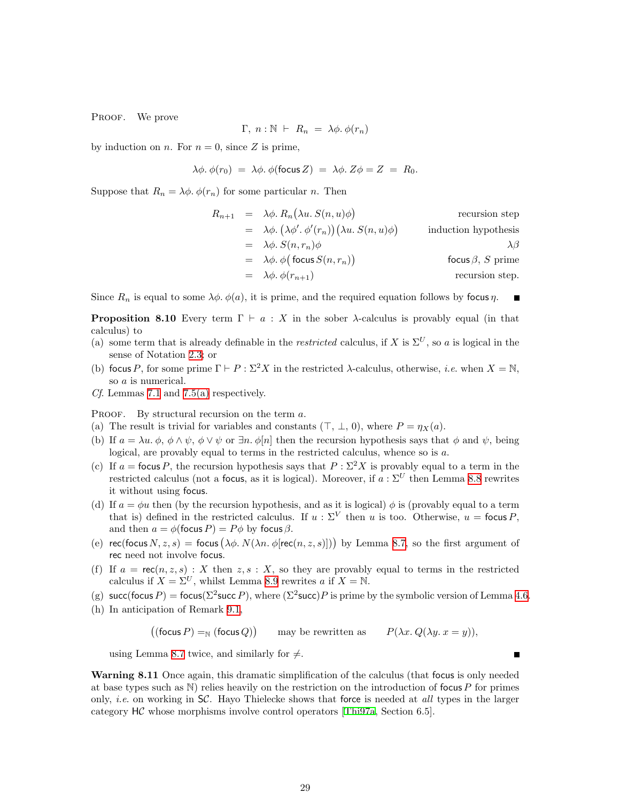PROOF. We prove

$$
\Gamma, n : \mathbb{N} \vdash R_n = \lambda \phi. \phi(r_n)
$$

by induction on *n*. For  $n = 0$ , since Z is prime,

$$
\lambda \phi. \phi(r_0) = \lambda \phi. \phi(\text{focus } Z) = \lambda \phi. Z\phi = Z = R_0.
$$

Suppose that  $R_n = \lambda \phi$ .  $\phi(r_n)$  for some particular n. Then

$$
R_{n+1} = \lambda \phi. R_n(\lambda u. S(n, u)\phi)
$$
 recursion step  
\n
$$
= \lambda \phi. (\lambda \phi'. \phi'(r_n)) (\lambda u. S(n, u)\phi)
$$
 induction hypothesis  
\n
$$
= \lambda \phi. S(n, r_n)\phi
$$

$$
= \lambda \phi. \phi \text{ (focus } S(n, r_n))
$$
focus  $\beta$ ,  $S$  prime  
\nrecursion step.  
\n
$$
\lambda \phi. \phi(r_{n+1})
$$
 recursion step.

Since  $R_n$  is equal to some  $\lambda \phi$ .  $\phi(a)$ , it is prime, and the required equation follows by focus  $\eta$ .  $\blacksquare$ 

<span id="page-28-0"></span>**Proposition 8.10** Every term  $\Gamma \vdash a : X$  in the sober  $\lambda$ -calculus is provably equal (in that calculus) to

- (a) some term that is already definable in the *restricted* calculus, if X is  $\Sigma^U$ , so a is logical in the sense of Notation [2.3](#page-5-2); or
- (b) focus P, for some prime  $\Gamma \vdash P : \Sigma^2 X$  in the restricted  $\lambda$ -calculus, otherwise, *i.e.* when  $X = \mathbb{N}$ . so a is numerical.
- Cf. Lemmas [7.1](#page-22-2) and [7.5\(a\)](#page-23-3) respectively.

PROOF. By structural recursion on the term a.

- (a) The result is trivial for variables and constants  $(\top, \bot, 0)$ , where  $P = \eta_X(a)$ .
- (b) If  $a = \lambda u$ .  $\phi$ ,  $\phi \wedge \psi$ ,  $\phi \vee \psi$  or  $\exists n$ .  $\phi[n]$  then the recursion hypothesis says that  $\phi$  and  $\psi$ , being logical, are provably equal to terms in the restricted calculus, whence so is a.
- (c) If  $a =$  focus P, the recursion hypothesis says that  $P : \Sigma^2 X$  is provably equal to a term in the restricted calculus (not a focus, as it is logical). Moreover, if  $a : \Sigma^U$  then Lemma [8.8](#page-27-1) rewrites it without using focus.
- (d) If  $a = \phi u$  then (by the recursion hypothesis, and as it is logical)  $\phi$  is (provably equal to a term that is) defined in the restricted calculus. If  $u : \Sigma^V$  then u is too. Otherwise,  $u = \text{focus } P$ , and then  $a = \phi$ (focus  $P$ ) =  $P\phi$  by focus  $\beta$ .
- (e) rec(focus  $N, z, s$ ) = focus  $(\lambda \phi, N(\lambda n. \phi[rec(n, z, s)]))$  by Lemma [8.7,](#page-27-0) so the first argument of rec need not involve focus.
- (f) If  $a = \text{rec}(n, z, s) : X$  then  $z, s : X$ , so they are provably equal to terms in the restricted calculus if  $X = \Sigma^U$ , whilst Lemma [8.9](#page-27-2) rewrites a if  $X = N$ .
- (g) succ(focus P) = focus( $\Sigma^2$ succ P), where ( $\Sigma^2$ succ)P is prime by the symbolic version of Lemma [4.6.](#page-12-2)
- (h) In anticipation of Remark [9.1](#page-29-3),

 $(($ focus  $P) =_{\mathbb{N}} ($ focus  $Q)$ may be rewritten as  $P(\lambda x. Q(\lambda y. x = y)),$ 

using Lemma [8.7](#page-27-0) twice, and similarly for  $\neq$ .

Warning 8.11 Once again, this dramatic simplification of the calculus (that focus is only needed at base types such as  $\mathbb N$ ) relies heavily on the restriction on the introduction of focus P for primes only, *i.e.* on working in  $\mathsf{S}\mathcal{C}$ . Hayo Thielecke shows that force is needed at all types in the larger category HC whose morphisms involve control operators [\[Thi97a,](#page-40-4) Section 6.5].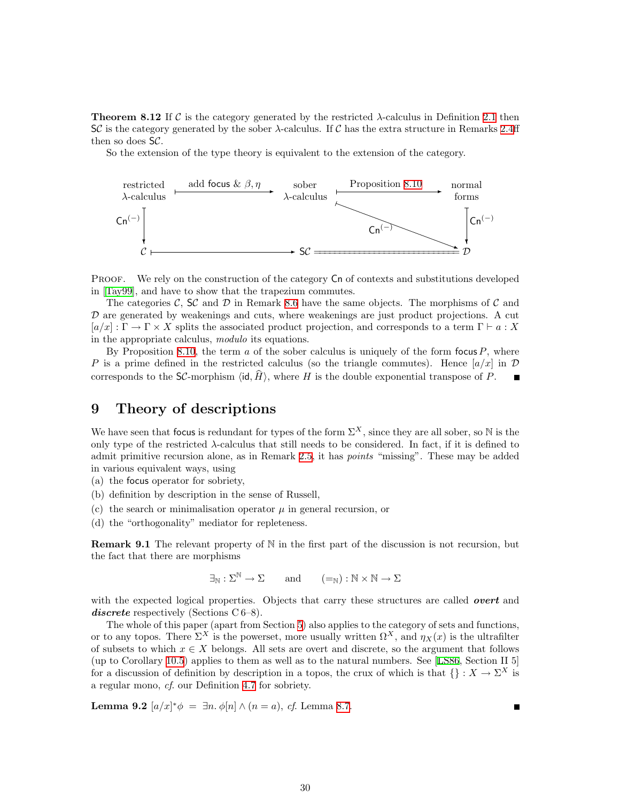<span id="page-29-0"></span>**Theorem 8.12** If C is the category generated by the restricted  $\lambda$ -calculus in Definition [2.1](#page-5-1) then  $SC$  is the category generated by the sober  $\lambda$ -calculus. If C has the extra structure in Remarks [2.4](#page-6-0)ff then so does SC.

So the extension of the type theory is equivalent to the extension of the category.



PROOF. We rely on the construction of the category  $Cn$  of contexts and substitutions developed in [\[Tay99\]](#page-40-10), and have to show that the trapezium commutes.

The categories C, SC and D in Remark [8.6](#page-27-3) have the same objects. The morphisms of C and  $D$  are generated by weakenings and cuts, where weakenings are just product projections. A cut  $[a/x] : \Gamma \to \Gamma \times X$  splits the associated product projection, and corresponds to a term  $\Gamma \vdash a : X$ in the appropriate calculus, modulo its equations.

By Proposition [8.10,](#page-28-0) the term  $\alpha$  of the sober calculus is uniquely of the form focus  $P$ , where P is a prime defined in the restricted calculus (so the triangle commutes). Hence  $a/x$  in D corresponds to the SC-morphism  $\langle id, H \rangle$ , where H is the double exponential transpose of P.

### <span id="page-29-1"></span>9 Theory of descriptions

We have seen that focus is redundant for types of the form  $\Sigma^X$ , since they are all sober, so N is the only type of the restricted  $\lambda$ -calculus that still needs to be considered. In fact, if it is defined to admit primitive recursion alone, as in Remark [2.5](#page-6-3), it has *points* "missing". These may be added in various equivalent ways, using

(a) the focus operator for sobriety,

- (b) definition by description in the sense of Russell,
- (c) the search or minimalisation operator  $\mu$  in general recursion, or

<span id="page-29-3"></span>(d) the "orthogonality" mediator for repleteness.

**Remark 9.1** The relevant property of  $\mathbb N$  in the first part of the discussion is not recursion, but the fact that there are morphisms

$$
\exists_{\mathbb{N}} : \Sigma^{\mathbb{N}} \to \Sigma \qquad \text{and} \qquad (=_{\mathbb{N}}) : \mathbb{N} \times \mathbb{N} \to \Sigma
$$

with the expected logical properties. Objects that carry these structures are called **overt** and discrete respectively (Sections C 6–8).

The whole of this paper (apart from Section [5\)](#page-15-1) also applies to the category of sets and functions, or to any topos. There  $\Sigma^X$  is the powerset, more usually written  $\Omega^X$ , and  $\eta_X(x)$  is the ultrafilter of subsets to which  $x \in X$  belongs. All sets are overt and discrete, so the argument that follows (up to Corollary [10.5\)](#page-33-1) applies to them as well as to the natural numbers. See [\[LS86,](#page-39-17) Section II 5] for a discussion of definition by description in a topos, the crux of which is that  $\{\} : X \to \Sigma^X$  is a regular mono, cf. our Definition [4.7](#page-12-3) for sobriety.

<span id="page-29-4"></span><span id="page-29-2"></span>**Lemma 9.2**  $[a/x]^* \phi = \exists n \cdot \phi[n] \wedge (n = a), \text{ cf. Lemma 8.7.}$  $[a/x]^* \phi = \exists n \cdot \phi[n] \wedge (n = a), \text{ cf. Lemma 8.7.}$  $[a/x]^* \phi = \exists n \cdot \phi[n] \wedge (n = a), \text{ cf. Lemma 8.7.}$ 

Г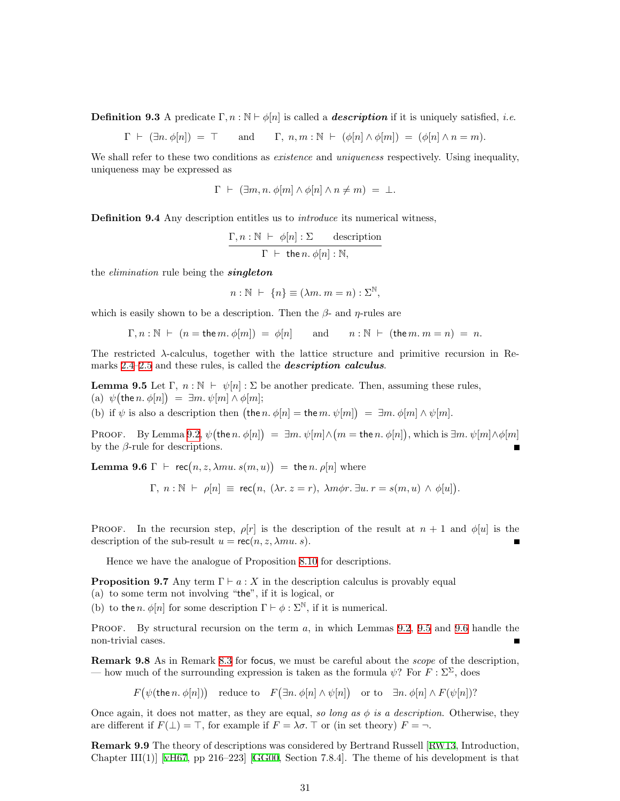**Definition 9.3** A predicate  $\Gamma, n : \mathbb{N} \vdash \phi[n]$  is called a **description** if it is uniquely satisfied, *i.e.* 

 $\Gamma \vdash (\exists n. \phi[n]) = \top$  and  $\Gamma, n, m : \mathbb{N} \vdash (\phi[n] \land \phi[m]) = (\phi[n] \land n = m).$ 

We shall refer to these two conditions as *existence* and *uniqueness* respectively. Using inequality, uniqueness may be expressed as

$$
\Gamma \ \vdash \ (\exists m, n. \ \phi[m] \land \phi[n] \land n \neq m) \ = \ \bot.
$$

**Definition 9.4** Any description entitles us to *introduce* its numerical witness,

$$
\frac{\Gamma, n : \mathbb{N} \ \vdash \ \phi[n] : \Sigma \quad \text{description}}{\Gamma \ \vdash \ \text{the } n. \ \phi[n] : \mathbb{N},}
$$

the *elimination* rule being the **singleton** 

$$
n : \mathbb{N} \ \vdash \ \{n\} \equiv (\lambda m. \ m = n) : \Sigma^{\mathbb{N}},
$$

which is easily shown to be a description. Then the  $\beta$ - and  $\eta$ -rules are

$$
\Gamma, n : \mathbb{N} \ \vdash \ (n = \text{the } m. \ \phi[m]) \ = \ \phi[n] \qquad \text{and} \qquad n : \mathbb{N} \ \vdash \ (\text{the } m. \ m = n) \ = \ n.
$$

The restricted λ-calculus, together with the lattice structure and primitive recursion in Re-marks [2.4](#page-6-0)[–2.5](#page-6-3) and these rules, is called the *description calculus*.

<span id="page-30-0"></span>**Lemma 9.5** Let  $\Gamma$ ,  $n : \mathbb{N} \vdash \psi[n] : \Sigma$  be another predicate. Then, assuming these rules, (a)  $\psi$ (the n.  $\phi[n]$ ) =  $\exists m.\psi[m] \wedge \phi[m];$ 

(b) if  $\psi$  is also a description then  $(\text{the } n \cdot \phi[n] = \text{the } m \cdot \psi[m]) = \exists m \cdot \phi[m] \wedge \psi[m]$ .

PROOF. By Lemma [9.2](#page-29-2),  $\psi(\text{the } n \cdot \phi[n]) = \exists m \cdot \psi[m] \wedge (m = \text{the } n \cdot \phi[n])$ , which is  $\exists m \cdot \psi[m] \wedge \phi[m]$ by the  $\beta$ -rule for descriptions.

<span id="page-30-1"></span>**Lemma 9.6**  $\Gamma$   $\vdash$  rec $(n, z, \lambda mu, s(m, u)) =$  the n.  $\rho[n]$  where

$$
\Gamma, n : \mathbb{N} \vdash \rho[n] \equiv \text{rec}(n, (\lambda r. z = r), \lambda m \phi r. \exists u. r = s(m, u) \land \phi[u]).
$$

PROOF. In the recursion step,  $\rho[r]$  is the description of the result at  $n + 1$  and  $\phi[u]$  is the description of the sub-result  $u = \text{rec}(n, z, \lambda mu, s)$ .

Hence we have the analogue of Proposition [8.10](#page-28-0) for descriptions.

**Proposition 9.7** Any term  $\Gamma \vdash a : X$  in the description calculus is provably equal (a) to some term not involving "the", if it is logical, or

(b) to the *n*.  $\phi[n]$  for some description  $\Gamma \vdash \phi : \Sigma^{\mathbb{N}}$ , if it is numerical.

PROOF. By structural recursion on the term  $a$ , in which Lemmas [9.2,](#page-29-2) [9.5](#page-30-0) and [9.6](#page-30-1) handle the non-trivial cases.

<span id="page-30-2"></span>Remark 9.8 As in Remark [8.3](#page-26-2) for focus, we must be careful about the *scope* of the description, — how much of the surrounding expression is taken as the formula  $\psi$ ? For  $\overline{F}$  :  $\Sigma^{\Sigma}$ , does

 $F(\psi(\text{the }n \ldotp \phi[n]))$  reduce to  $F(\exists n \ldotp \phi[n] \land \psi[n])$  or to  $\exists n \ldotp \phi[n] \land F(\psi[n])$ ?

Once again, it does not matter, as they are equal, so long as  $\phi$  is a description. Otherwise, they are different if  $F(\perp) = \top$ , for example if  $F = \lambda \sigma$ .  $\top$  or (in set theory)  $F = \neg$ .

Remark 9.9 The theory of descriptions was considered by Bertrand Russell[[RW13](#page-39-18), Introduction, Chapter III(1)] [\[vH67,](#page-40-12)pp 216–223] [[GG00](#page-38-15), Section 7.8.4]. The theme of his development is that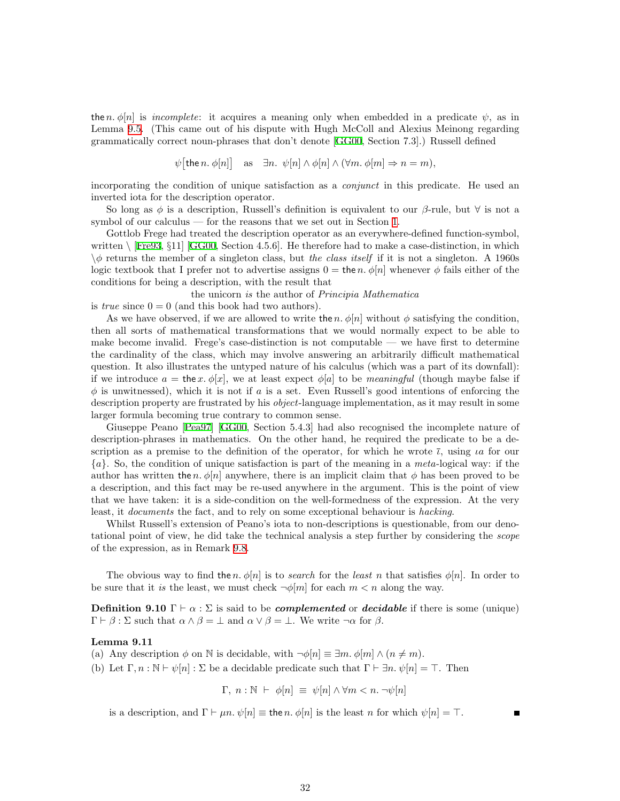the n.  $\phi[n]$  is incomplete: it acquires a meaning only when embedded in a predicate  $\psi$ , as in Lemma [9.5](#page-30-0). (This came out of his dispute with Hugh McColl and Alexius Meinong regarding grammatically correct noun-phrases that don't denote[[GG00](#page-38-15), Section 7.3].) Russell defined

 $\psi[\text{the }n \cdot \phi[n]] \text{ as } \exists n \cdot \psi[n] \wedge \phi[n] \wedge (\forall m \cdot \phi[m] \Rightarrow n = m),$ 

incorporating the condition of unique satisfaction as a *conjunct* in this predicate. He used an inverted iota for the description operator.

So long as  $\phi$  is a description, Russell's definition is equivalent to our  $\beta$ -rule, but  $\forall$  is not a symbol of our calculus — for the reasons that we set out in Section [1.](#page-0-1)

Gottlob Frege had treated the description operator as an everywhere-defined function-symbol, written $\langle$  [\[Fre93](#page-38-16), §11] [[GG00](#page-38-15), Section 4.5.6]. He therefore had to make a case-distinction, in which  $\phi$  returns the member of a singleton class, but the class itself if it is not a singleton. A 1960s logic textbook that I prefer not to advertise assigns  $0 =$  the n.  $\phi[n]$  whenever  $\phi$  fails either of the conditions for being a description, with the result that

the unicorn is the author of Principia Mathematica is *true* since  $0 = 0$  (and this book had two authors).

As we have observed, if we are allowed to write the n.  $\phi[n]$  without  $\phi$  satisfying the condition, then all sorts of mathematical transformations that we would normally expect to be able to make become invalid. Frege's case-distinction is not computable — we have first to determine the cardinality of the class, which may involve answering an arbitrarily difficult mathematical question. It also illustrates the untyped nature of his calculus (which was a part of its downfall): if we introduce  $a = \text{the } x \cdot \phi[x]$ , we at least expect  $\phi[a]$  to be *meaningful* (though maybe false if  $\phi$  is unwitnessed), which it is not if a is a set. Even Russell's good intentions of enforcing the description property are frustrated by his *object*-language implementation, as it may result in some larger formula becoming true contrary to common sense.

Giuseppe Peano[[Pea97](#page-39-19)] [\[GG00,](#page-38-15) Section 5.4.3] had also recognised the incomplete nature of description-phrases in mathematics. On the other hand, he required the predicate to be a description as a premise to the definition of the operator, for which he wrote  $\bar{\iota}$ , using  $\iota a$  for our  ${a}$ . So, the condition of unique satisfaction is part of the meaning in a meta-logical way: if the author has written the n.  $\phi[n]$  anywhere, there is an implicit claim that  $\phi$  has been proved to be a description, and this fact may be re-used anywhere in the argument. This is the point of view that we have taken: it is a side-condition on the well-formedness of the expression. At the very least, it documents the fact, and to rely on some exceptional behaviour is hacking.

Whilst Russell's extension of Peano's iota to non-descriptions is questionable, from our denotational point of view, he did take the technical analysis a step further by considering the scope of the expression, as in Remark [9.8](#page-30-2).

The obvious way to find the n.  $\phi[n]$  is to *search* for the *least* n that satisfies  $\phi[n]$ . In order to be sure that it is the least, we must check  $\neg \phi[m]$  for each  $m < n$  along the way.

**Definition 9.10**  $\Gamma \vdash \alpha : \Sigma$  is said to be *complemented* or *decidable* if there is some (unique)  $\Gamma \vdash \beta : \Sigma$  such that  $\alpha \wedge \beta = \bot$  and  $\alpha \vee \beta = \bot$ . We write  $\neg \alpha$  for  $\beta$ .

#### <span id="page-31-1"></span>Lemma 9.11

(a) Any description  $\phi$  on N is decidable, with  $\neg \phi[n] \equiv \exists m. \phi[m] \land (n \neq m)$ .

(b) Let  $\Gamma, n : \mathbb{N} \vdash \psi[n] : \Sigma$  be a decidable predicate such that  $\Gamma \vdash \exists n. \psi[n] = \top$ . Then

$$
\Gamma, n : \mathbb{N} \ \vdash \ \phi[n] \ \equiv \ \psi[n] \land \forall m < n. \ \neg \psi[n]
$$

<span id="page-31-0"></span>is a description, and  $\Gamma \vdash \mu n. \psi[n] \equiv \text{the } n. \phi[n]$  is the least n for which  $\psi[n] = \top$ .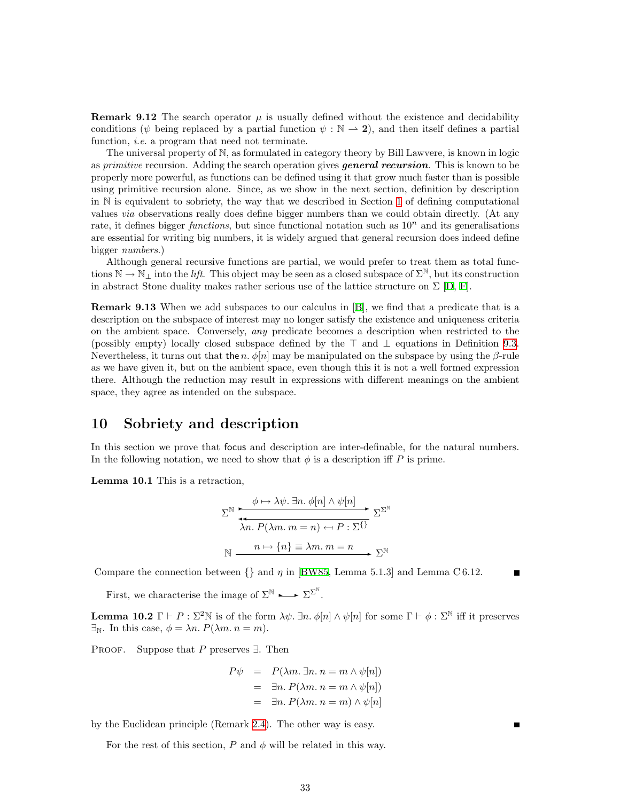<span id="page-32-0"></span>**Remark 9.12** The search operator  $\mu$  is usually defined without the existence and decidability conditions ( $\psi$  being replaced by a partial function  $\psi : \mathbb{N} \to \mathbb{2}$ ), and then itself defines a partial function, *i.e.* a program that need not terminate.

The universal property of N, as formulated in category theory by Bill Lawvere, is known in logic as primitive recursion. Adding the search operation gives **general recursion**. This is known to be properly more powerful, as functions can be defined using it that grow much faster than is possible using primitive recursion alone. Since, as we show in the next section, definition by description in  $\mathbb N$  is equivalent to sobriety, the way that we described in Section [1](#page-0-1) of defining computational values via observations really does define bigger numbers than we could obtain directly. (At any rate, it defines bigger *functions*, but since functional notation such as  $10<sup>n</sup>$  and its generalisations are essential for writing big numbers, it is widely argued that general recursion does indeed define bigger numbers.)

Although general recursive functions are partial, we would prefer to treat them as total functions  $\mathbb{N} \to \mathbb{N}_+$  into the *lift*. This object may be seen as a closed subspace of  $\Sigma^{\mathbb{N}}$ , but its construction inabstract Stone duality makes rather serious use of the lattice structure on  $\Sigma$  [[D](#page-40-11), [F\]](#page-40-9).

Remark 9.13 When we add subspaces to our calculus in[[B\]](#page-40-2), we find that a predicate that is a description on the subspace of interest may no longer satisfy the existence and uniqueness criteria on the ambient space. Conversely, any predicate becomes a description when restricted to the (possibly empty) locally closed subspace defined by the  $\top$  and  $\bot$  equations in Definition [9.3](#page-29-4). Nevertheless, it turns out that the n.  $\phi[n]$  may be manipulated on the subspace by using the  $\beta$ -rule as we have given it, but on the ambient space, even though this it is not a well formed expression there. Although the reduction may result in expressions with different meanings on the ambient space, they agree as intended on the subspace.

### <span id="page-32-1"></span>10 Sobriety and description

In this section we prove that focus and description are inter-definable, for the natural numbers. In the following notation, we need to show that  $\phi$  is a description iff P is prime.

Lemma 10.1 This is a retraction,

$$
\Sigma^{\mathbb{N}} \xrightarrow{\phi \mapsto \lambda \psi. \exists n. \phi[n] \land \psi[n]} \Sigma^{\Sigma^{\mathbb{N}}}
$$

$$
\lambda n. P(\lambda m. m = n) \leftrightarrow P : \Sigma^{\{\}} \Sigma^{\Sigma^{\mathbb{N}}}
$$

$$
\mathbb{N} \xrightarrow{n \mapsto \{n\} \equiv \lambda m. m = n} \Sigma^{\mathbb{N}}
$$

Compare the connection between  $\{\}$  and  $\eta$  in [\[BW85](#page-38-5), Lemma 5.1.3] and Lemma C 6.12.

First, we characterise the image of  $\Sigma^{\mathbb{N}} \longrightarrow \Sigma^{\Sigma^{\mathbb{N}}}$ .

<span id="page-32-2"></span>**Lemma 10.2**  $\Gamma \vdash P : \Sigma^2 \mathbb{N}$  is of the form  $\lambda \psi$ .  $\exists n. \phi[n] \wedge \psi[n]$  for some  $\Gamma \vdash \phi : \Sigma^{\mathbb{N}}$  iff it preserves  $\exists_N$ . In this case,  $\phi = \lambda n$ .  $P(\lambda m \cdot n = m)$ .

PROOF. Suppose that P preserves  $\exists$ . Then

$$
P\psi = P(\lambda m. \exists n. n = m \land \psi[n])
$$
  
=  $\exists n. P(\lambda m. n = m \land \psi[n])$   
=  $\exists n. P(\lambda m. n = m) \land \psi[n]$ 

 $\blacksquare$ 

by the Euclidean principle (Remark [2.4](#page-6-0)). The other way is easy.

For the rest of this section,  $P$  and  $\phi$  will be related in this way.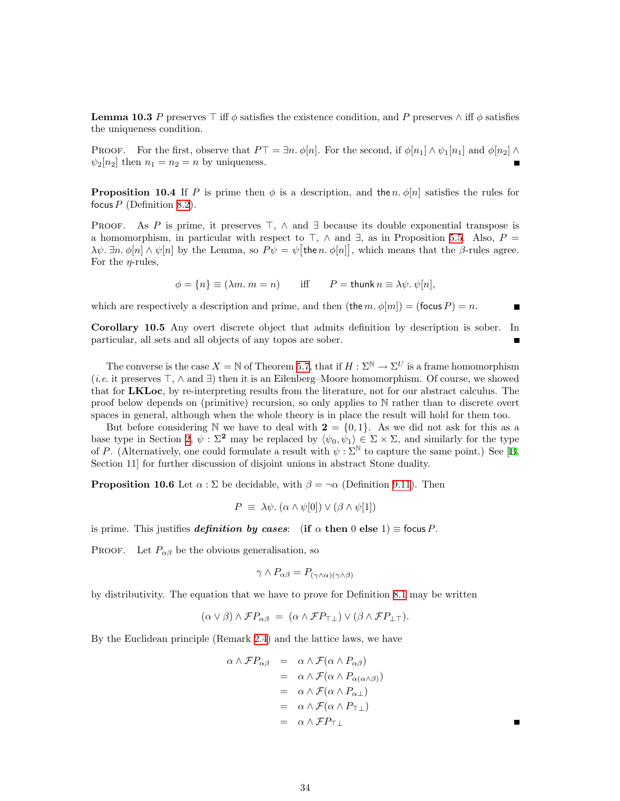**Lemma 10.3** P preserves  $\top$  iff  $\phi$  satisfies the existence condition, and P preserves  $\wedge$  iff  $\phi$  satisfies the uniqueness condition.

PROOF. For the first, observe that  $P\top = \exists n.\phi[n]$ . For the second, if  $\phi[n_1] \wedge \psi_1[n_1]$  and  $\phi[n_2] \wedge$  $\psi_2[n_2]$  then  $n_1 = n_2 = n$  by uniqueness.

**Proposition 10.4** If P is prime then  $\phi$  is a description, and the n.  $\phi[n]$  satisfies the rules for focus  $P$  (Definition [8.2](#page-26-3)).

PROOF. As P is prime, it preserves  $\top$ ,  $\wedge$  and  $\exists$  because its double exponential transpose is a homomorphism, in particular with respect to  $\top$ ,  $\wedge$  and  $\exists$ , as in Proposition [5.5.](#page-16-0) Also,  $P =$  $\lambda \psi$ .  $\exists n \cdot \phi[n] \wedge \psi[n]$  by the Lemma, so  $P\psi = \psi[\text{the } n \cdot \phi[n]]$ , which means that the  $\beta$ -rules agree. For the  $\eta$ -rules,

$$
\phi = \{n\} \equiv (\lambda m. m = n) \quad \text{iff} \quad P = \text{thunk } n \equiv \lambda \psi. \psi[n],
$$

which are respectively a description and prime, and then (the m.  $\phi[m]$ ) = (focus P) = n.

<span id="page-33-1"></span>Corollary 10.5 Any overt discrete object that admits definition by description is sober. In particular, all sets and all objects of any topos are sober.  $\blacksquare$ 

The converse is the case  $X = \mathbb{N}$  of Theorem [5.7,](#page-17-2) that if  $H : \Sigma^{\mathbb{N}} \to \Sigma^U$  is a frame homomorphism (*i.e.* it preserves  $\top$ ,  $\wedge$  and  $\exists$ ) then it is an Eilenberg–Moore homomorphism. Of course, we showed that for LKLoc, by re-interpreting results from the literature, not for our abstract calculus. The proof below depends on (primitive) recursion, so only applies to N rather than to discrete overt spaces in general, although when the whole theory is in place the result will hold for them too.

But before considering N we have to deal with  $2 = \{0, 1\}$ . As we did not ask for this as a base type in Section [2](#page-5-3),  $\psi : \Sigma^2$  may be replaced by  $\langle \psi_0, \psi_1 \rangle \in \Sigma \times \Sigma$ , and similarly for the type of P. (Alternatively, one could formulate a result with  $\psi : \Sigma^{\mathbb{N}}$  to capture the same point.) See [\[B](#page-40-2), Section 11] for further discussion of disjoint unions in abstract Stone duality.

<span id="page-33-0"></span>**Proposition 10.6** Let  $\alpha : \Sigma$  be decidable, with  $\beta = \neg \alpha$  (Definition [9.11\)](#page-31-1). Then

$$
P \equiv \lambda \psi. \left( \alpha \wedge \psi[0] \right) \vee \left( \beta \wedge \psi[1] \right)
$$

is prime. This justifies definition by cases: (if  $\alpha$  then 0 else 1)  $\equiv$  focus P.

PROOF. Let  $P_{\alpha\beta}$  be the obvious generalisation, so

$$
\gamma \wedge P_{\alpha\beta} = P_{(\gamma \wedge \alpha)(\gamma \wedge \beta)}
$$

by distributivity. The equation that we have to prove for Definition [8.1](#page-26-4) may be written

$$
(\alpha \vee \beta) \wedge \mathcal{F}P_{\alpha\beta} = (\alpha \wedge \mathcal{F}P_{\top\bot}) \vee (\beta \wedge \mathcal{F}P_{\bot\top}).
$$

By the Euclidean principle (Remark [2.4\)](#page-6-0) and the lattice laws, we have

$$
\alpha \wedge \mathcal{F}P_{\alpha\beta} = \alpha \wedge \mathcal{F}(\alpha \wedge P_{\alpha\beta})
$$
  
=  $\alpha \wedge \mathcal{F}(\alpha \wedge P_{\alpha(\alpha \wedge \beta)})$   
=  $\alpha \wedge \mathcal{F}(\alpha \wedge P_{\alpha\perp})$   
=  $\alpha \wedge \mathcal{F}(\alpha \wedge P_{\top\perp})$   
=  $\alpha \wedge \mathcal{F}P_{\top\perp}$ 

П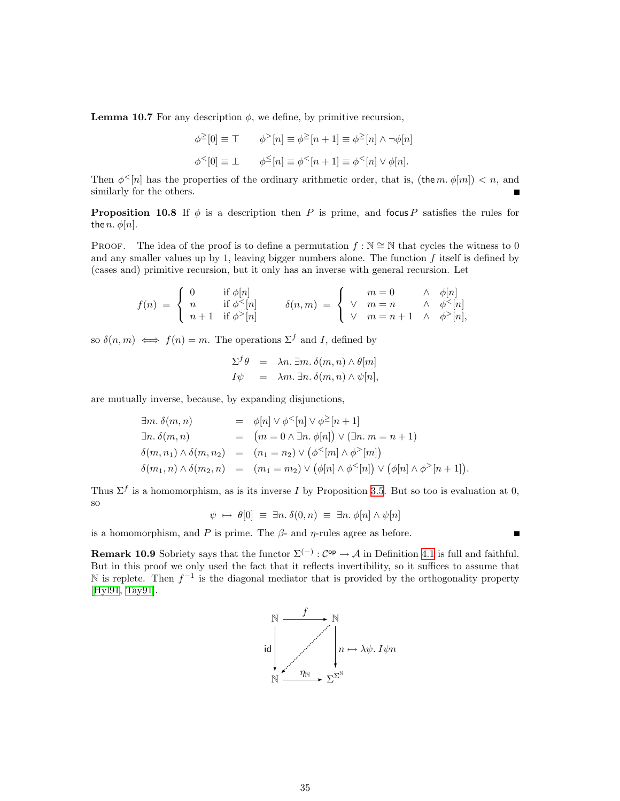**Lemma 10.7** For any description  $\phi$ , we define, by primitive recursion,

$$
\phi^{\geq}[0] \equiv \top \qquad \phi^{>}[n] \equiv \phi^{\geq}[n+1] \equiv \phi^{\geq}[n] \wedge \neg \phi[n]
$$

$$
\phi^{<}[0] \equiv \bot \qquad \phi^{\leq}[n] \equiv \phi^{<}[n+1] \equiv \phi^{<}[n] \vee \phi[n].
$$

Then  $\phi^{\leq}[n]$  has the properties of the ordinary arithmetic order, that is, (the m.  $\phi[m]) < n$ , and similarly for the others.

**Proposition 10.8** If  $\phi$  is a description then P is prime, and focus P satisfies the rules for the *n*.  $\phi[n]$ .

PROOF. The idea of the proof is to define a permutation  $f : \mathbb{N} \cong \mathbb{N}$  that cycles the witness to 0 and any smaller values up by 1, leaving bigger numbers alone. The function  $f$  itself is defined by (cases and) primitive recursion, but it only has an inverse with general recursion. Let

$$
f(n) = \begin{cases} 0 & \text{if } \phi[n] \\ n & \text{if } \phi^{<}[n] \\ n+1 & \text{if } \phi^{>}[n] \end{cases} \qquad \delta(n,m) = \begin{cases} m=0 & \wedge \phi[n] \\ \vee m=n & \wedge \phi^{<}[n] \\ \vee m=n+1 & \wedge \phi^{>}[n], \end{cases}
$$

so  $\delta(n,m) \iff f(n) = m$ . The operations  $\Sigma^f$  and I, defined by

$$
\Sigma^f \theta = \lambda n. \exists m. \delta(m, n) \wedge \theta[m]
$$
  

$$
I\psi = \lambda m. \exists n. \delta(m, n) \wedge \psi[n],
$$

are mutually inverse, because, by expanding disjunctions,

$$
\exists m. \delta(m, n) = \phi[n] \vee \phi^{<}[n] \vee \phi^{<}[n+1]
$$
  
\n
$$
\exists n. \delta(m, n) = (m = 0 \wedge \exists n. \phi[n]) \vee (\exists n. m = n + 1)
$$
  
\n
$$
\delta(m, n_1) \wedge \delta(m, n_2) = (n_1 = n_2) \vee (\phi^{<}[m] \wedge \phi^{>}[m])
$$
  
\n
$$
\delta(m_1, n) \wedge \delta(m_2, n) = (m_1 = m_2) \vee (\phi[n] \wedge \phi^{<}[n]) \vee (\phi[n] \wedge \phi^{>}[n+1]).
$$

Thus  $\Sigma^f$  is a homomorphism, as is its inverse I by Proposition [3.5](#page-9-6). But so too is evaluation at 0, so

 $\psi \mapsto \theta[0] \equiv \exists n. \delta(0, n) \equiv \exists n. \phi[n] \wedge \psi[n]$ 

is a homomorphism, and P is prime. The  $\beta$ - and  $\eta$ -rules agree as before.

<span id="page-34-0"></span>**Remark 10.9** Sobriety says that the functor  $\Sigma^{(-)}$  :  $C^{op} \to \mathcal{A}$  in Definition [4.1](#page-11-2) is full and faithful. But in this proof we only used the fact that it reflects invertibility, so it suffices to assume that N is replete. Then  $f^{-1}$  is the diagonal mediator that is provided by the orthogonality property [[Hyl91](#page-39-2), [Tay91\]](#page-40-3).



 $\blacksquare$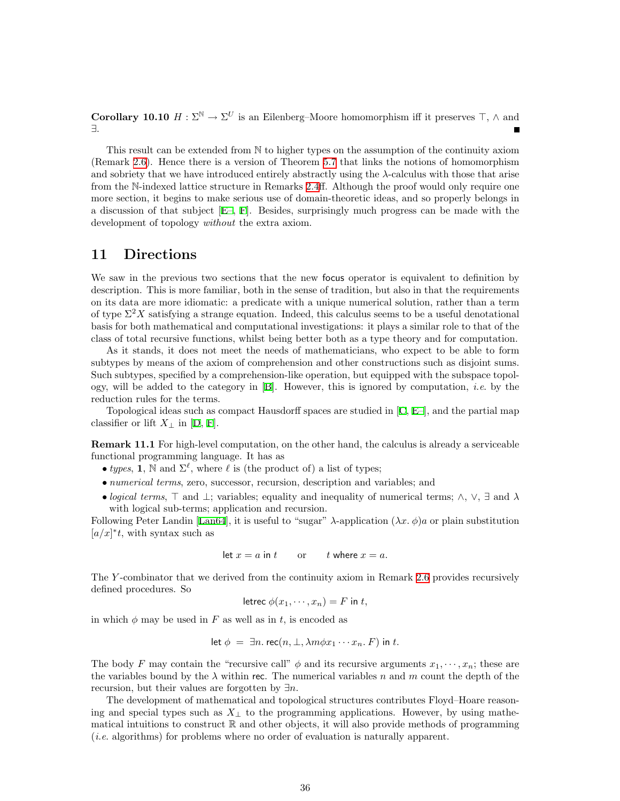<span id="page-35-0"></span>**Corollary 10.10**  $H : \Sigma^{\mathbb{N}} \to \Sigma^U$  is an Eilenberg–Moore homomorphism iff it preserves  $\top$ ,  $\wedge$  and ∃.

This result can be extended from N to higher types on the assumption of the continuity axiom (Remark [2.6](#page-6-1)). Hence there is a version of Theorem [5.7](#page-17-2) that links the notions of homomorphism and sobriety that we have introduced entirely abstractly using the λ-calculus with those that arise from the N-indexed lattice structure in Remarks [2.4](#page-6-0)ff. Although the proof would only require one more section, it begins to make serious use of domain-theoretic ideas, and so properly belongs in a discussion of that subject [\[E–](#page-40-8), [F](#page-40-9)]. Besides, surprisingly much progress can be made with the development of topology *without* the extra axiom.

## 11 Directions

We saw in the previous two sections that the new focus operator is equivalent to definition by description. This is more familiar, both in the sense of tradition, but also in that the requirements on its data are more idiomatic: a predicate with a unique numerical solution, rather than a term of type  $\Sigma^2 X$  satisfying a strange equation. Indeed, this calculus seems to be a useful denotational basis for both mathematical and computational investigations: it plays a similar role to that of the class of total recursive functions, whilst being better both as a type theory and for computation.

As it stands, it does not meet the needs of mathematicians, who expect to be able to form subtypes by means of the axiom of comprehension and other constructions such as disjoint sums. Such subtypes, specified by a comprehension-like operation, but equipped with the subspace topology, will be added to the category in  $[B]$ . However, this is ignored by computation, *i.e.* by the reduction rules for the terms.

Topological ideas such as compact Hausdorff spaces are studied in [\[C](#page-40-7), [E–\]](#page-40-8), and the partial map classifieror lift  $X_\perp$  in [[D](#page-40-11), [F\]](#page-40-9).

Remark 11.1 For high-level computation, on the other hand, the calculus is already a serviceable functional programming language. It has as

- types, 1, N and  $\Sigma^{\ell}$ , where  $\ell$  is (the product of) a list of types;
- numerical terms, zero, successor, recursion, description and variables; and
- logical terms,  $\top$  and  $\bot$ ; variables; equality and inequality of numerical terms;  $\wedge$ ,  $\vee$ ,  $\exists$  and  $\lambda$ with logical sub-terms; application and recursion.

Following Peter Landin [\[Lan64](#page-39-20)], it is useful to "sugar"  $\lambda$ -application  $(\lambda x. \phi)a$  or plain substitution  $[a/x]^*$ *t*, with syntax such as

let 
$$
x = a
$$
 in t or t where  $x = a$ .

The Y-combinator that we derived from the continuity axiom in Remark [2.6](#page-6-1) provides recursively defined procedures. So

$$
letrec \phi(x_1, \dots, x_n) = F \text{ in } t,
$$

in which  $\phi$  may be used in F as well as in t, is encoded as

$$
\text{let } \phi = \exists n. \text{ rec}(n, \bot, \lambda m \phi x_1 \cdots x_n. F) \text{ in } t.
$$

The body F may contain the "recursive call"  $\phi$  and its recursive arguments  $x_1, \dots, x_n$ ; these are the variables bound by the  $\lambda$  within rec. The numerical variables n and m count the depth of the recursion, but their values are forgotten by  $\exists n$ .

The development of mathematical and topological structures contributes Floyd–Hoare reasoning and special types such as  $X_{\perp}$  to the programming applications. However, by using mathematical intuitions to construct  $\mathbb R$  and other objects, it will also provide methods of programming (i.e. algorithms) for problems where no order of evaluation is naturally apparent.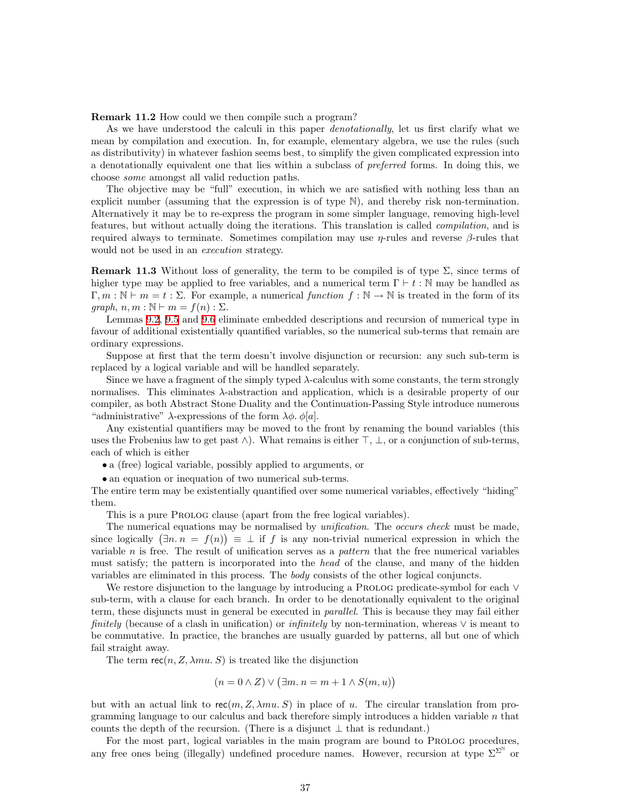Remark 11.2 How could we then compile such a program?

As we have understood the calculi in this paper denotationally, let us first clarify what we mean by compilation and execution. In, for example, elementary algebra, we use the rules (such as distributivity) in whatever fashion seems best, to simplify the given complicated expression into a denotationally equivalent one that lies within a subclass of preferred forms. In doing this, we choose some amongst all valid reduction paths.

The objective may be "full" execution, in which we are satisfied with nothing less than an explicit number (assuming that the expression is of type N), and thereby risk non-termination. Alternatively it may be to re-express the program in some simpler language, removing high-level features, but without actually doing the iterations. This translation is called compilation, and is required always to terminate. Sometimes compilation may use  $η$ -rules and reverse β-rules that would not be used in an *execution* strategy.

**Remark 11.3** Without loss of generality, the term to be compiled is of type  $\Sigma$ , since terms of higher type may be applied to free variables, and a numerical term  $\Gamma \vdash t : \mathbb{N}$  may be handled as  $\Gamma, m : \mathbb{N} \vdash m = t : \Sigma$ . For example, a numerical function  $f : \mathbb{N} \to \mathbb{N}$  is treated in the form of its graph,  $n, m : \mathbb{N} \vdash m = f(n) : \Sigma$ .

Lemmas [9.2](#page-29-2), [9.5](#page-30-0) and [9.6](#page-30-1) eliminate embedded descriptions and recursion of numerical type in favour of additional existentially quantified variables, so the numerical sub-terms that remain are ordinary expressions.

Suppose at first that the term doesn't involve disjunction or recursion: any such sub-term is replaced by a logical variable and will be handled separately.

Since we have a fragment of the simply typed  $\lambda$ -calculus with some constants, the term strongly normalises. This eliminates  $\lambda$ -abstraction and application, which is a desirable property of our compiler, as both Abstract Stone Duality and the Continuation-Passing Style introduce numerous "administrative"  $\lambda$ -expressions of the form  $\lambda \phi$ .  $\phi[a]$ .

Any existential quantifiers may be moved to the front by renaming the bound variables (this uses the Frobenius law to get past  $\wedge$ ). What remains is either  $\top$ ,  $\bot$ , or a conjunction of sub-terms, each of which is either

• a (free) logical variable, possibly applied to arguments, or

• an equation or inequation of two numerical sub-terms.

The entire term may be existentially quantified over some numerical variables, effectively "hiding" them.

This is a pure PROLOG clause (apart from the free logical variables).

The numerical equations may be normalised by *unification*. The *occurs check* must be made, since logically  $(\exists n \cdot n = f(n)) \equiv \bot$  if f is any non-trivial numerical expression in which the variable  $n$  is free. The result of unification serves as a *pattern* that the free numerical variables must satisfy; the pattern is incorporated into the head of the clause, and many of the hidden variables are eliminated in this process. The body consists of the other logical conjuncts.

We restore disjunction to the language by introducing a PROLOG predicate-symbol for each ∨ sub-term, with a clause for each branch. In order to be denotationally equivalent to the original term, these disjuncts must in general be executed in *parallel*. This is because they may fail either finitely (because of a clash in unification) or *infinitely* by non-termination, whereas  $\vee$  is meant to be commutative. In practice, the branches are usually guarded by patterns, all but one of which fail straight away.

The term  $rec(n, Z, \lambda mu. S)$  is treated like the disjunction

$$
(n = 0 \land Z) \lor (\exists m. n = m + 1 \land S(m, u))
$$

but with an actual link to rec $(m, Z, \lambda mu, S)$  in place of u. The circular translation from programming language to our calculus and back therefore simply introduces a hidden variable  $n$  that counts the depth of the recursion. (There is a disjunct  $\perp$  that is redundant.)

For the most part, logical variables in the main program are bound to PROLOG procedures, any free ones being (illegally) undefined procedure names. However, recursion at type  $\Sigma^{\Sigma^{\mathbb{N}}}$  or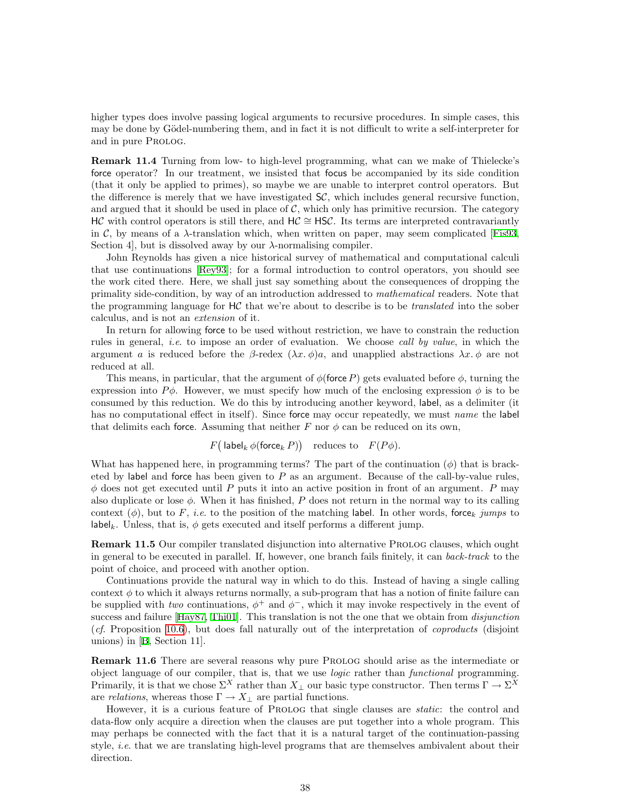higher types does involve passing logical arguments to recursive procedures. In simple cases, this may be done by Gödel-numbering them, and in fact it is not difficult to write a self-interpreter for and in pure Prolog.

<span id="page-37-0"></span>Remark 11.4 Turning from low- to high-level programming, what can we make of Thielecke's force operator? In our treatment, we insisted that focus be accompanied by its side condition (that it only be applied to primes), so maybe we are unable to interpret control operators. But the difference is merely that we have investigated  $SC$ , which includes general recursive function, and argued that it should be used in place of  $\mathcal{C}$ , which only has primitive recursion. The category HC with control operators is still there, and HC  $\cong$  HSC. Its terms are interpreted contravariantly in C, by means of a  $\lambda$ -translation which, when written on paper, may seem complicated [\[Fis93](#page-38-17), Section 4, but is dissolved away by our  $\lambda$ -normalising compiler.

John Reynolds has given a nice historical survey of mathematical and computational calculi that use continuations[[Rey93\]](#page-39-21); for a formal introduction to control operators, you should see the work cited there. Here, we shall just say something about the consequences of dropping the primality side-condition, by way of an introduction addressed to mathematical readers. Note that the programming language for  $HC$  that we're about to describe is to be *translated* into the sober calculus, and is not an extension of it.

In return for allowing force to be used without restriction, we have to constrain the reduction rules in general, *i.e.* to impose an order of evaluation. We choose *call by value*, in which the argument a is reduced before the β-redex  $(\lambda x.\phi)a$ , and unapplied abstractions  $\lambda x.\phi$  are not reduced at all.

This means, in particular, that the argument of  $\phi$ (force P) gets evaluated before  $\phi$ , turning the expression into  $P\phi$ . However, we must specify how much of the enclosing expression  $\phi$  is to be consumed by this reduction. We do this by introducing another keyword, label, as a delimiter (it has no computational effect in itself). Since force may occur repeatedly, we must *name* the label that delimits each force. Assuming that neither F nor  $\phi$  can be reduced on its own,

#### $F\big(\operatorname{\sf label}_k \phi(\operatorname{\sf force}_k P)\big)$  reduces to  $F(P\phi).$

What has happened here, in programming terms? The part of the continuation  $(\phi)$  that is bracketed by label and force has been given to  $P$  as an argument. Because of the call-by-value rules,  $\phi$  does not get executed until P puts it into an active position in front of an argument. P may also duplicate or lose  $\phi$ . When it has finished, P does not return in the normal way to its calling context ( $\phi$ ), but to F, *i.e.* to the position of the matching label. In other words, force<sub>k</sub> jumps to label<sub>k</sub>. Unless, that is,  $\phi$  gets executed and itself performs a different jump.

**Remark 11.5** Our compiler translated disjunction into alternative PROLOG clauses, which ought in general to be executed in parallel. If, however, one branch fails finitely, it can back-track to the point of choice, and proceed with another option.

Continuations provide the natural way in which to do this. Instead of having a single calling context  $\phi$  to which it always returns normally, a sub-program that has a notion of finite failure can be supplied with two continuations,  $\phi^+$  and  $\phi^-$ , which it may invoke respectively in the event of success and failure [\[Hay87,](#page-38-18) [Thi01\]](#page-40-13). This translation is not the one that we obtain from *disjunction*  $(cf.$  Proposition [10.6\)](#page-33-0), but does fall naturally out of the interpretation of *coproducts* (disjoint unions) in[[B,](#page-40-2) Section 11].

Remark 11.6 There are several reasons why pure PROLOG should arise as the intermediate or object language of our compiler, that is, that we use *logic* rather than *functional* programming. Primarily, it is that we chose  $\Sigma^X$  rather than  $X_\perp$  our basic type constructor. Then terms  $\Gamma \to \Sigma^X$ are relations, whereas those  $\Gamma \to X_{\perp}$  are partial functions.

However, it is a curious feature of PROLOG that single clauses are *static*: the control and data-flow only acquire a direction when the clauses are put together into a whole program. This may perhaps be connected with the fact that it is a natural target of the continuation-passing style, i.e. that we are translating high-level programs that are themselves ambivalent about their direction.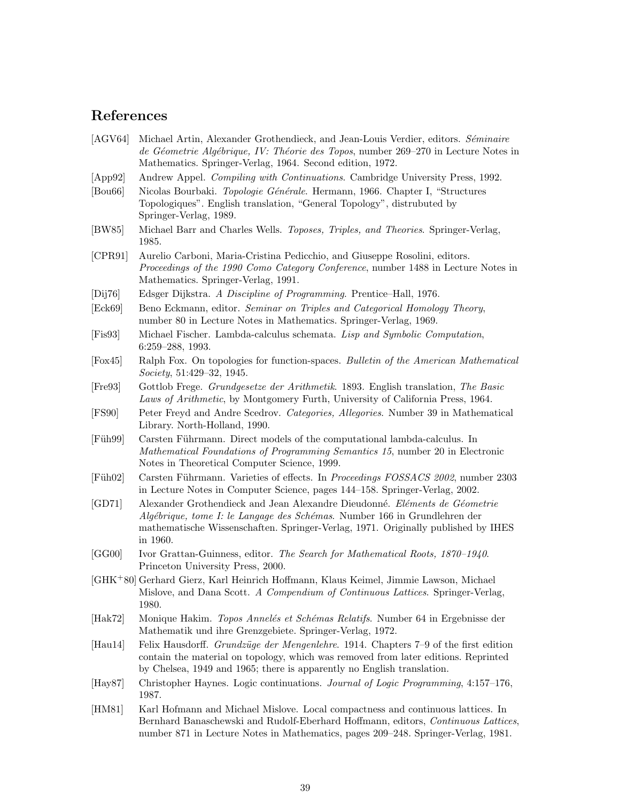# References

- <span id="page-38-7"></span>[AGV64] Michael Artin, Alexander Grothendieck, and Jean-Louis Verdier, editors. Séminaire de Géometrie Algébrique, IV: Théorie des Topos, number 269–270 in Lecture Notes in Mathematics. Springer-Verlag, 1964. Second edition, 1972.
- [App92] Andrew Appel. Compiling with Continuations. Cambridge University Press, 1992.
- <span id="page-38-4"></span><span id="page-38-2"></span>[Bou66] Nicolas Bourbaki. Topologie Générale. Hermann, 1966. Chapter I, "Structures" Topologiques". English translation, "General Topology", distrubuted by Springer-Verlag, 1989.
- <span id="page-38-5"></span>[BW85] Michael Barr and Charles Wells. Toposes, Triples, and Theories. Springer-Verlag, 1985.
- <span id="page-38-19"></span>[CPR91] Aurelio Carboni, Maria-Cristina Pedicchio, and Giuseppe Rosolini, editors. Proceedings of the 1990 Como Category Conference, number 1488 in Lecture Notes in Mathematics. Springer-Verlag, 1991.
- [Dij76] Edsger Dijkstra. A Discipline of Programming. Prentice–Hall, 1976.
- <span id="page-38-6"></span><span id="page-38-0"></span>[Eck69] Beno Eckmann, editor. Seminar on Triples and Categorical Homology Theory, number 80 in Lecture Notes in Mathematics. Springer-Verlag, 1969.
- <span id="page-38-17"></span>[Fis93] Michael Fischer. Lambda-calculus schemata. Lisp and Symbolic Computation, 6:259–288, 1993.
- <span id="page-38-10"></span>[Fox45] Ralph Fox. On topologies for function-spaces. Bulletin of the American Mathematical Society, 51:429–32, 1945.
- <span id="page-38-16"></span>[Fre93] Gottlob Frege. Grundgesetze der Arithmetik. 1893. English translation, The Basic Laws of Arithmetic, by Montgomery Furth, University of California Press, 1964.
- <span id="page-38-13"></span>[FS90] Peter Freyd and Andre Scedrov. Categories, Allegories. Number 39 in Mathematical Library. North-Holland, 1990.
- <span id="page-38-3"></span>[Füh99] Carsten Führmann. Direct models of the computational lambda-calculus. In Mathematical Foundations of Programming Semantics 15, number 20 in Electronic Notes in Theoretical Computer Science, 1999.
- <span id="page-38-14"></span>[Füh02] Carsten Führmann. Varieties of effects. In *Proceedings FOSSACS 2002*, number 2303 in Lecture Notes in Computer Science, pages 144–158. Springer-Verlag, 2002.
- <span id="page-38-8"></span>[GD71] Alexander Grothendieck and Jean Alexandre Dieudonné. Eléments de Géometrie Algébrique, tome I: le Langage des Schémas. Number 166 in Grundlehren der mathematische Wissenschaften. Springer-Verlag, 1971. Originally published by IHES in 1960.
- <span id="page-38-15"></span>[GG00] Ivor Grattan-Guinness, editor. The Search for Mathematical Roots, 1870–1940. Princeton University Press, 2000.
- <span id="page-38-12"></span>[GHK<sup>+</sup>80] Gerhard Gierz, Karl Heinrich Hoffmann, Klaus Keimel, Jimmie Lawson, Michael Mislove, and Dana Scott. A Compendium of Continuous Lattices. Springer-Verlag, 1980.
- <span id="page-38-9"></span>[Hak72] Monique Hakim. *Topos Annelés et Schémas Relatifs*. Number 64 in Ergebnisse der Mathematik und ihre Grenzgebiete. Springer-Verlag, 1972.
- <span id="page-38-1"></span>[Hau14] Felix Hausdorff. Grundzüge der Mengenlehre. 1914. Chapters 7–9 of the first edition contain the material on topology, which was removed from later editions. Reprinted by Chelsea, 1949 and 1965; there is apparently no English translation.
- <span id="page-38-18"></span>[Hay87] Christopher Haynes. Logic continuations. Journal of Logic Programming, 4:157–176, 1987.
- <span id="page-38-11"></span>[HM81] Karl Hofmann and Michael Mislove. Local compactness and continuous lattices. In Bernhard Banaschewski and Rudolf-Eberhard Hoffmann, editors, Continuous Lattices, number 871 in Lecture Notes in Mathematics, pages 209–248. Springer-Verlag, 1981.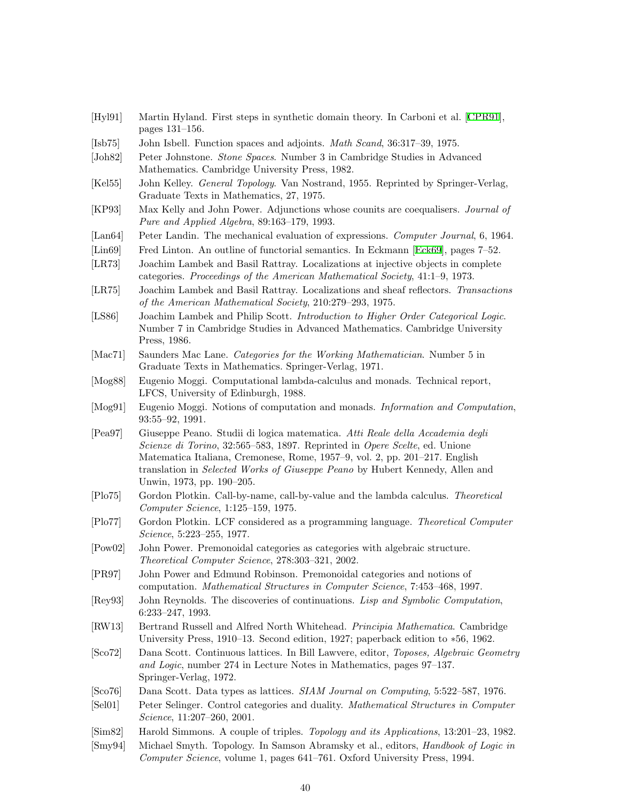- <span id="page-39-2"></span>[Hyl91] Martin Hyland. First steps in synthetic domain theory. In Carboni et al.[[CPR91](#page-38-19)], pages 131–156.
- [Isb75] John Isbell. Function spaces and adjoints. Math Scand, 36:317–39, 1975.
- <span id="page-39-13"></span><span id="page-39-8"></span>[Joh82] Peter Johnstone. Stone Spaces. Number 3 in Cambridge Studies in Advanced Mathematics. Cambridge University Press, 1982.
- [Kel55] John Kelley. General Topology. Van Nostrand, 1955. Reprinted by Springer-Verlag, Graduate Texts in Mathematics, 27, 1975.
- <span id="page-39-11"></span>[KP93] Max Kelly and John Power. Adjunctions whose counits are coequalisers. Journal of Pure and Applied Algebra, 89:163–179, 1993.
- <span id="page-39-20"></span>[Lan64] Peter Landin. The mechanical evaluation of expressions. Computer Journal, 6, 1964.
- <span id="page-39-6"></span>[Lin69] Fred Linton. An outline of functorial semantics. In Eckmann [\[Eck69](#page-38-6)], pages 7–52.
- [LR73] Joachim Lambek and Basil Rattray. Localizations at injective objects in complete categories. Proceedings of the American Mathematical Society, 41:1–9, 1973.
- [LR75] Joachim Lambek and Basil Rattray. Localizations and sheaf reflectors. Transactions of the American Mathematical Society, 210:279–293, 1975.
- <span id="page-39-17"></span>[LS86] Joachim Lambek and Philip Scott. Introduction to Higher Order Categorical Logic. Number 7 in Cambridge Studies in Advanced Mathematics. Cambridge University Press, 1986.
- <span id="page-39-7"></span>[Mac71] Saunders Mac Lane. Categories for the Working Mathematician. Number 5 in Graduate Texts in Mathematics. Springer-Verlag, 1971.
- <span id="page-39-10"></span>[Mog88] Eugenio Moggi. Computational lambda-calculus and monads. Technical report, LFCS, University of Edinburgh, 1988.
- <span id="page-39-5"></span>[Mog91] Eugenio Moggi. Notions of computation and monads. Information and Computation, 93:55–92, 1991.
- <span id="page-39-19"></span>[Pea97] Giuseppe Peano. Studii di logica matematica. Atti Reale della Accademia degli Scienze di Torino, 32:565–583, 1897. Reprinted in Opere Scelte, ed. Unione Matematica Italiana, Cremonese, Rome, 1957–9, vol. 2, pp. 201–217. English translation in Selected Works of Giuseppe Peano by Hubert Kennedy, Allen and Unwin, 1973, pp. 190–205.
- <span id="page-39-4"></span>[Plo75] Gordon Plotkin. Call-by-name, call-by-value and the lambda calculus. Theoretical Computer Science, 1:125–159, 1975.
- <span id="page-39-0"></span>[Plo77] Gordon Plotkin. LCF considered as a programming language. Theoretical Computer Science, 5:223–255, 1977.
- <span id="page-39-16"></span>[Pow02] John Power. Premonoidal categories as categories with algebraic structure. Theoretical Computer Science, 278:303–321, 2002.
- <span id="page-39-15"></span>[PR97] John Power and Edmund Robinson. Premonoidal categories and notions of computation. Mathematical Structures in Computer Science, 7:453–468, 1997.
- <span id="page-39-21"></span>[Rey93] John Reynolds. The discoveries of continuations. Lisp and Symbolic Computation, 6:233–247, 1993.
- <span id="page-39-18"></span>[RW13] Bertrand Russell and Alfred North Whitehead. Principia Mathematica. Cambridge University Press, 1910–13. Second edition, 1927; paperback edition to ∗56, 1962.
- <span id="page-39-12"></span>[Sco72] Dana Scott. Continuous lattices. In Bill Lawvere, editor, Toposes, Algebraic Geometry and Logic, number 274 in Lecture Notes in Mathematics, pages 97–137. Springer-Verlag, 1972.
- [Sco76] Dana Scott. Data types as lattices. SIAM Journal on Computing, 5:522–587, 1976.
- <span id="page-39-14"></span><span id="page-39-3"></span>[Sel01] Peter Selinger. Control categories and duality. Mathematical Structures in Computer Science, 11:207–260, 2001.
- [Sim82] Harold Simmons. A couple of triples. Topology and its Applications, 13:201–23, 1982.
- <span id="page-39-9"></span><span id="page-39-1"></span>[Smy94] Michael Smyth. Topology. In Samson Abramsky et al., editors, Handbook of Logic in Computer Science, volume 1, pages 641–761. Oxford University Press, 1994.